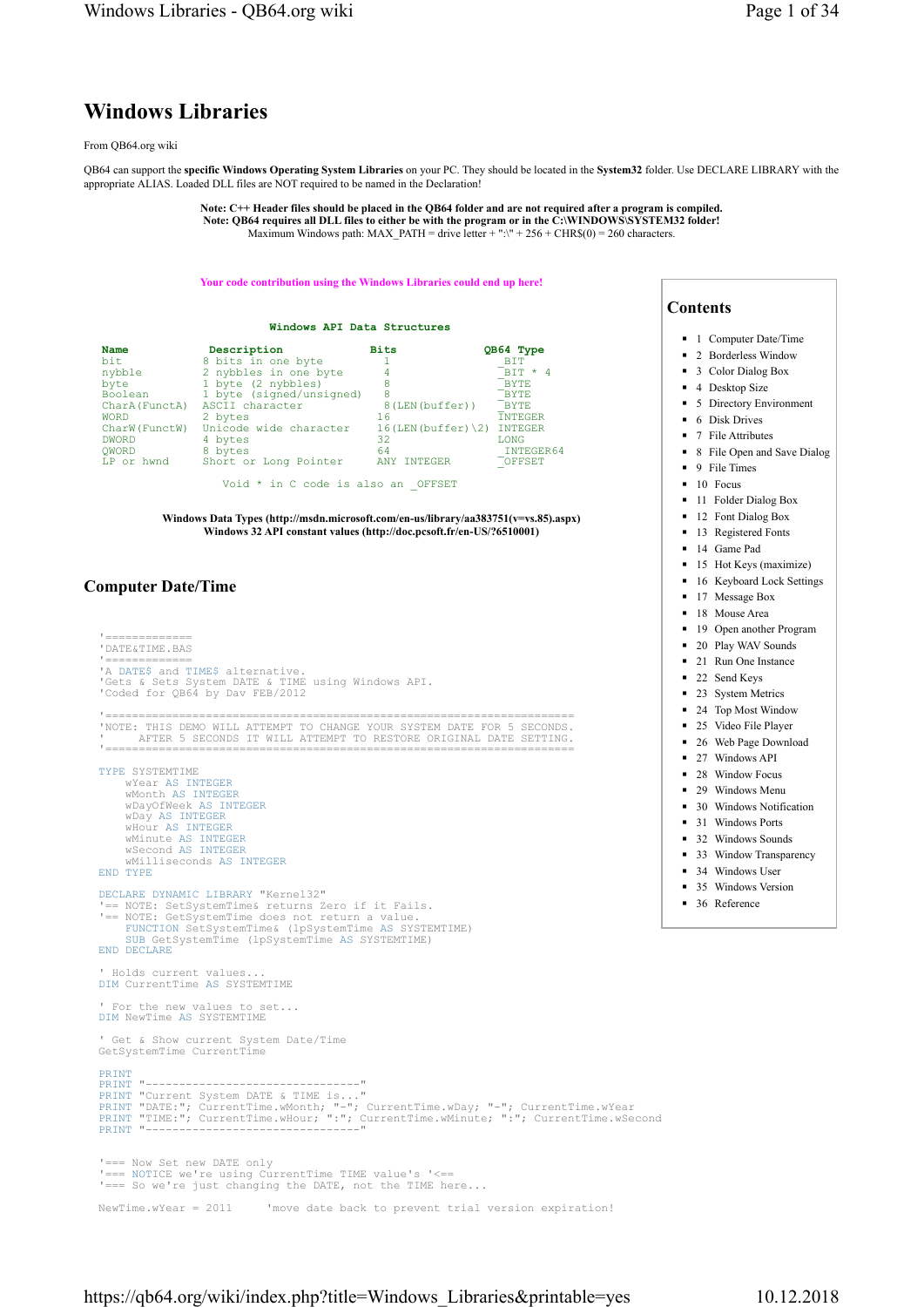# Windows Libraries

#### From QB64.org wiki

QB64 can support the specific Windows Operating System Libraries on your PC. They should be located in the System32 folder. Use DECLARE LIBRARY with the appropriate ALIAS. Loaded DLL files are NOT required to be named in the Declaration!

> Note: C++ Header files should be placed in the QB64 folder and are not required after a program is compiled. Note: QB64 requires all DLL files to either be with the program or in the C:\WINDOWS\SYSTEM32 folder! Maximum Windows path: MAX\_PATH = drive letter + ":\" + 256 + CHR\$(0) = 260 characters

#### Your code contribution using the Windows Libraries could end up here!

|                                                                                                              | Windows API Data Structures                                                                                                                                                     |                                                                                        |                                                                                                                            |
|--------------------------------------------------------------------------------------------------------------|---------------------------------------------------------------------------------------------------------------------------------------------------------------------------------|----------------------------------------------------------------------------------------|----------------------------------------------------------------------------------------------------------------------------|
| Name<br>bit.<br>nybble<br>byte<br>Boolean<br>CharA (FunctA)<br><b>WORD</b><br>CharW (FunctW)<br><b>DWORD</b> | Description<br>8 bits in one byte<br>2 nybbles in one byte<br>1 byte (2 nybbles)<br>1 byte (signed/unsigned)<br>ASCII character<br>2 bytes<br>Unicode wide character<br>4 bytes | <b>Bits</b><br>4<br>8<br>8<br>8(LEN(buffer))<br>16<br>$16$ (LEN (buffer) $\{2\}$<br>32 | QB64 Type<br>BTT<br>$BTT \star 4$<br><b>BYTE</b><br><b>BYTE</b><br><b>BYTE</b><br><b>TNTEGER</b><br>INTEGER<br><b>LONG</b> |
| OWORD<br>LP or hwnd                                                                                          | 8 bytes<br>Short or Long Pointer                                                                                                                                                | 64<br>ANY INTEGER                                                                      | <b>INTEGER64</b><br>OFFSET                                                                                                 |
|                                                                                                              | Void * in C code is also an OFFSET                                                                                                                                              |                                                                                        |                                                                                                                            |

Windows Data Types (http://msdn.microsoft.com/en-us/library/aa383751(v=vs.85).aspx) Windows 32 API constant values (http://doc.pcsoft.fr/en-US/?6510001)

### Computer Date/Time

'============<br>'DATE&TIME.BAS '=============<br>'A DATE\$ and TIME\$ alternative. 'Gets & Sets System DATE & TIME using Windows API. 'Coded for QB64 by Dav FEB/2012 '====================================================================== 'NOTE: THIS DEMO WILL ATTEMPT TO CHANGE YOUR SYSTEM DATE FOR 5 SECONDS. ' AFTER 5 SECONDS IT WILL ATTEMPT TO RESTORE ORIGINAL DATE SETTING. '====================================================================== TYPE SYSTEMTIME wYear AS INTEGER<br>wMonth AS INTEGER<br>wDayOfWeek AS INTEGER<br>wDay AS INTEGER<br>wHour AS INTEGER wMinute AS INTEGER wSecond AS INTEGER wMilliseconds AS INTEGER END TYPE DECLARE DYNAMIC LIBRARY "Kernel32" '== NOTE: SetSystemTime& returns Zero if it Fails. '== NOTE: GetSystemTime does not return a value. FUNCTION SetSystemTime& (lpSystemTime AS SYSTEMTIME) SUB GetSystemTime (lpSystemTime AS SYSTEMTIME) END DECLARE ' Holds current values. DIM CurrentTime AS SYSTEMTIME ' For the new values to set... DIM NewTime AS SYSTEMTIME ' Get & Show current System Date/Time GetSystemTime CurrentTime PRINT "----------------PRINT "-------------------------------"<br>PRINT "Current System DATE & TIME is..."<br>PRINT "DATE:"; CurrentTime.wMonth; "-"; CurrentTime.wDay; "-"; CurrentTime.wYear<br>PRINT "TIME:"; CurrentTime.wMour; ":"; CurrentTime.wMinute; '=== Now Set new DATE only '=== NOTICE we're using CurrentTime TIME value's '<== '=== So we're just changing the DATE, not the TIME here...

NewTime.wYear = 2011 'move date back to prevent trial version expiration!

## Contents

- 1 Computer Date/Time
- 2 Borderless Window
- 3 Color Dialog Box
- 4 Desktop Size
- 5 Directory Environment
- 6 Disk Drives
- 7 File Attributes
- 8 File Open and Save Dialog
- $\blacksquare$  9 File Times
- 10 Focus
- 11 Folder Dialog Box
- 12 Font Dialog Box
- 13 Registered Fonts
- 14 Game Pad
- 15 Hot Keys (maximize)
- 16 Keyboard Lock Settings
- 17 Message Box
- 18 Mouse Area
- 19 Open another Program
- 20 Play WAV Sounds
- 21 Run One Instance
- 22 Send Keys
- 23 System Metrics
- 24 Top Most Window
- 25 Video File Player
- 26 Web Page Download
- 27 Windows API
- 28 Window Focus
- 29 Windows Menu
- 30 Windows Notification
- 31 Windows Ports
- 32 Windows Sounds
- 33 Window Transparency
- 34 Windows User
- 35 Windows Version
- 36 Reference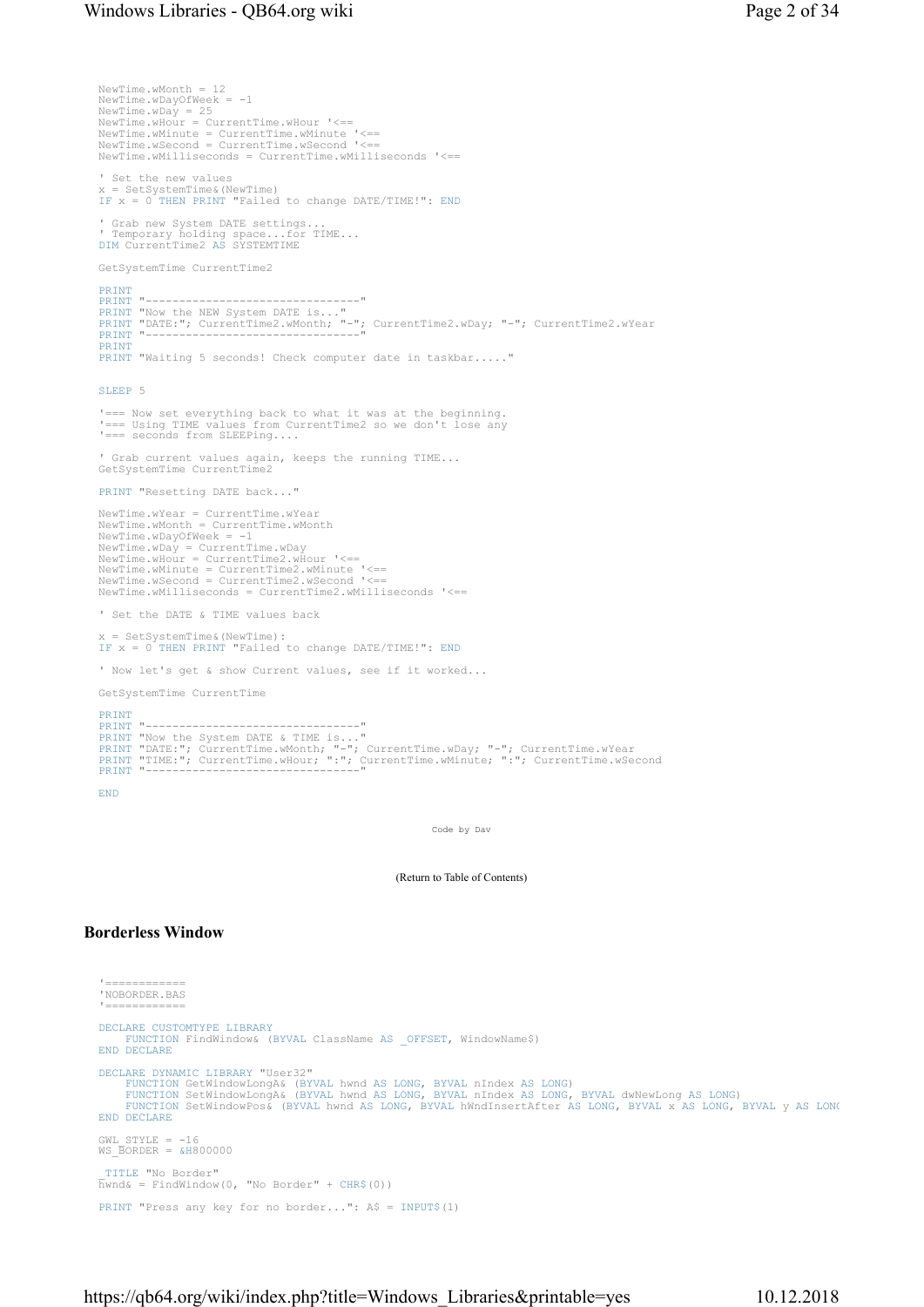```
NewTime.wMonth = 12 
NewTime.wDayOfWeek = -1
NewTime.wDay = 25 
NewTime.wHour = CurrentTime.wHour '<== 
NewTime.wMinute = CurrentTime.wMinute '<== 
NewTime.wSecond = CurrentTime.wSecond '<== 
NewTime.wMilliseconds = CurrentTime.wMilliseconds '<== 
' Set the new values 
x = SetSystemTime&(NewTime) 
IF x = 0 THEN PRINT "Failed to change DATE/TIME!": END
' Grab new System DATE settings... 
' Temporary holding space...for TIME... 
DIM CurrentTime2 AS SYSTEMTIME 
GetSystemTime CurrentTime2 
PRINT
PRINT "-------------------------------"<br>PRINT "Now the NEW System DATE is..."<br>PRINT "DATE:"; CurrentTime2.wMonth; "-"; CurrentTime2.wDay; "-"; CurrentTime2.wYear<br>PRINT "----------------------------"
PRINT
PRINT "Waiting 5 seconds! Check computer date in taskbar....."
SLEEP 5
 '=== Now set everything back to what it was at the beginning. 
'=== Using TIME values from CurrentTime2 so we don't lose any 
'=== seconds from SLEEPing....
' Grab current values again, keeps the running TIME... 
GetSystemTime CurrentTime2 
PRINT "Resetting DATE back..." 
NewTime.wYear = CurrentTime.wYear 
NewTime.wMonth = CurrentTime.wMonth 
NewTime.wDayOfWeek = -1 
NewTime.wDay = CurrentTime.wDay<br>NewTime.wHour = CurrentTime2.wHour '<==<br>NewTime.wMinute = CurrentTime2.wMinute '<==<br>NewTime.wSecond = CurrentTime2.wSecond '<==<br>NewTime.wMilliseconds = CurrentTime2.wMilliseconds '<==
' Set the DATE & TIME values back 
x = SetSystemTime&(NewTime): 
IF x = 0 THEN PRINT "Failed to change DATE/TIME!": END
' Now let's get & show Current values, see if it worked... 
GetSystemTime CurrentTime 
PRINT<br>PRINT "---
PRINT "------------------------------"<br>PRINT "Now the System DATE & TIME is..."<br>PRINT "DATE:"; CurrentTime.wMonth; "-"; CurrentTime.wDay; "-"; CurrentTime.wYear<br>PRINT "TIME:"; CurrentTime.wMour; ":"; CurrentTime.wMinute; "
END
```
Code by Dav

(Return to Table of Contents)

### Borderless Window

```
'===========<br>'NOBORDER.BAS
 '============ 
DECLARE CUSTOMTYPE LIBRARY
     FUNCTION FindWindow& (BYVAL ClassName AS _OFFSET, WindowName$)
END DECLARE
DECLARE DYNAMIC LIBRARY "User32"
      FUNCTION GetWindowLongA& (BYVAL hwnd AS LONG, BYVAL nIndex AS LONG)<br>FUNCTION SetWindowLongA& (BYVAL hwnd AS LONG, BYVAL nIndex AS LONG, BYVAL dwNewLong AS LONG)<br>FUNCTION SetWindowPos& (BYVAL hwnd AS LONG, BYVAL hWndInsertA
END DECLARE
GWL STYLE = -16WS\overline{B}ORDER = \&H800000_TITLE "No Border" 
\overline{\text{h}}wnd& = FindWindow(0, "No Border" + CHR$(0))
PRINT "Press any key for no border...": A$ = INPUT$(1)
```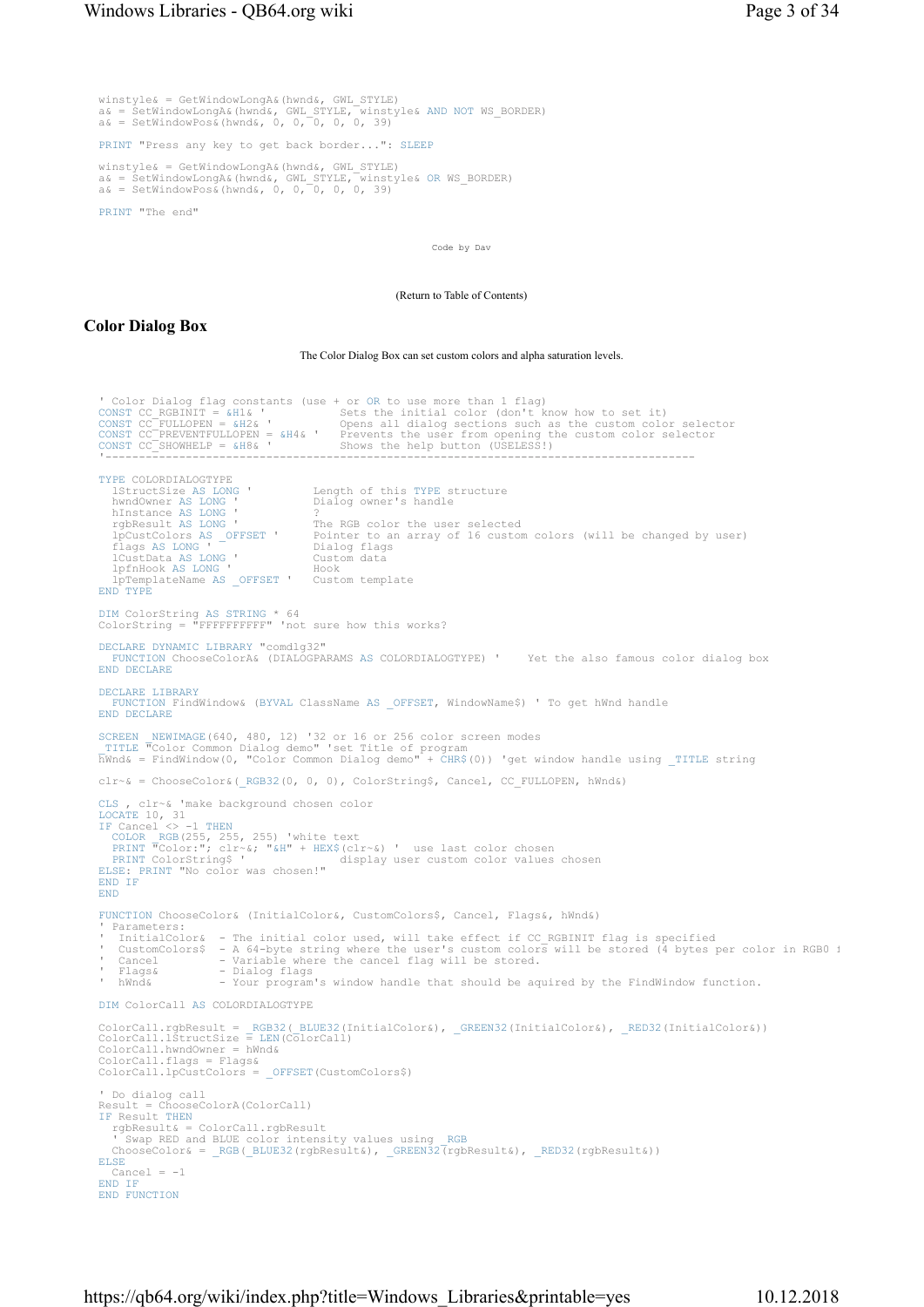winstyle& = GetWindowLongA&(hwnd&, GWL\_STYLE) a& = SetWindowLongA&(hwnd&, GWL\_STYLE, winstyle& AND NOT WS\_BORDER) a& = SetWindowPos&(hwnd&, 0, 0, 0, 0, 0, 39) PRINT "Press any key to get back border...": SLEEP winstyle& = GetWindowLongA&(hwnd&, GWL\_STYLE) a& = SetWindowLongA&(hwnd&, GWL\_STYLE, winstyle& OR WS\_BORDER) a& = SetWindowPos&(hwnd&, 0, 0, 0, 0, 0, 39)

PRINT "The end"

Code by Dav

(Return to Table of Contents)

### Color Dialog Box

The Color Dialog Box can set custom colors and alpha saturation levels.

```
' Color Dialog flag constants (use + or OR to use more than 1 flag) 
CONST CC_RGBINIT = &H1& 'Sets the initial color (don't know how to set it)<br>CONST CC_FULLOPEN = &H2& 'Opens all dialog sections such as the custom color selector<br>CONST CC_FREVENTFULLOPEN = &H4& 'Prevents the user from openi
TYPE COLORDIALOGTYPE<br>1StructSize AS LONG '<br>hwndOwner AS LONG '
 lStructSize AS LONG ' Length of this TYPE structure 
 hwndOwner AS LONG ' Dialog owner's handle 
  hInstance AS LONG '<br>rqbResult AS LONG '
 rgbResult AS LONG ' The RGB color the user selected 
 lpCustColors AS _OFFSET ' Pointer to an array of 16 custom colors (will be changed by user) 
 flags AS LONG ' Dialog flags 
 lCustData AS LONG ' Custom data 
 lpfnHook AS LONG ' Hook 
    lpTemplateName AS _OFFSET ' Custom template 
END TYPE
DIM ColorString AS STRING * 64 
ColorString = "FFFFFFFFFF" 'not sure how this works? 
DECLARE DYNAMIC LIBRARY "comdlg32" 
FUNCTION ChooseColorA& (DIALOGPARAMS AS COLORDIALOGTYPE) ' Yet the also famous color dialog box 
END DECLARE
DECLARE LIBRARY
FUNCTION FindWindow& (BYVAL ClassName AS _OFFSET, WindowName$) ' To get hWnd handle 
END DECLARE
SCREEN  NEWIMAGE(640, 480, 12) '32 or 16 or 256 color screen modes<br>_TITLE "Color Common Dialog demo" 'set Title of program<br>hWnd& = FindWindow(0, "Color Common Dialog demo" + CHR$(0)) 'get window handle using _TITLE string
clr~& = ChooseColor&(_RGB32(0, 0, 0), ColorString$, Cancel, CC_FULLOPEN, hWnd&) 
CLS , clr~& 'make background chosen color 
LOCATE 10, 31 
IF Cancel <> -1 THEN
   COLOR _RGB(255, 255, 255) 'white text<br>PRINT "Color:"; clr~&; "&H" + HEX$(clr~&) ' use last color chosen<br>PRINT ColorString$ '               display user custom color values chosen
ELSE: PRINT "No color was chosen!" 
END IF
END
FUNCTION ChooseColor& (InitialColor&, CustomColors$, Cancel, Flags&, hWnd&) 
 ' Parameters: 
' InitialColor& - The initial color used, will take effect if CC_RGBINIT flag is specified 
 ' CustomColors$  – A 64-byte string where the user's custom colors will be stored (4 bytes per color in RGB0 f<br>' Cancel        – Variable where the cancel flag will be stored.
 ' Flags&                 Dialog flags<br>' hWnd&                 Your program's window handle that should be aquired by the FindWindow function.
DIM ColorCall AS COLORDIALOGTYPE 
ColorCall.rgbResult = _RGB32(_BLUE32(InitialColor&), _GREEN32(InitialColor&), _RED32(InitialColor&))<br>ColorCall.lStructSize = LEN(ColorCall)<br>ColorCall.hwndOwner = hWnd&
ColorCall.flags = Flags& 
ColorCall.lpCustColors = _OFFSET(CustomColors$) 
' Do dialog call 
Result = ChooseColorA(ColorCall) 
IF Result THEN
 rgbResult& = ColorCall.rgbResult 
' Swap RED and BLUE color intensity values using _RGB<br>ChooseColor& = _RGB(_BLUE32(rgbResult&), _GREEN32(rgbResult&), _RED32(rgbResult&))
ELSE
  Cancel = -1END TF
END FUNCTION
```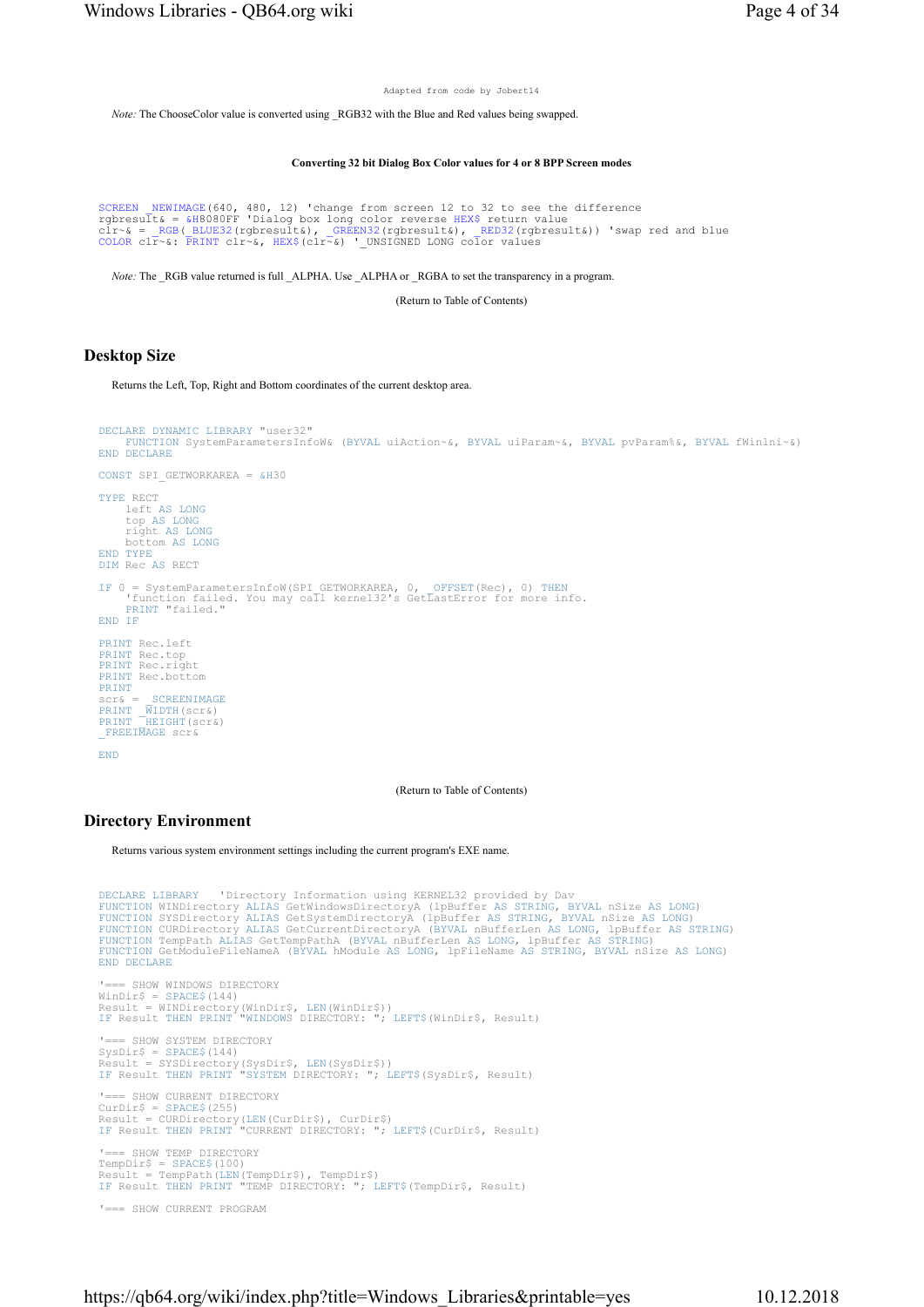Adapted from code by Jobert14

Note: The ChooseColor value is converted using RGB32 with the Blue and Red values being swapped.

Converting 32 bit Dialog Box Color values for 4 or 8 BPP Screen modes

```
SCREEN NEWIMAGE(640, 480, 12) 'change from screen 12 to 32 to see the difference<br>rgbresult& = &H8080FF 'Dialog box long color reverse HEX$ return value<br>clr^& = _RGB(_BLUE32(rgbresult&), _GREEN32(rgbresult&), _RED32(rgbresu
```
Note: The \_RGB value returned is full \_ALPHA. Use \_ALPHA or \_RGBA to set the transparency in a program.

(Return to Table of Contents)

#### Desktop Size

Returns the Left, Top, Right and Bottom coordinates of the current desktop area.

```
DECLARE DYNAMIC LIBRARY "user32" 
     FUNCTION SystemParametersInfoW& (BYVAL uiAction~&, BYVAL uiParam~&, BYVAL pvParam%&, BYVAL fWinlni~&) 
END DECLARE
CONST SPI GETWORKAREA = &H30
TYPE RECT 
      left AS LONG
 top AS LONG
 right AS LONG
 bottom AS LONG
END TYPE
DIM Rec AS RECT 
IF 0 = SystemParametersInfoW(SPI_GETWORKAREA, 0, _OFFSET(Rec), 0) THEN
 'function failed. You may call kernel32's GetLastError for more info. 
PRINT "failed." 
END IF
PRINT Rec.left 
PRINT Rec.top 
PRINT Rec.right 
PRINT Rec.bottom
PRINT<br>scr\&=scr& = _SCREENIMAGE<br>PRINT _WIDTH(scr&)<br>PRINT _HEIGHT(scr&)
_FREEIMAGE scr&
END
```
(Return to Table of Contents)

## Directory Environment

Returns various system environment settings including the current program's EXE name.

```
DECLARE LIBRARY 'Directory Information using KERNEL32 provided by Dav<br>FUNCTION WINDirectory ALIAS GetWindowsDirectoryA (1pBuffer AS STRING, BYVAL nSize AS LONG)<br>FUNCTION SYSDirectory ALIAS GetSystemDirectoryA (1pBuffer AS 
'=== SHOW WINDOWS DIRECTORY 
WinDir$ = SPACE$(144) 
Result = WINDirectory(WinDir$, LEN(WinDir$)) 
IF Result THEN PRINT "WINDOWS DIRECTORY: "; LEFT$(WinDir$, Result) 
     = SHOW SYSTEM DIRECTORY
SysDir$ = SPACE$(144) 
Result = SYSDirectory(SysDir$, LEN(SysDir$)) 
IF Result THEN PRINT "SYSTEM DIRECTORY: "; LEFT$(SysDir$, Result) 
'=== SHOW CURRENT DIRECTORY<br>CurDir$ = SPACE$(255)<br>Result = CURDirectory(LEN(CurDir$), CurDir$)<br>Result THEN PRINT "CURRENT DIRECTORY: "; LEFT$(CurDir$, Result)
'=== SHOW TEMP DIRECTORY 
TempDirS = SPACE$(100)Result = TempPath(LEN(TempDir$), TempDir$) 
IF Result THEN PRINT "TEMP DIRECTORY: "; LEFT$(TempDir$, Result) 
'=== SHOW CURRENT PROGRAM
```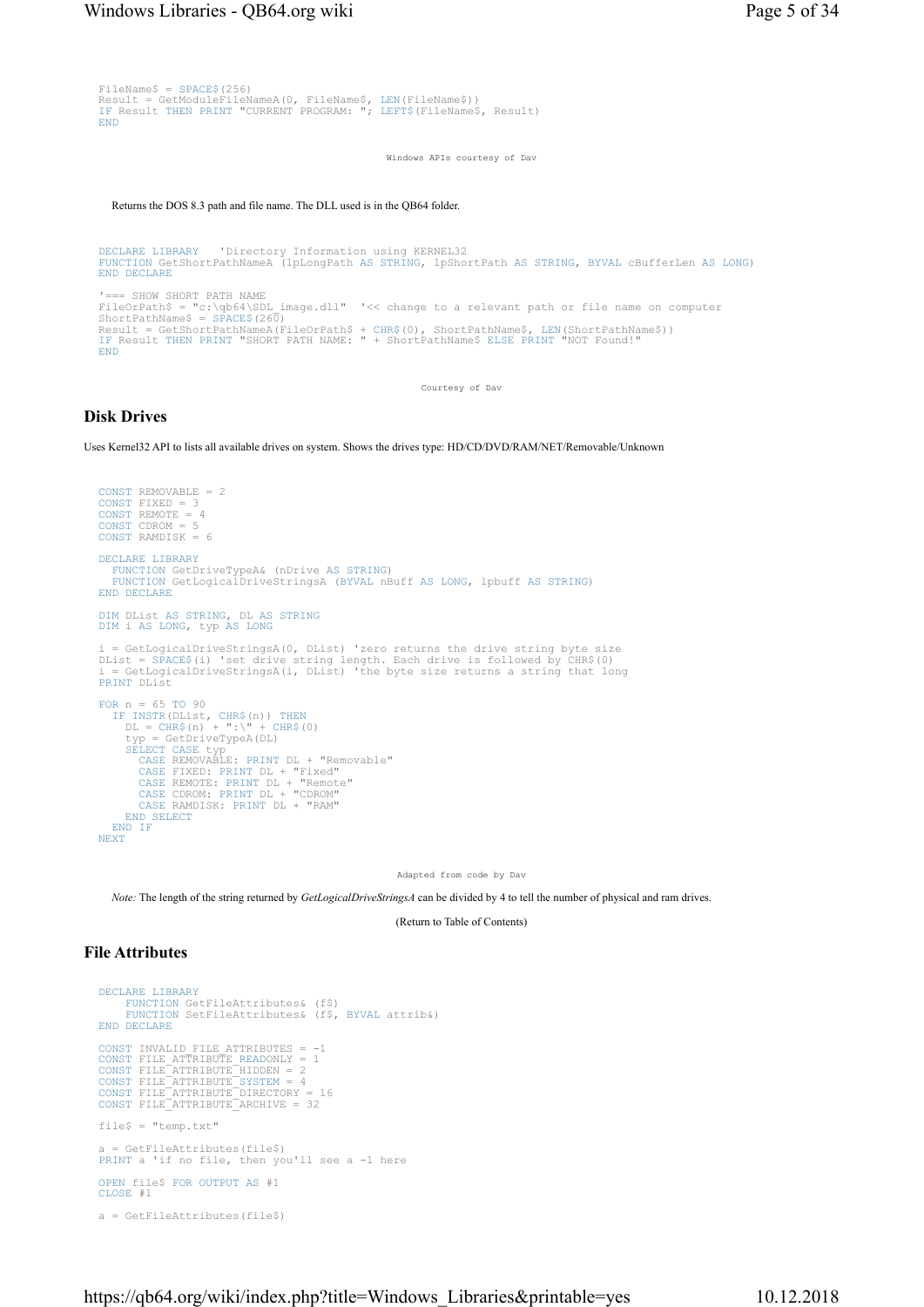```
FileName$ = SPACE$(256) 
Result = GetModuleFileNameA(0, FileName$, LEN(FileName$)) 
IF Result THEN PRINT "CURRENT PROGRAM: "; LEFT$(FileName$, Result) 
END
```
Windows APIs courtesy of Dav

Returns the DOS 8.3 path and file name. The DLL used is in the QB64 folder.

```
DECLARE LIBRARY 'Directory Information using KERNEL32 
FUNCTION GetShortPathNameA (lpLongPath AS STRING, lpShortPath AS STRING, BYVAL cBufferLen AS LONG) 
END DECLARE
'=== SHOW SHORT PATH NAME 
FileOrPath$ = "c:\qb64\SDL_image.dll" '<< change to a relevant path or file name on computer 
ShortPathName$ = SPACE$(260) 
Result = GetShortPathNameA(FileOrPath$ + CHR$(0), ShortPathName$, LEN(ShortPathName$))<br>IF Result THEN PRINT "SHORT PATH NAME: " + ShortPathName$ ELSE PRINT "NOT Found!"
END
```
Courtesy of Dav

#### Disk Drives

Uses Kernel32 API to lists all available drives on system. Shows the drives type: HD/CD/DVD/RAM/NET/Removable/Unknown

```
CONST REMOVABLE = 2 
CONST FIXED = 3 
CONST REMOTE = 4
CONST CDROM = 5 
CONST RAMDISK = 6 
DECLARE LIBRARY
    FUNCTION GetDriveTypeA& (nDrive AS STRING) 
FUNCTION GetLogicalDriveStringsA (BYVAL nBuff AS LONG, lpbuff AS STRING) 
END DECLARE
DIM DList AS STRING, DL AS STRING
DIM i AS LONG, typ AS LONG
  = GetLogicalDriveStringsA(0, DList) 'zero returns the drive string byte size
DList = SPACE$(i) 'set drive string length. Each drive is followed by CHR$(0) 
i = GetLogicalDriveStringsA(i, DList) 'the byte size returns a string that long 
PRINT DList 
FOR n = 65 TO 90 
IF INSTR(DList, CHR$(n)) THEN
 DL = CHR$(n) + ":\" + CHR$(0) 
 typ = GetDriveTypeA(DL) 
SELECT CASE typ 
         CASE REMOVABLE: PRINT DL + "Removable" 
          CASE FIXED: PRINT DL + "Fixed" 
CASE REMOTE: PRINT DL + "Remote" 
CASE CDROM: PRINT DL + "CDROM" 
CASE RAMDISK: PRINT DL + "RAM" 
      END SELECT
   END IF
NEXT<sub>1</sub>
```
Adapted from code by Dav

Note: The length of the string returned by GetLogicalDriveStringsA can be divided by 4 to tell the number of physical and ram drives.

(Return to Table of Contents)

### File Attributes

```
DECLARE LIBRARY
FUNCTION GetFileAttributes& (f$) 
      FUNCTION SetFileAttributes& (f$, BYVAL attrib&)
END DECLARE
CONST INVALID_FILE_ATTRIBUTES = -1<br>CONST FILE_ATTRIBUTE_READONLY = 1<br>CONST FILE_ATTRIBUTE_HIDDEN = 2<br>CONST FILE_ATTRIBUTE_SYSTEM = 4<br>CONST FILE_ATTRIBUTE_DIRECTORY = 16
CONST FILE_ATTRIBUTE_ARCHIVE = 32 
file$ = "temp.txt" 
a = GetFileAttributes(file$) 
PRINT a 'if no file, then you'll see a -1 here 
OPEN file$ FOR OUTPUT AS #1 
CLOSE #1 
a = GetFileAttributes(file$)
```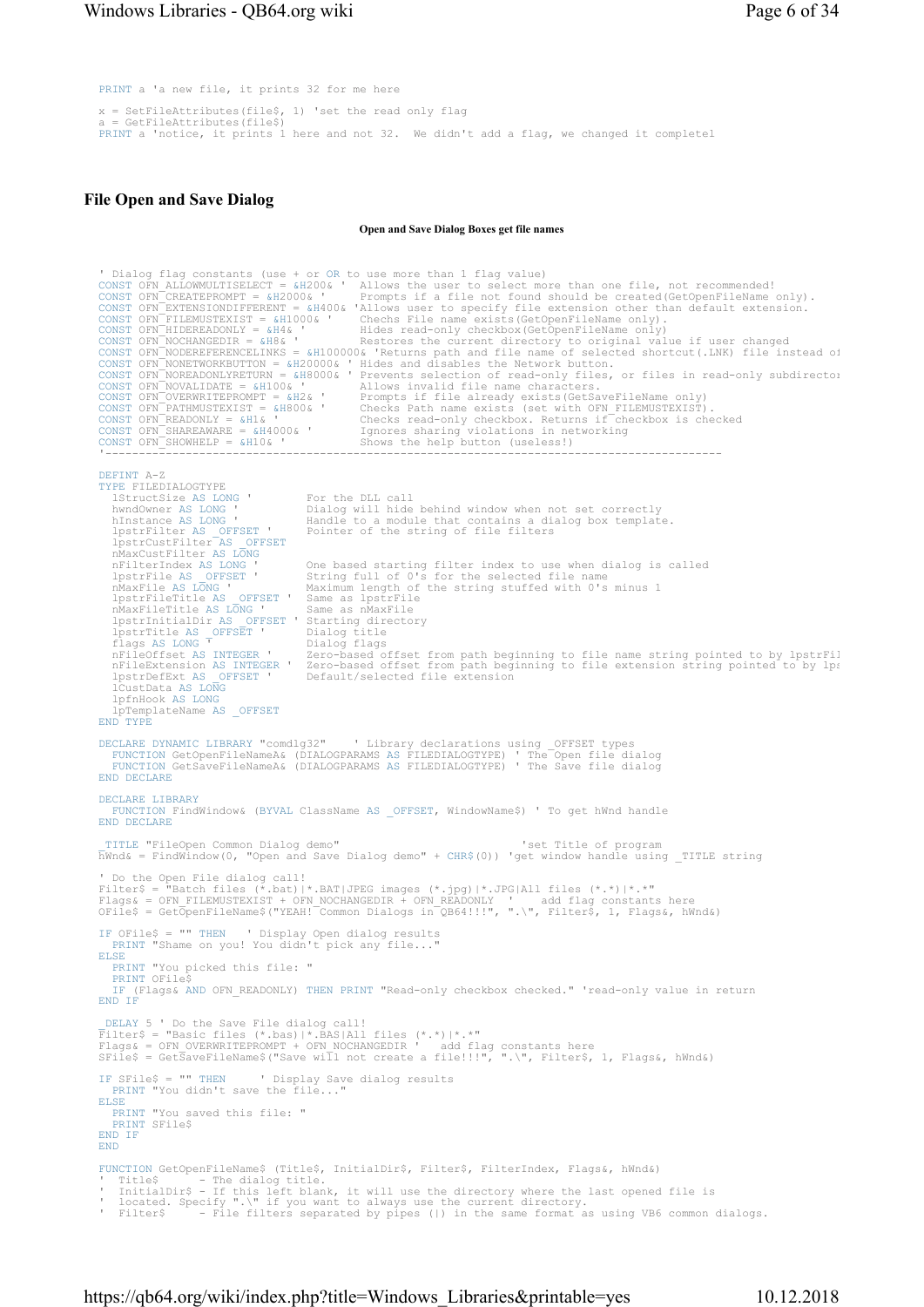PRINT a 'a new file, it prints 32 for me here

 $x = SetFileAttributes(file$, 1) 'set the read only flag$ GetFileAttributes(file\$) PRINT a 'notice, it prints 1 here and not 32. We didn't add a flag, we changed it completel

## File Open and Save Dialog

Open and Save Dialog Boxes get file names

```
' Dialog flag constants (use + or OR to use more than 1 flag value)<br>CONST OFN ALLOWMULTISELECT = &H200& ' Allows the user to select more than one file, not recommended!<br>CONST OFN CREATEPROMPT = &H200& ' Prompts if a file n
CONST OFN NOCHANGEDIR = &H8& '<br>
Restores the current directory to original value if user changed<br>
CONST OFN NODEREFERENCELINKS = &H100000& 'Returns path and file name of selected shortcut(.LNK) file instead of<br>
CONST OFN N
DEFINT A-Z 
TYPE FILEDIALOGTYPE 
    lStructSize AS LONG ' For the DLL call 
                                                      Dialog will hide behind window when not set correctly
hInstance AS LONG ' Handle to a module that contains a dialog box template.<br>lpstrFilter AS _OFFSET ' Pointer of the string of file filters
 lpstrCustFilter AS _OFFSET
 nMaxCustFilter AS LONG
    nFilterIndex AS LONG ' One based starting filter index to use when dialog is called 
 lpstrFile AS _OFFSET ' String full of 0's for the selected file name 
 nMaxFile AS LONG ' Maximum length of the string stuffed with 0's minus 1 
   lpstrFile AS _OFFSET ' String full of 0'<br>
nMaxFile AS LONG ' Maximum length of<br>
lpstrFileTitle AS _OFFSET ' Same as lpstrFile<br>
nMaxFileTitle AS LONG ' Same as nMaxFile
nMaxFileTitle AS LONG ' Same as nMaxFile<br>lpstrInitialDir AS _OFFSET ' Starting directory<br>lpstrTitle AS _OFFSET ' Dialog title<br>flags AS LONG <sup>T</sup> Dialog flags
nFileOffset AS INTEGER '    Zero-based offset from path beginning to file name string pointed to by lpstrFil<br>nFileExtension AS INTEGER '  Zero-based offset from path beginning to file extension string pointed to by lp:<br>lps
 lCustData AS LONG
 lpfnHook AS LONG
     lpTemplateName AS _OFFSET
END<sup>T</sup> TYPE
DECLARE DYNAMIC LIBRARY "comdlg32" ' Library declarations using _OFFSET types<br>FUNCTION GetOpenFileNameA& (DIALOGPARAMS AS FILEDIALOGTYPE) ' The Open file dialog<br>FUNCTION GetSaveFileNameA& (DIALOGPARAMS AS FILEDIALOGTYPE) '
END DECLARE
DECLARE LIBRARY
    FUNCTION FindWindow& (BYVAL ClassName AS _OFFSET, WindowName$) ' To get hWnd handle 
END DECLARE
_TITLE "FileOpen Common Dialog demo" 'set Title of program 
hWnd& = FindWindow(0, "Open and Save Dialog demo" + CHR$(0)) 'get window handle using _TITLE string 
' Do the Open File dialog call!<br>Filter$ = "Batch files (*.bat)|*.BAT|JPEG images (*.jpg)|*.JPG|All files (*.*)|*.*"<br>Flags& = OFN_FILEMUSTEXIST + OFN_NOCHANGEDIR + OFN_READONLY ' add flag constants here<br>OFile$ = GetOpenFile
IF OFile$ = "" THEN ' Display Open dialog results 
PRINT "Shame on you! You didn't pick any file..." 
ELSE
    PRINT "You picked this file: " 
PRINT OFile$ 
    IF (Flags& AND OFN_READONLY) THEN PRINT "Read-only checkbox checked." 'read-only value in return 
END IF
DELAY 5 ' Do the Save File dialog call!<br>Filter$ = "Basic files (*.bas)|*.BAS|All files (*.*)|*.*"<br>Flags& = OFN OVERWRITEPROMPT + OFN NOCHANGEDIR ' add flag constants here<br>SFile$ = Get3aveFileName$("Save will not create a f
IF SFile$ = "" THEN ' Display Save dialog results 
PRINT "You didn't save the file..." 
ELSE
PRINT "You saved this file: " 
PRINT SFile$ 
END IF
END
FUNCTION GetOpenFileName$ (Title$, InitialDir$, Filter$, FilterIndex, Flags&, hWnd&)<br>' Title$ - The dialog title.<br>' InitialDir$ - If this left black it will see the st
 ' Title$ - The dialog title.<br>' InitialDir$ - If this left blank, it will use the directory where the last opened file is<br>' located. Specify ".\" if you want to always use the current directory.
' Filter$ - File filters separated by pipes (|) in the same format as using VB6 common dialogs.
```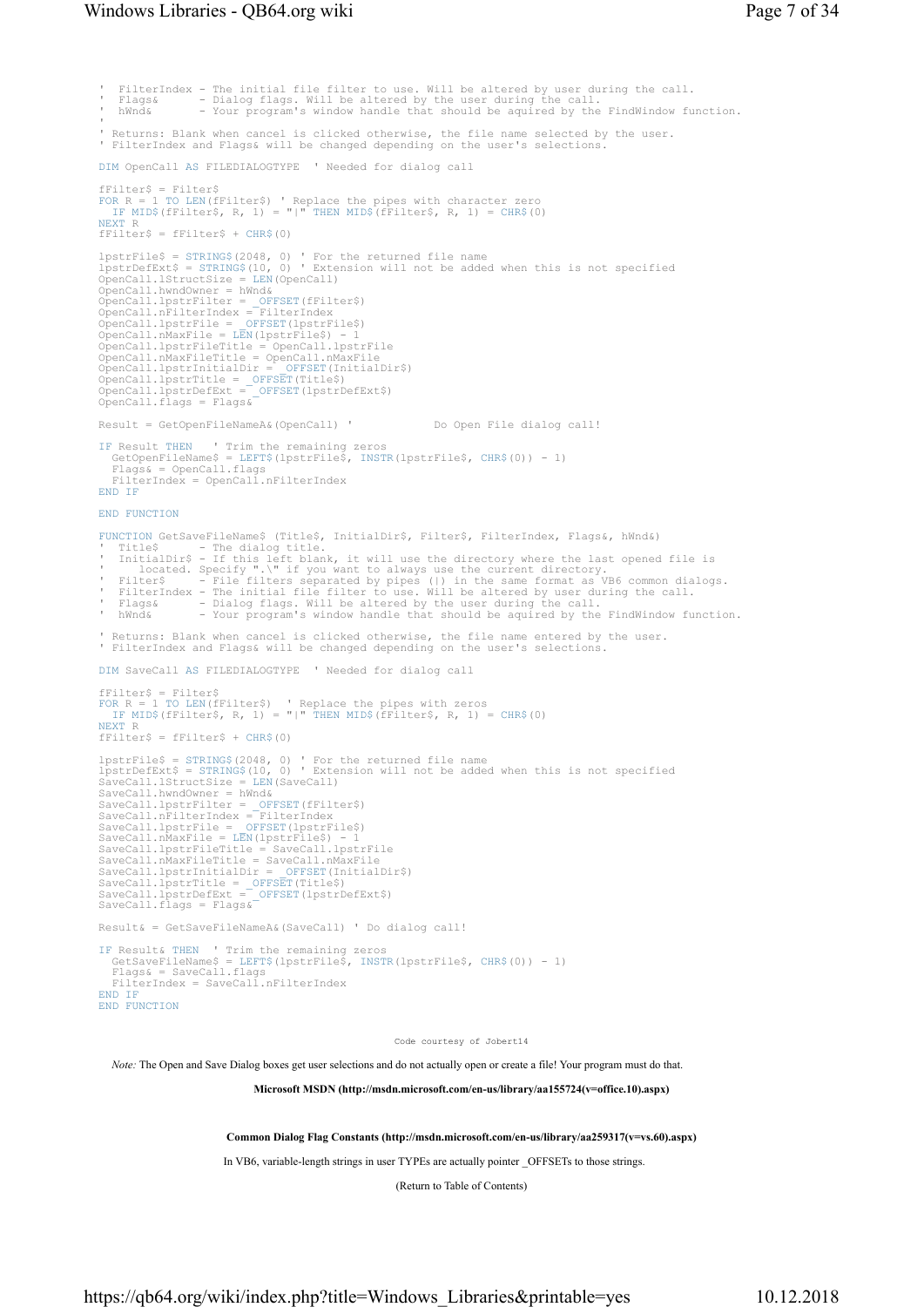### Windows Libraries - QB64.org wiki Page 7 of 34

```
FilterIndex - The initial file filter to use. Will be altered by user during the call.<br>Flaqs& - Dialoq flags. Will be altered by the user during the call.
 ' Flags& - Dialog flags. Will be altered by the user during the call. 
' hWnd& - Your program's window handle that should be aquired by the FindWindow function. 
 ' 
' Returns: Blank when cancel is clicked otherwise, the file name selected by the user. 
' FilterIndex and Flags& will be changed depending on the user's selections. 
DIM OpenCall AS FILEDIALOGTYPE ' Needed for dialog call 
fFilter$ = Filter$ 
FOR R = 1 TO LEN(fFilter$) ' Replace the pipes with character zero 
IF MID$(fFilter$, R, 1) = "|" THEN MID$(fFilter$, R, 1) = CHR$(0) 
NEXT R 
fFilter$ = fFilter$ + CHR$(0) 
lpstrFile$ = STRING$(2048, 0) ' For the returned file name 
lpstrDefExt$ = STRING$(10, 0) ' Extension will not be added when this is not specified 
OpenCall.lStructSize = LEN(OpenCall) 
OpenCall.hwndOwner = hWnd& 
OpenCall.lpstrFilter = _OFFSET(fFilter$)<br>OpenCall.lpstrFilter = _OFFSET(fFilter$)
OpenCall.nFilterIndex = FilterIndex<br>OpenCall.pstrFile = OFFSET(lpstrFile$)<br>OpenCall.nMaxFile = LEN(lpstrFile$) - 1<br>OpenCall.nMaxFile=IEN(lpstrFile$) - 1<br>OpenCall.nMaxFileTitle = OpenCall.nMaxFile<br>OpenCall.lpstrThitialDir =
Result = GetOpenFileNameA&(OpenCall) ' Do Open File dialog call! 
IF Result THEN ' Trim the remaining zeros 
 GetOpenFileName$ = LEFT$(lpstrFile$, INSTR(lpstrFile$, CHR$(0)) - 1) 
 Flags& = OpenCall.flags 
 FilterIndex = OpenCall.nFilterIndex 
END IF
END FUNCTION
FUNCTION GetSaveFileName$ (Title$, InitialDir$, Filter$, FilterIndex, Flags&, hWnd&)
 Title$ - The dialog title.<br>
InitialDir$ - If this left blank, it will use the directory where the last opened file is<br>
' located. Specify ".\" if you want to always use the current directory.<br>
' Filter$ - File filters sepa
 ' Returns: Blank when cancel is clicked otherwise, the file name entered by the user. 
' FilterIndex and Flags& will be changed depending on the user's selections. 
DIM SaveCall AS FILEDIALOGTYPE ' Needed for dialog call 
fFinter$ = Finter$<br>FOR R = 1 TO LEN(f
FOR R = 1 TO LEN(fFilter$) ' Replace the pipes with zeros 
IF MID$(fFilter$, R, 1) = "|" THEN MID$(fFilter$, R, 1) = CHR$(0) 
NEXT R 
fFilter$ = fFilter$ + CHRS(0)lpstrFile$ = STRING$(2048, 0) ' For the returned file name 
lpstrDefExt$ = STRING$(10, 0) ' Extension will not be added when this is not specified 
SaveCall.lStructSize = LEN(SaveCall) 
SaveCall.hwndOwner = hWnd& 
SaveCall.lpstrFilter = _OFFSET(fFilter$) 
SaveCall.nFilterIndex = FilterIndex 
SaveCall.lpstrFile = _OFFSET(lpstrFile$) 
SaveCall.nMaxFile = LEN(lpstrFile$) - 1 
SaveCall.lpstrFileTitle = SaveCall.lpstrFile 
SaveCall.nMaxFileTitle = SaveCall.nMaxFile<br>SaveCall.lpstrInitialDir = OFFSET(InitialDir$)<br>SaveCall.lpstrTletle = _OFFSET(Title$)<br>SaveCall.lpstrDefExt = _OFFSET(lpstrDefExt$)<br>SaveCall.flags = Flags&
Result& = GetSaveFileNameA&(SaveCall) ' Do dialog call! 
IF Result& THEN ' Trim the remaining zeros 
 GetSaveFileName$ = LEFT$(lpstrFile$, INSTR(lpstrFile$, CHR$(0)) - 1) 
 Flags& = SaveCall.flags 
    FilterIndex = SaveCall.nFilterIndex 
END IF
END FUNCTION
                                                                               Code courtesy of Jobert14
   Note: The Open and Save Dialog boxes get user selections and do not actually open or create a file! Your program must do that.
```
Microsoft MSDN (http://msdn.microsoft.com/en-us/library/aa155724(v=office.10).aspx)

Common Dialog Flag Constants (http://msdn.microsoft.com/en-us/library/aa259317(v=vs.60).aspx)

In VB6, variable-length strings in user TYPEs are actually pointer \_OFFSETs to those strings.

(Return to Table of Contents)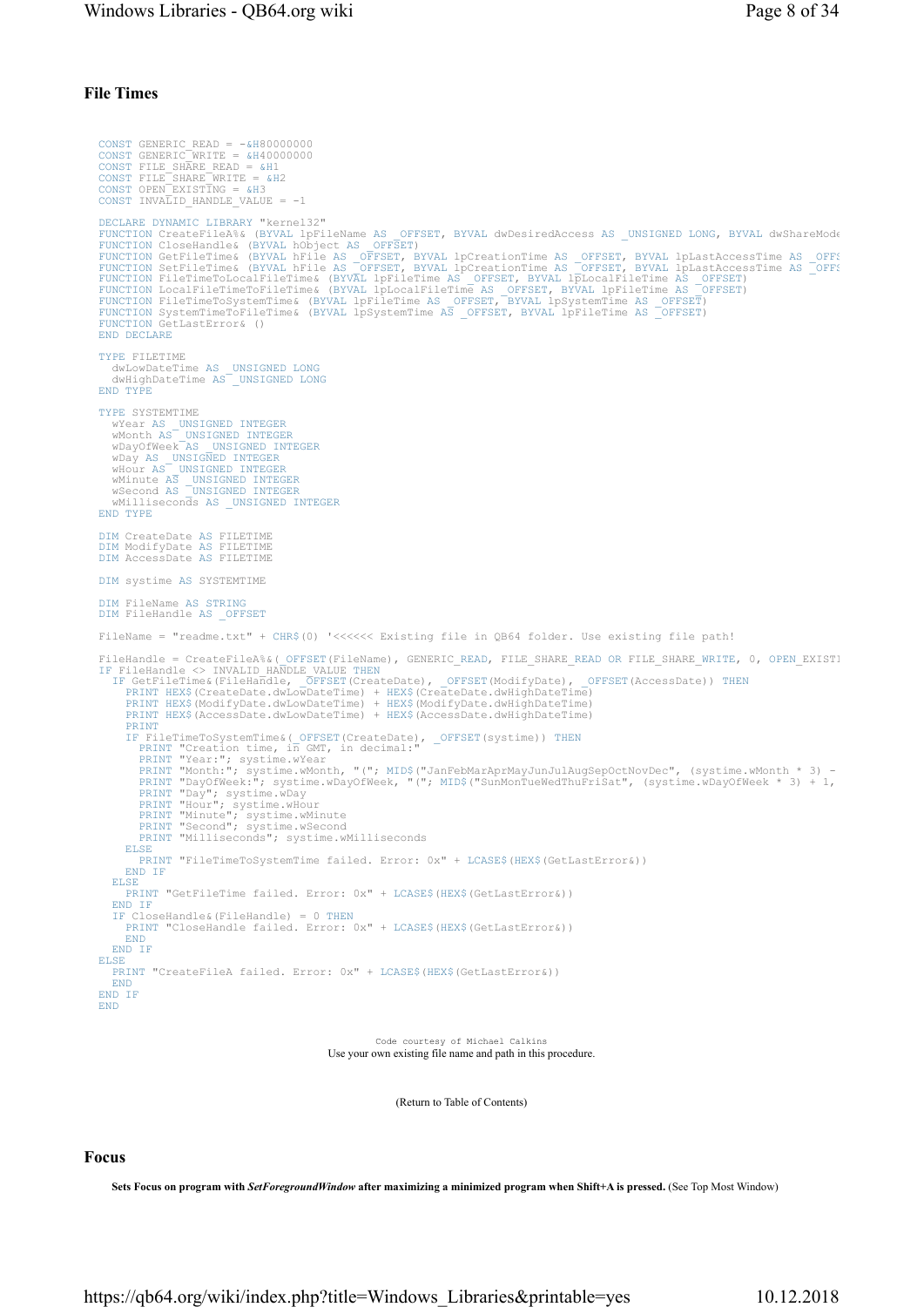## File Times

```
CONST GENERIC_READ = -&H80000000<br>CONST GENERIC_WRITE = &H4000000<br>CONST FILE_SHARE_READ = &H1<br>CONST FILE_SHARE_WRITE = &H2<br>CONST OPEN_EXISTING = &H3
CONST INVALID HANDLE VALUE = -1DECLARE DYNAMIC LIBRARY "kernel32"<br>FUNCTION CreateFileA% (BYVAL lpFileName AS OFFSET, BYVAL dwDesiredAccess AS _UNSIGNED LONG, BYVAL dwShareMode<br>FUNCTION CloseHandle& (BYVAL hDFileName AS OFFSET)<br>FUNCTION GetFileTime& (BYV
FUNCTION GetLastError& () 
END DECLARE
TYPE FILETIME 
 dwLowDateTime AS _UNSIGNED LONG
 dwHighDateTime AS _UNSIGNED LONG
END TYPE
TYPE SYSTEMTIME<br>
Wear AS UNSIGNED INTEGER<br>
Whonth AS UNSIGNED INTEGER<br>
wDayOfWeek AS UNSIGNED INTEGER<br>
wDay AS UNSIGNED INTEGER<br>
wHour AS UNSIGNED INTEGER<br>
wHour AS UNSIGNED INTEGER<br>
wMinute AS UNSIGNED INTEGER<br>
wMelliseco
DIM CreateDate AS FILETIME 
DIM ModifyDate AS FILETIME 
DIM AccessDate AS FILETIME 
DIM systime AS SYSTEMTIME 
DIM FileName AS STRING
DIM FileHandle AS _OFFSET
FileName = "readme.txt" + CHR$(0) '<<<<<< Existing file in QB64 folder. Use existing file path! 
FileHandle = CreateFileA%&(_OFFSET(FileName), GENERIC_READ, FILE_SHARE_READ OR FILE_SHARE_WRITE, 0, OPEN_EXIST!<br>IF FileHandle <> INVALID_HANDLE VALUE THEN<br>IF GetFileTime&(FileHandle), _OFFSET(CreateDate), _OFFSET(ModifyDat
       PRINT HEX$(AccessDate.dwLowDateTime) + HEX$(AccessDate.dwHighDateTime)<br>PRINT HEX$(AccessDate.dwLowDateTime) + HEX$(AccessDate.dwHighDateTime)
       PRINT
IF FileTimeToSystemTime&(_OFFSET(CreateDate), _OFFSET(systime)) THEN
PRINT "Creation time, in GMT, in decimal:" 
           PRINT "Year:"; systime.wYear<br>PRINT "Month:"; systime.wMonth, "("; MID$("JanFebMarAprMayJunJulAugSepOctNovDec", (systime.wMonth * 3) -<br>PRINT "DayOfWeek:"; systime.wDayOfWeek, "("; MID$("SunMonTueWedThuFriSat", (systime.wDay
           PRINT "Hour"; systime.wHour<br>PRINT "Minute"; systime.wMinute<br>PRINT "Second"; systime.wSecond<br>PRINT "Milliseconds"; systime.wMilliseconds
       ELSE
          PRINT "FileTimeToSystemTime failed. Error: 0x" + LCASE$(HEX$(GetLastError&)) 
       END IF
   ELSE
       PRINT "GetFileTime failed. Error: 0x" + LCASE$(HEX$(GetLastError&)) 
   END IF<br>TF Clo
        Closelandel & (FileHandle) = 0 THENPRINT "CloseHandle failed. Error: 0x" + LCASE$(HEX$(GetLastError&)) 
       END
   END IF
ELSE
   PRINT "CreateFileA failed. Error: 0x" + LCASE$(HEX$(GetLastError&)) 
   END
END IF
END
                                                                         Code courtesy of Michael Calkins
```
Use your own existing file name and path in this procedure.

(Return to Table of Contents)

### Focus

Sets Focus on program with SetForegroundWindow after maximizing a minimized program when Shift+A is pressed. (See Top Most Window)

https://qb64.org/wiki/index.php?title=Windows\_Libraries&printable=yes 10.12.2018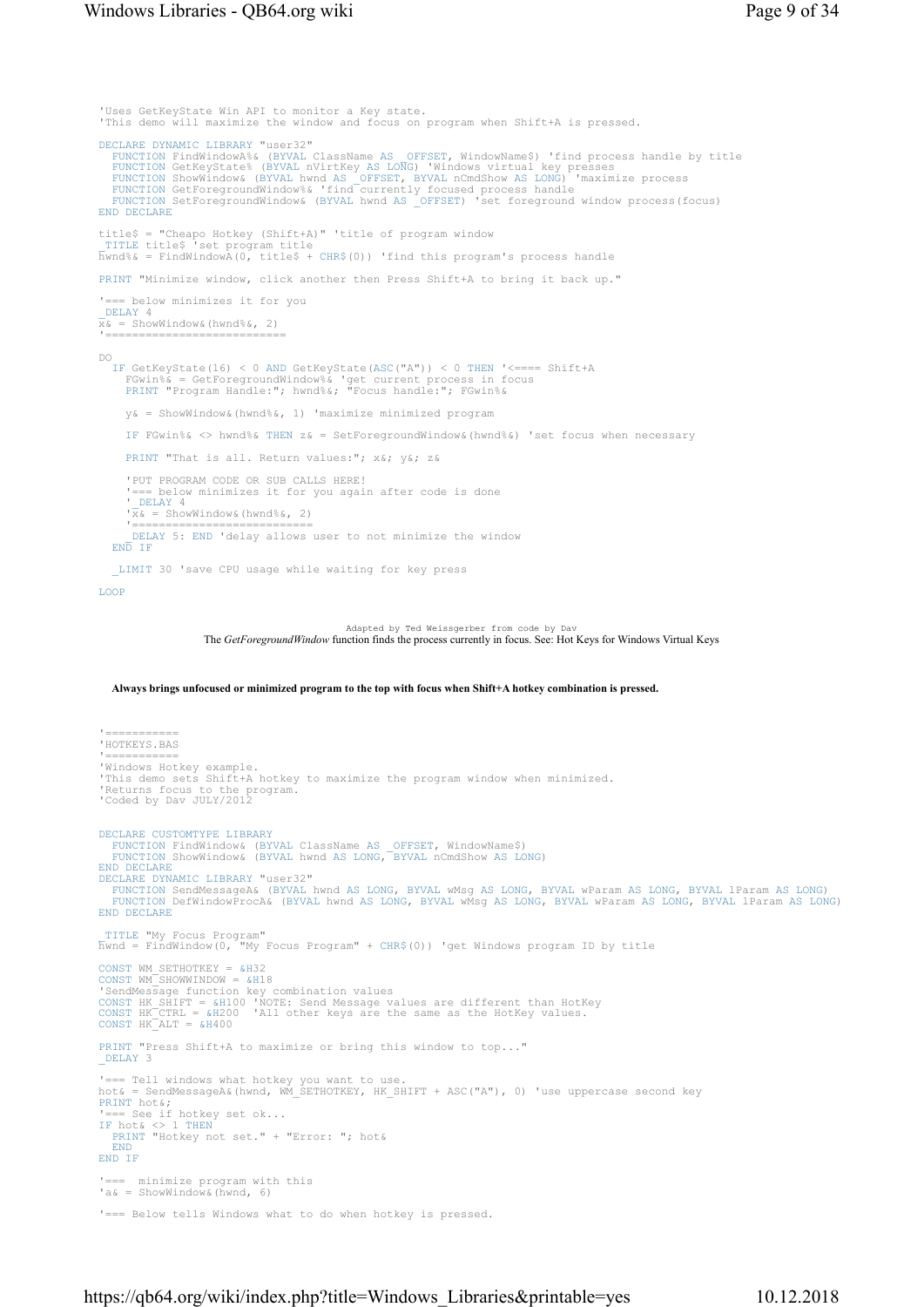## Windows Libraries - QB64.org wiki Page 9 of 34

'Uses GetKeyState Win API to monitor a Key state. 'This demo will maximize the window and focus on program when Shift+A is pressed. DECLARE DYNAMIC LIBRARY "user32" FUNCTION FindWindowA%& (BYVAL ClassName AS OFFSET, WindowName\$) 'find process handle by title<br>FUNCTION GetKeyState% (BYVAL nVirtKey AS LONG) 'Windows virtual key presses<br>FUNCTION ShowWindow& (BYVAL hwnd AS \_OFFSET, BYVAL n END DECLARE title\$ = "Cheapo Hotkey (Shift+A)" 'title of program window \_TITLE title\$ 'set program title hwnd%& = FindWindowA(0, title\$ + CHR\$(0)) 'find this program's process handle PRINT "Minimize window, click another then Press Shift+A to bring it back up." = below minimizes it for you DELAY 4  $x_k =$  ShowWindow&(hwnd%&, 2) '============================= DO IF GetKeyState(16) < 0 AND GetKeyState(ASC("A")) < 0 THEN '<==== Shift+A FGwin%& = GetForegroundWindow%& 'get current process in focus PRINT "Program Handle:"; hwnd%&; "Focus handle:"; FGwin%& y& = ShowWindow&(hwnd%&, 1) 'maximize minimized program IF FGwin%& <> hwnd%& THEN z& = SetForegroundWindow&(hwnd%&) 'set focus when necessary PRINT "That is all. Return values:"; x&; y&; z& 'PUT PROGRAM CODE OR SUB CALLS HERE! '=== below minimizes it for you again after code is done DELAY 4  $x^2 \times 1 = 2$ <br>  $y^2 = 2$ <br>  $y^2 = 2$ <br>  $y^2 = 2$ <br>  $y^2 = 2$ <br>  $y^2 = 2$ <br>  $y^2 = 2$ <br>  $y^2 = 2$ <br>  $y^2 = 2$ <br>  $y^2 = 2$ <br>  $y^2 = 2$ <br>  $y^2 = 2$ <br>  $y^2 = 2$ <br>  $y^2 = 2$ <br>  $y = 2$ <br>  $y = 2$ <br>  $y = 2$ <br>  $y = 2$  '=========================== \_DELAY 5: END 'delay allows user to not minimize the window END IF \_LIMIT 30 'save CPU usage while waiting for key press LOOP

> Adapted by Ted Weissgerber from code by Dav The GetForegroundWindow function finds the process currently in focus. See: Hot Keys for Windows Virtual Keys

#### Always brings unfocused or minimized program to the top with focus when Shift+A hotkey combination is pressed.

'==========<br>'HOTKEYS.BAS '=========== 'Windows Hotkey example. 'This demo sets Shift+A hotkey to maximize the program window when minimized. 'Returns focus to the program. 'Coded by Dav JULY/2012 DECLARE CUSTOMTYPE LIBRARY FUNCTION FindWindow& (BYVAL ClassName AS \_OFFSET, WindowName\$) FUNCTION ShowWindow& (BYVAL hwnd AS LONG, BYVAL nCmdShow AS LONG) END DECLARE DECLARE DYNAMIC LIBRARY "user32"<br>FUNCTION SendMessageA& (BYVAL hwnd AS LONG, BYVAL wMsg AS LONG, BYVAL wParam AS LONG, BYVAL lParam AS LONG)<br>FUNCTION DefWindowProcA& (BYVAL hwnd AS LONG, BYVAL wMsg AS LONG, BYVAL wParam AS END DECLARE \_TITLE "My Focus Program" hwnd = FindWindow(0, "My Focus Program" + CHR\$(0)) 'get Windows program ID by title CONST WM\_SETHOTKEY = &H32 CONST WM SHOWWINDOW = &H18 'SendMessage function key combination values<br>CONST HK\_SHIFT = &H100 'NOTE: Send Message values are different than HotKey<br>CONST HK\_CTRL = &H200 'All other keys are the same as the HotKey values.<br>CONST HK\_ALT = &H400 PRINT "Press Shift+A to maximize or bring this window to top...' DELAY 3 '=== Tell windows what hotkey you want to use. hot& = SendMessageA&(hwnd, WM\_SETHOTKEY, HK\_SHIFT + ASC("A"), 0) 'use uppercase second key PRINT hot&; '=== See if hotkey set ok...<br>IF hot& <> 1 THEN<br>PRINT "Hotkey not set." + "Error: "; hot& END END IF '=== minimize program with this 'a& = ShowWindow&(hwnd, 6) '=== Below tells Windows what to do when hotkey is pressed.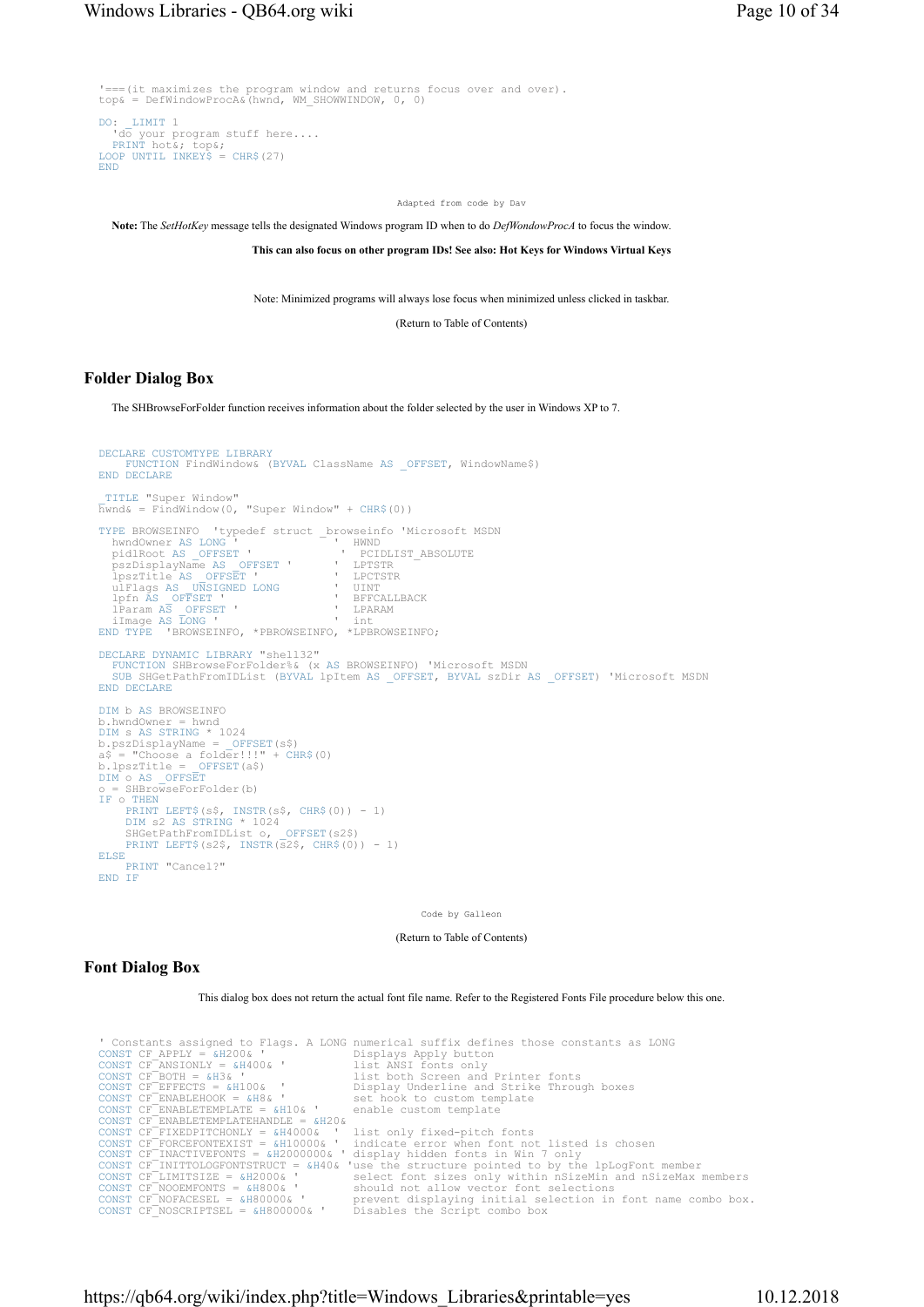```
'===(it maximizes the program window and returns focus over and over). 
top& = DefWindowProcA&(hwnd, WM_SHOWWINDOW, 0, 0)
DO: LIMIT 1
 'do your program stuff here.... 
PRINT hot&; top&; 
LOOP UNTIL INKEYS = CHR$(27)END
```
Adapted from code by Dav

Note: The SetHotKey message tells the designated Windows program ID when to do DefWondowProcA to focus the window.

This can also focus on other program IDs! See also: Hot Keys for Windows Virtual Keys

Note: Minimized programs will always lose focus when minimized unless clicked in taskbar.

(Return to Table of Contents)

#### Folder Dialog Box

The SHBrowseForFolder function receives information about the folder selected by the user in Windows XP to 7.

```
DECLARE CUSTOMTYPE LIBRARY
       FUNCTION FindWindow& (BYVAL ClassName AS _OFFSET, WindowName$) 
END DECLARE
  _TITLE "Super Window" 
\overline{h}wnd& = FindWindow(0, "Super Window" + CHR$(0))
TYPE BROWSEINFO 'typedef struct _browseinfo 'Microsoft MSDN<br>
hwndOwner AS LONG ' HWND<br>
pidlRoot AS _OFFSET ' ' ' PCIDLIST_ABSOLUTE<br>
pszDisplayName AS OFFSET ' ' PETTR
 hwndOwner AS LONG ' ' ' ' HWND<br>pidlRoot AS _OFFSET ' ' ' PCIDLIST_ABSOLUTE
     pszDisplayName AS _OFFSET ' ' LPTSTR 
  lpszTitle AS _OFFSET ' ' LPCTSTR 
 ulFlags AS _UNSIGNED LONG ' UINT 
 lpfn AS _OFFSET ' ' BFFCALLBACK 
 lParam AS _OFFSET ' ' LPARAM 
 iImage AS LONG ' ' int 
END TYPE 'BROWSEINFO, *PBROWSEINFO, *LPBROWSEINFO; 
DECLARE DYNAMIC LIBRARY "shell32" 
    FUNCTION SHBrowseForFolder%& (x AS BROWSEINFO) 'Microsoft MSDN 
SUB SHGetPathFromIDList (BYVAL lpItem AS _OFFSET, BYVAL szDir AS _OFFSET) 'Microsoft MSDN 
END DECLARE
DIM b AS BROWSEINFO<br>b.hwndOwner = hwnd
 b.hwndOwner = hwnd<br>DIM s AS STRING * 1024<br>b.pszDisplayName = _OFFSET(s$)<br>a$ = "Choose a folder!!!" + CHR$(0)<br>b.lpszTitle = _OFFSET<br>DIM o AS _OFFSET<br>o = SHBrowseForFolder(b)
 IF o THEN
PRINT LEFT$(s$, INSTR(s$, CHR$(0)) - 1) 
 DIM s2 AS STRING * 1024 
 SHGetPathFromIDList o, _OFFSET(s2$) 
       PRINT LEFT$(s2$, INSTR(\frac{1}{525}, CHR$(0)) - 1)
ELSE
       PRINT "Cancel?" 
END IF
```
Code by Galleon

```
(Return to Table of Contents)
```
### Font Dialog Box

This dialog box does not return the actual font file name. Refer to the Registered Fonts File procedure below this one.

```
'Constants assigned to Flags. A LONG unmerical suffix defines those constants as LONG<br>CONST CF_APBLY = &H400& ' list ANSI fonts only<br>CONST CF_BOTH = &H36'<br>CONST CF_BOTH = &H36'<br>CONST CF_BOTH = &H36' list ANSI fonts only<br>CO
```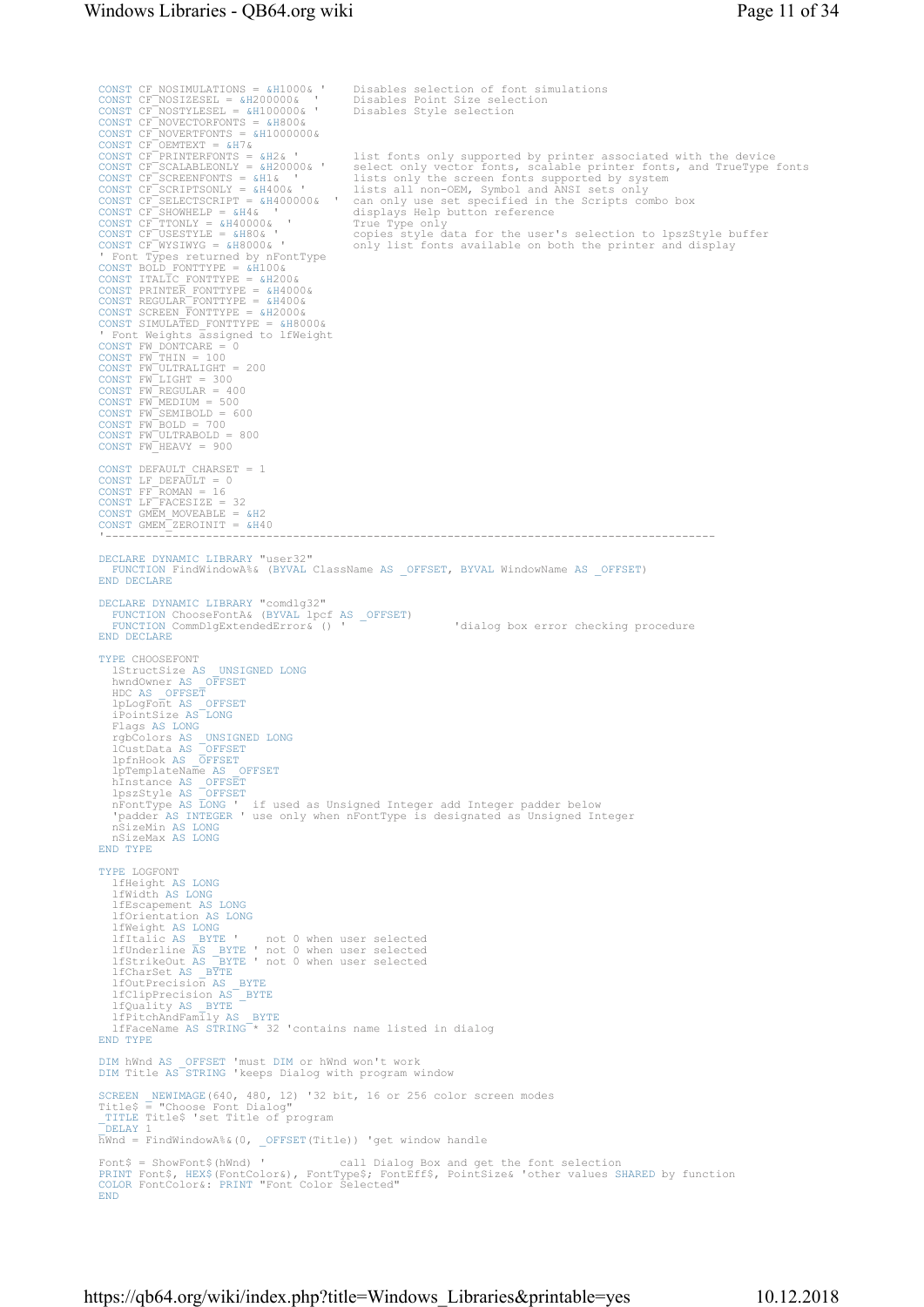CONST CF\_NOSIMULATIONS = &H1000& ' Disables selection of font simulations<br>CONST CF\_NOSIZESEL = &H200000& ' Disables Point Size selection<br>CONST CF\_NOSIYLESEL = &H100000& ' Disables Style selection<br>CONST CF\_NOVECTORFONTS = & list fonts only supported by printer associated with the device CONST CF\_SCALABLEONLY = &H20000& ' select only vector fonts, scalable printer fonts, and TrueType fonts CONST CF\_SCREENFONTS = &H1& ' lists only the screen fonts supported by system CONST CF\_SCRIPTSONLY = &H400& ' lists all non-OEM, Symbol and ANSI sets only and ANSI sets only in the Scripts combo box<br>CONST CF\_SELECTSCRIPT = &H400000& ' can only use set specified in the Scripts combo box CONST CF\_SHOWHELP = &H4& ' displays Help button reference CONST CF\_TTONLY = &H40000& ' True Type only True Type only<br>copies style data for the user's selection to lpszStyle buffer only list fonts available on both the printer and display ' Font Types returned by nFontType<br>
CONST BOLD FONTTYPE = &H100&<br>
CONST ITALIC FONTTYPE = &H100&<br>
CONST PRINTER\_FONTTYPE = &H400&<br>
CONST REGULAR\_FONTTYPE = &H400&<br>
CONST SCREEN\_FONTTYPE = &H400&<br>
CONST SIMULATED\_FONTTYPE = CONST DEFAULT CHARSET = 1<br>CONST LF\_DEFAULT = 0<br>CONST FF\_ROMAN = 16<br>CONST LF\_FACESIZE = 32 CONST GMEM\_MOVEABLE = &H2 CONST GMEM\_ZEROINIT = &H40 '------------------------------------------------------------------------------------------- DECLARE DYNAMIC LIBRARY "user32" FUNCTION FindWindowA%& (BYVAL ClassName AS \_OFFSET, BYVAL WindowName AS \_OFFSET) END DECLARE DECLARE DYNAMIC LIBRARY "comdlg32" FUNCTION ChooseFontA& (BYVAL lpcf AS \_OFFSET) FUNCTION CommDlgExtendedError& () ' 'dialog box error checking procedure END DECLARE TYPE CHOOSEFONT 1StructSize AS \_UNSIGNED LONG<br>hwndOwner AS \_OFFSET<br>HDC AS \_OFFSET<br>1pLogFont AS \_OFFSET<br>iPointSize AS LONG Flags AS LONG<br>rgbColors AS \_OFFSET<br>lCustData AS \_OFFSET<br>lpfnHook AS \_OFFSET<br>lpTemplateName AS \_OFFSET hInstance AS \_OFFSET lpszStyle AS \_OFFSET nFontType AS LONG ' if used as Unsigned Integer add Integer padder below 'padder AS INTEGER ' use only when nFontType is designated as Unsigned Integer nSizeMin AS LONG nSizeMax AS LONG END TYPE TYPE LOGFONT lfHeight AS LONG lfWidth AS LONG lfEscapement AS LONG lfOrientation AS LONG lfWeight AS LONG<br>
lfItalic AS \_BYTE ' not 0 when user selected<br>
lfUnderline AS \_BYTE ' not 0 when user selected<br>
lfCharSet AS \_BYTE<br>
lfCharSet AS \_BYTE lfOutPrecision AS \_BYTE lfClipPrecision AS \_BYTE lfQuality AS \_BYTE lfPitchAndFamily AS \_BYTE lfFaceName AS STRING \* 32 'contains name listed in dialog END TYPE DIM hWnd AS \_OFFSET 'must DIM or hWnd won't work DIM Title AS STRING 'keeps Dialog with program window SCREEN \_NEWIMAGE(640, 480, 12) '32 bit, 16 or 256 color screen modes \_<br>Title\$ = "Choose Font Dialog" \_TITLE Title\$ 'set Title of program \_DELAY 1 hWnd = FindWindowA%&(0, \_OFFSET(Title)) 'get window handle Font\$ = ShowFont\$(hWnd) ' call Dialog Box and get the font selection<br>PRINT Font\$, HEX\$(FontColor&), FontType\$; FontEff\$, PointSize& 'other values SHARED by function<br>COLOR FontColor&: PRINT "Font Color Selected" END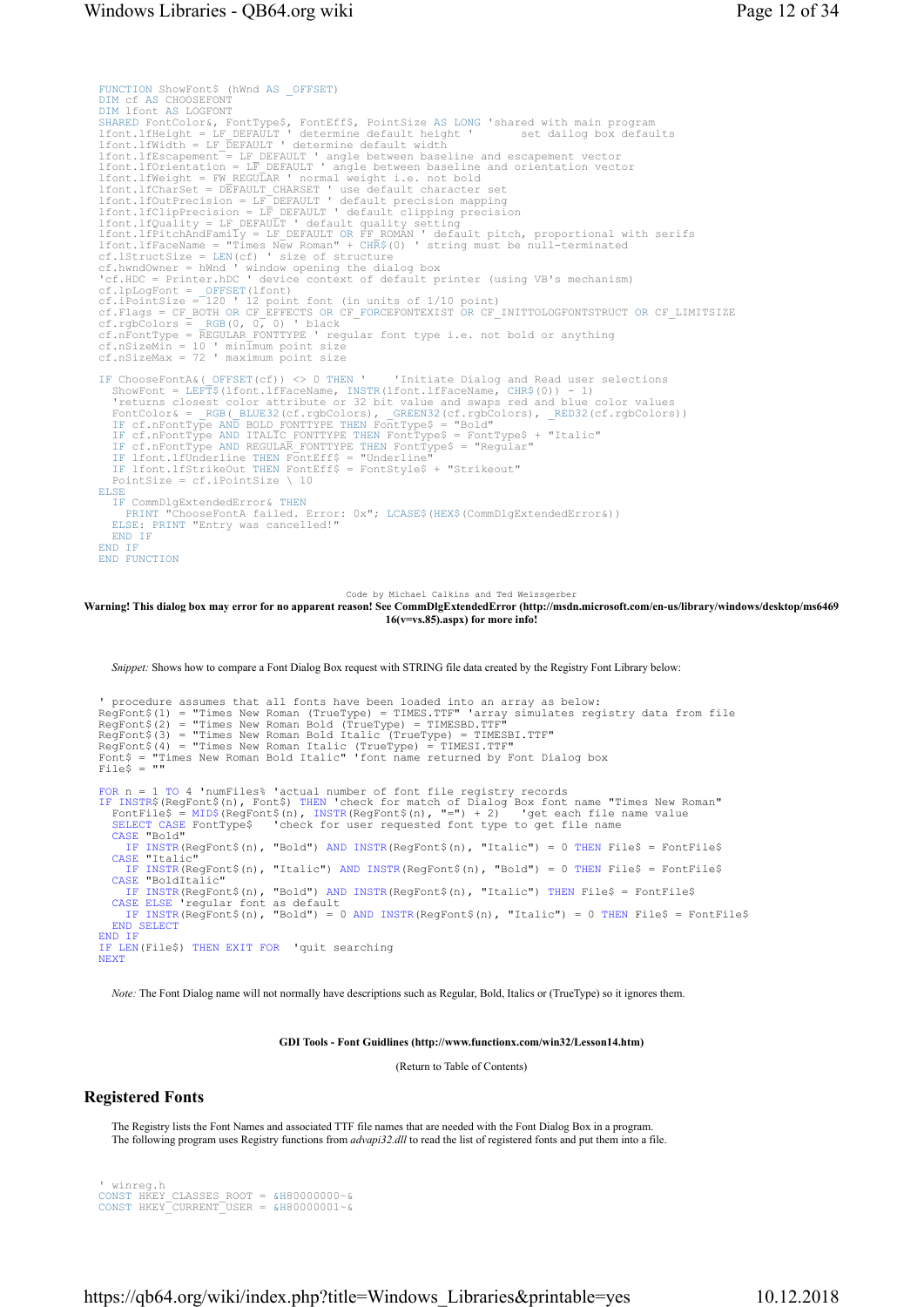```
FUNCTION ShowFont$ (hWnd AS _OFFSET)<br>DIM cf AS CHOOSEFONT
DIM of AS CHOOSEFONT<br>DIM Ifont AS LOGFONT<br>SHARED FONCCOIOT&, FONCTYPES, FONCEFFS, PointSize AS LONG 'shared with main program<br>1font.1fHeight = LF_DEFAULT ' determine default height 'set dailog box defaults<br>1font.1fWidth = 
lfont.lfCharSet = DEFAULT CHARSET ' use default character set<br>1font.lfChurPrecision = LF DEFAULT ' default precision mapping<br>1font.lfClupPrecision = LF DEFAULT ' default clipping precision<br>1font.lfQuality = LF DEFAULT ' de
cf.Flags = CF_BOTH OR CF_EFFECTS OR CF_FORCEFONTEXIST OR CF_INITTOLOGFONTSTRUCT OR CF_LIMITSIZE<br>cf.rgbColors = RGB(0, 0, 0) 'black<br>cf.nFontType = REGULAR_FONTTYPE ' regular font type i.e. not bold or anything<br>cf.nSizeMin =
cf.nSizeMax = 72 ' maximum point size 
IF ChooseFontA&(OFFSET(cf)) <> 0 THEN 'Initiate Dialog and Read user selections<br>ShowFont = LEFT$(1font.1fFaceName, INSTR(1fnceName, CHR$(0)) - 1)<br>'returns closest color attribute or 32 bit value and swaps red and blue colo
ELSE
     IF CommDlgExtendedError& THEN
PRINT "ChooseFontA failed. Error: 0x"; LCASE$(HEX$(CommDlgExtendedError&)) 
ELSE: PRINT "Entry was cancelled!" 
END IF
END IF
END FUNCTION
```
Code by Michael Calkins and Ted Weissgerber

#### Warning! This dialog box may error for no apparent reason! See CommDlgExtendedError (http://msdn.microsoft.com/en-us/library/windows/desktop/ms6469 16(v=vs.85).aspx) for more info!

Snippet: Shows how to compare a Font Dialog Box request with STRING file data created by the Registry Font Library below:

```
' procedure assumes that all fonts have been loaded into an array as below: 
RegFont$(1) = "Times New Roman (TrueType) = TIMES.TTF" 'array simulates registry data from file 
RegFont$(2) = "Times New Roman Bold (TrueType) = TIMESBD.TTF"<br>RegFont$(3) = "Times New Roman Bold Italic (TrueType) = TIMESBI.TTF"<br>RegFont$(4) = "Times New Roman Italic (TrueType) = TIMESI.TTF"<br>Font$ = "Times New Roman Bol
FOR n = 1 TO 4 'numFiles% 'actual number of font file registry records<br>IF INSTRȘ(RegFont$(n), Font$) THEN 'check for match of Dialog Box font name "Times New Roman"<br>FontFile$ = MID$(RegFont$(n), INSTR(RegFont$(n), "=") + 2
   CASE "Bold" 
      IF INSTR(RegFont$(n), "Bold") AND INSTR(RegFont$(n), "Italic") = 0 THEN File$ = FontFile$
   CASE "Italic" 
IF INSTR(RegFont$(n), "Italic") AND INSTR(RegFont$(n), "Bold") = 0 THEN File$ = FontFile$ 
   CASE "BoldItalic" 
   IF INSTR(RegFont$(n), "Bold") AND INSTR(RegFont$(n), "Italic") THEN File$ = FontFile$ 
CASE ELSE 'regular font as default 
IF INSTR(RegFont$(n), "Bold") = 0 AND INSTR(RegFont$(n), "Italic") = 0 THEN File$ = FontFile$ 
   END SELECT
END IF
IF LEN(File$) THEN EXIT FOR 'quit searching 
NEXT
```
Note: The Font Dialog name will not normally have descriptions such as Regular, Bold, Italics or (TrueType) so it ignores them.

GDI Tools - Font Guidlines (http://www.functionx.com/win32/Lesson14.htm)

(Return to Table of Contents)

### Registered Fonts

The Registry lists the Font Names and associated TTF file names that are needed with the Font Dialog Box in a program. The following program uses Registry functions from *advapi32.dll* to read the list of registered fonts and put them into a file.

```
' winreg.h 
CONST HKEY_CLASSES_ROOT = &H80000000~& 
CONST HKEY_CURRENT_USER = &H80000001~&
```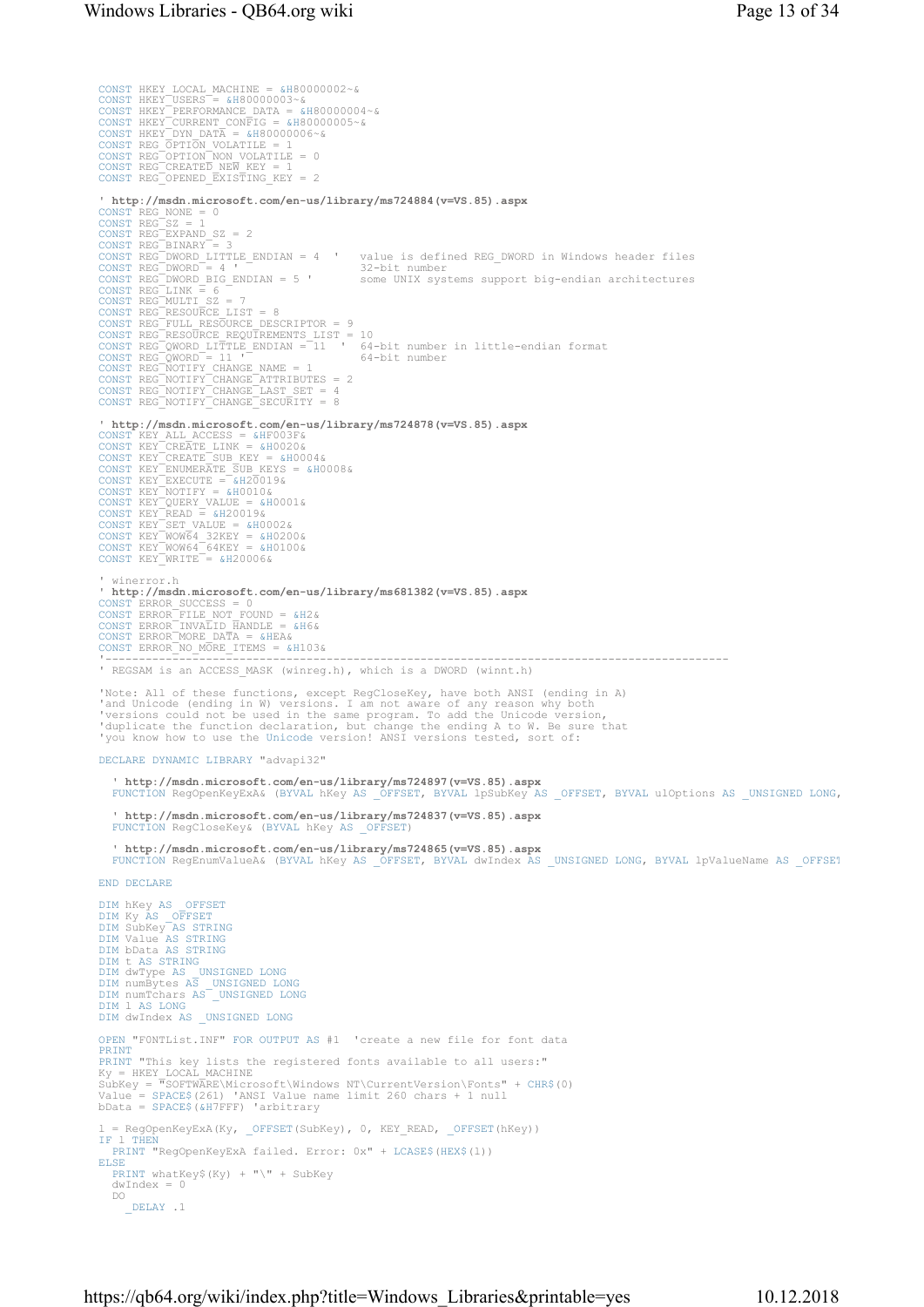CONST HKEY LOCAL MACHINE =  $\epsilon$ H80000002~ $\kappa$ CONST HKEY USERS =  $\epsilon$ H80000003~ $\kappa$ CONST HKEY USERFORMANCE DATA =  $\epsilon$ H80000004~ $\kappa$ CONST HKEY CURRENT CONFIG =  $\epsilon$ H80000005~ $\kappa$ CONST HKEY UNIDATA =  $\epsilon$ H80000006~ $\kappa$ ' http://mad.microsoft.com/en-us/library/ms724884(v=VS.85).aspx<br>
CONST REG NONE = 0<br>
CONST REG EXPANND SZ = 2<br>
CONST REG EXPANND SZ = 2<br>
CONST REG ENDARY = 3<br>
CONST REG DENDARY = 3<br>
CONST REG DENDARY = 3<br>
CONST REG DENDARY ' http://msdn.microsoft.com/en-us/library/ms724878(v=VS.85).aspx CONST KEY ALL ACCESS = &HF003F&<br>
CONST KEY CREATE LINK = &H0020&<br>
CONST KEY CREATE SUB KEY = &H0004&<br>
CONST KEY ENUMERATE SUB KEYS = &H0008&<br>
CONST KEY EXECUTE = &H20019&<br>
CONST KEY DOTIFY = &H0010&<br>
CONST KEY QUERY VALUE ' winerror.h ' http://msdn.microsoft.com/en-us/library/ms681382(v=VS.85).aspx CONST ERROR\_SUCCESS = 0<br>CONST ERROR\_FILE\_NOT\_FOUND = &H2&<br>CONST ERROR\_INVALID\_HANDLE = &H6&<br>CONST ERROR\_MORE\_DATA = &HEA&<br>CONST ERROR\_NO\_MORE\_ITEMS = &H103& '--------------------------------------------------------------------------------------------- ' REGSAM is an ACCESS\_MASK (winreg.h), which is a DWORD (winnt.h) 'Note: All of these functions, except RegCloseKey, have both ANSI (ending in A)<br>'and Unicode (ending in W) versions. I am not aware of any reason why both<br>'versions could not be used in the same program. To add the Unicode DECLARE DYNAMIC LIBRARY "advapi32" ' http://msdn.microsoft.com/en-us/library/ms724897(v=VS.85).aspx<br>FUNCTION RegOpenKeyExA& (BYVAL hKey AS \_OFFSET, BYVAL lpSubKey AS \_OFFSET, BYVAL ulOptions AS \_UNSIGNED LONG, ' http://msdn.microsoft.com/en-us/library/ms724837(v=VS.85).aspx FUNCTION RegCloseKey& (BYVAL hKey AS \_OFFSET) ' http://msdn.microsoft.com/en-us/library/ms724865(v=VS.85).aspx FUNCTION RegEnumValueA& (BYVAL hKey AS \_OFFSET, BYVAL dwIndex AS \_UNSIGNED LONG, BYVAL lpValueName AS \_OFFSET END DECLARE DIM hKey AS \_OFFSET DIM Ky AS \_OFFSET DIM SubKey AS STRING DIM Value AS STRING DIM bData AS STRING DIM t AS STRING DIM dwType AS \_UNSIGNED LONG DIM numBytes AS \_UNSIGNED LONG DIM numTchars AS \_UNSIGNED LONG DIM l AS LONG DIM dwIndex AS \_ UNSIGNED LONG OPEN "F0NTList.INF" FOR OUTPUT AS #1 'create a new file for font data PRINT PRINT "This key lists the registered fonts available to all users:"<br>Ky = HKEY LOCAL MACHINE<br>SubKey = "SOFTWARE\Microsoft\Windows NT\CurrentVersion\Fonts" + CHR\$(0)<br>Value = SPACE\$(261) 'ANSI Value name limit 260 chars + 1 n bData = SPACE\$(&H7FFF) 'arbitrary =  $RegOpenKeyExA(Ky, OFFSET(SubKey), 0, KEY READ, OFFSET(hKey))$ IF l THEN PRINT "RegOpenKeyExA failed. Error: 0x" + LCASE\$(HEX\$(l)) ELSE PRINT whatKey\$(Ky) + "\" + SubKey dwIndex DO  $\overline{\phantom{a}}$  DELAY .1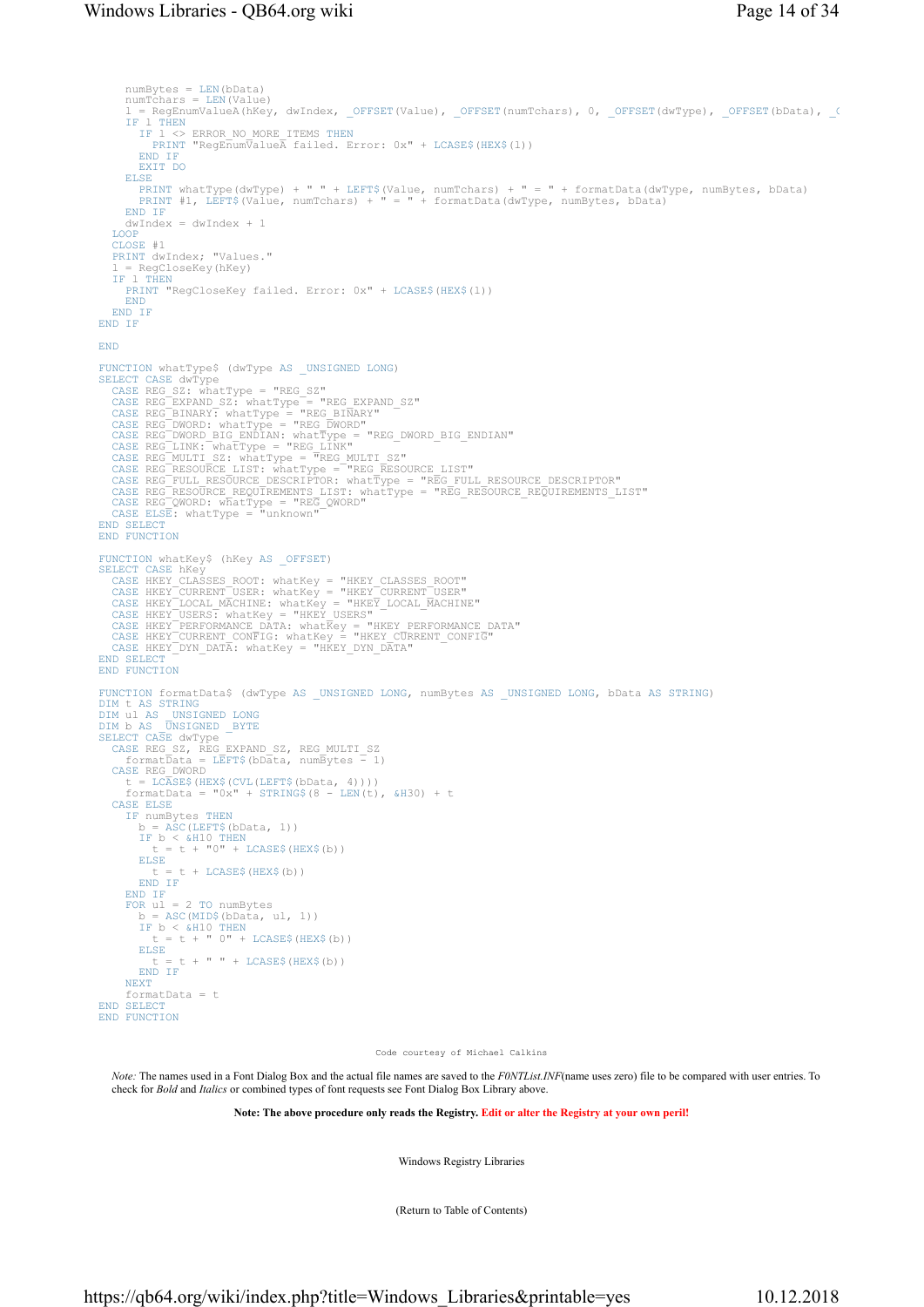```
 numBytes = LEN(bData) 
      numTchars = LEN(Value)l = RegEnumValueA(hKey, dwIndex, _OFFSET(Value), _OFFSET(numTchars), 0, _OFFSET(dwType), _OFFSET(bData), _OFFSET(bData), _OFFSET(bData), _OFFSET(bData), _OFFSET(bData), _OFFSET(bData), _OFFSET(bData), _OFFSET(bData), _OFFS
           1 THEN
          IF l <> ERROR_NO_MORE_ITEMS THEN
PRINT "RegEnumValueA failed. Error: 0x" + LCASE$(HEX$(l)) 
         END IF
         EXIT DO
      ELSE
          PRINT whatType(dwType) + " " + LEFT$(Value, numTchars) + " = " + formatData(dwType, numBytes, bData) 
PRINT #1, LEFT$(Value, numTchars) + " = " + formatData(dwType, numBytes, bData) 
      END IF
      dwIndex = dwIndex + 1LOOP
   CLOSE #1 
   PRINT dwIndex; "Values." 
   l = RegCloseKey(hKey)<br>IF l THENTHEN
      PRINT "RegCloseKey failed. Error: 0x" + LCASE$(HEX$(l)) 
      END
  END IF
END IF
END
FUNCTION whatType$ (dwType AS_UNSIGNED LONG)<br>SLECT CASE dwType = "REG_SZ"<br>CASE REG_EXPAND_SZ: whatType = "REG_EXPAND_SZ"<br>CASE REG_EXPAND_SZ: whatType = "REG_EXPAND_SZ"<br>CASE REG_EXPAND_SZ: whatType = "REG_ENNARY"<br>CASE REG_D
END SELECT<br>END FUNCTION
FUNCTION whatKey$ (hKey AS _OFFSET)<br>SELECT CASE hKey<br>CASE HKEY_CUARSES_ROOT: whatKey = "HKEY_CLASSES_ROOT"<br>CASE HKEY_CURRENT_USER: whatKey = "HKEY_CURRENT_USER"<br>CASE HKEY_LOCAL_MACHINE: whatKey = "HKEY_LOCAL_MACHINE"<br>CASE 
END SELECT
END FUNCTION
FUNCTION formatData$ (dwType AS _ UNSIGNED LONG, numBytes AS _ UNSIGNED LONG, bData AS STRING)
DIM t AS STRING
DIM ul AS _UNSIGNED LONG
DIM b AS _UNSIGNED _BYTE
DIM b AS UNSIGNED<br>SELECT CASE dwType
CASE REG SZ, REG EXPAND_SZ, REG MULTI_SZ<br>
formatData = LEFT$(bData, numBytes - 1)<br>
CASE REG_DWORD
 t = LCASE$(HEX$(CVL(LEFT$(bData, 4)))) 
 formatData = "0x" + STRING$(8 - LEN(t), &H30) + t 
   CASE ELSE
IF numBytes THEN
         b = ASC(LEFF$(bbData, 1))IF b < \omegaH10 THEN<br>
t = t + "0" + LCASE\ (HEX\zeta(b))
ELSE
 t = t + LCASE$(HEX$(b)) 
END IF
      END IF
      FOR ul = 2 TO numBytes 
         b = ASC(MID$(bData, ul, 1))IF b < \alpha H10 THEN<br>
t = t + " 0" + LCASE$ (HEX$ (b))ELSE
             t = t + " " + LCASE$ (HEX$(b))END IF
      NEXT
       formatData = t 
END SELECT
END FUNCTION
```
Code courtesy of Michael Calkins

Note: The names used in a Font Dialog Box and the actual file names are saved to the F0NTList.INF(name uses zero) file to be compared with user entries. To check for Bold and Italics or combined types of font requests see Font Dialog Box Library above.

Note: The above procedure only reads the Registry. Edit or alter the Registry at your own peril!

Windows Registry Libraries

(Return to Table of Contents)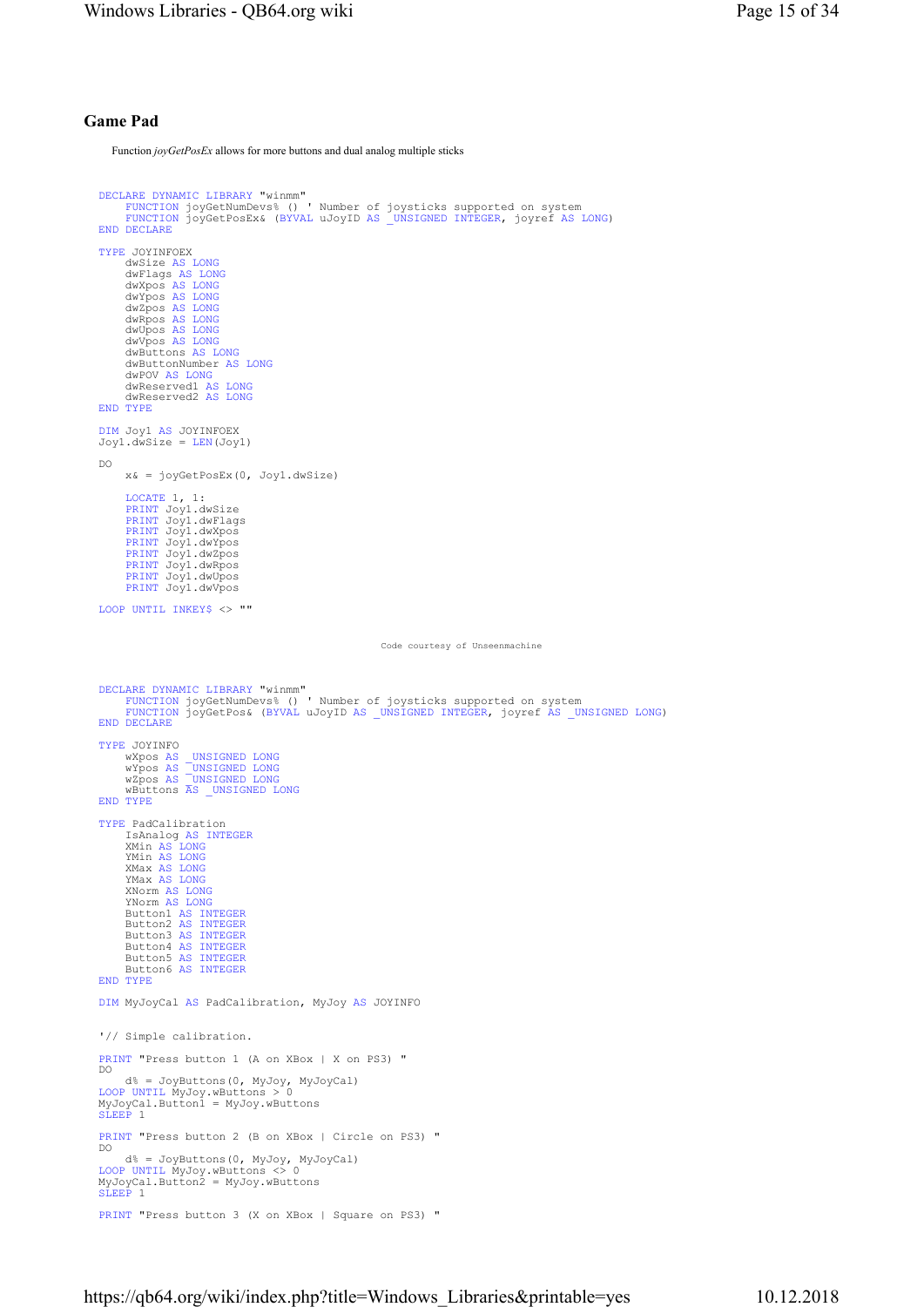## Game Pad

Function joyGetPosEx allows for more buttons and dual analog multiple sticks

```
DECLARE DYNAMIC LIBRARY "winmm" 
FUNCTION joyGetNumDevs% () ' Number of joysticks supported on system 
FUNCTION joyGetPosEx& (BYVAL uJoyID AS _UNSIGNED INTEGER, joyref AS LONG) 
END DECLARE
TYPE JOYINFOEX 
 dwSize AS LONG
 dwFlags AS LONG
 dwXpos AS LONG
 dwYpos AS LONG
 dwZpos AS LONG
 dwRpos AS LONG
 dwUpos AS LONG
 dwVpos AS LONG
       dwButtons AS LONG
       dwButtonNumber AS LONG
       dwPOV AS LONG
 dwReserved1 AS LONG
 dwReserved2 AS LONG
END TYPE
DIM Joy1 AS JOYINFOEX 
Joy1.dwSize = LEN(Joy1) 
DO 
       x& = joyGetPosEx(0, Joy1.dwSize) 
      LOCATE 1, 1: 
       PRINT Joy1.dwSize 
PRINT Joy1.dwFlags 
PRINT Joy1.dwXpos 
       PRINT Joy1.dwYpos 
PRINT Joy1.dwZpos 
      PRINT Joy1.dwRpos
       PRINT Joy1.dwUpos 
PRINT Joy1.dwVpos 
LOOP UNTIL INKEY$ <> ""
                                                                  Code courtesy of Unseenmachine
DECLARE DYNAMIC LIBRARY "winmm" 
FUNCTION joyGetNumDevs% () ' Number of joysticks supported on system 
FUNCTION joyGetPos& (BYVAL uJoyID AS _UNSIGNED INTEGER, joyref AS _UNSIGNED LONG) 
END DECLARE
TYPE JOYINFO 
 wXpos AS _UNSIGNED LONG
 wYpos AS _UNSIGNED LONG
 wZpos AS _UNSIGNED LONG
 wButtons AS _UNSIGNED LONG
END TYPE
TYPE PadCalibration 
 IsAnalog AS INTEGER
 XMin AS LONG
       YMin AS LONG
 XMax AS LONG
 YMax AS LONG
 XNorm AS LONG
 YNorm AS LONG
 Button1 AS INTEGER
 Button2 AS INTEGER
 Button3 AS INTEGER
 Button4 AS INTEGER
 Button5 AS INTEGER
       Button6 AS INTEGER
END TYPE
DIM MyJoyCal AS PadCalibration, MyJoy AS JOYINFO 
'// Simple calibration. 
PRINT "Press button 1 (A on XBox | X on PS3) " 
DO 
       d% = JoyButtons(0, MyJoy, MyJoyCal) 
LOOP UNTIL MyJoy.wButtons > 0 
MyJoyCal.Button1 = MyJoy.wButtons 
SLEEP 1
PRINT "Press button 2 (B on XBox | Circle on PS3) " 
DO 
       d% = JoyButtons(0, MyJoy, MyJoyCal) 
LOOP UNTIL MyJoy.wButtons <> 0 
MyJoyCal.Button2 = MyJoy.wButtons 
SLEEP 1
PRINT "Press button 3 (X on XBox | Square on PS3) "
```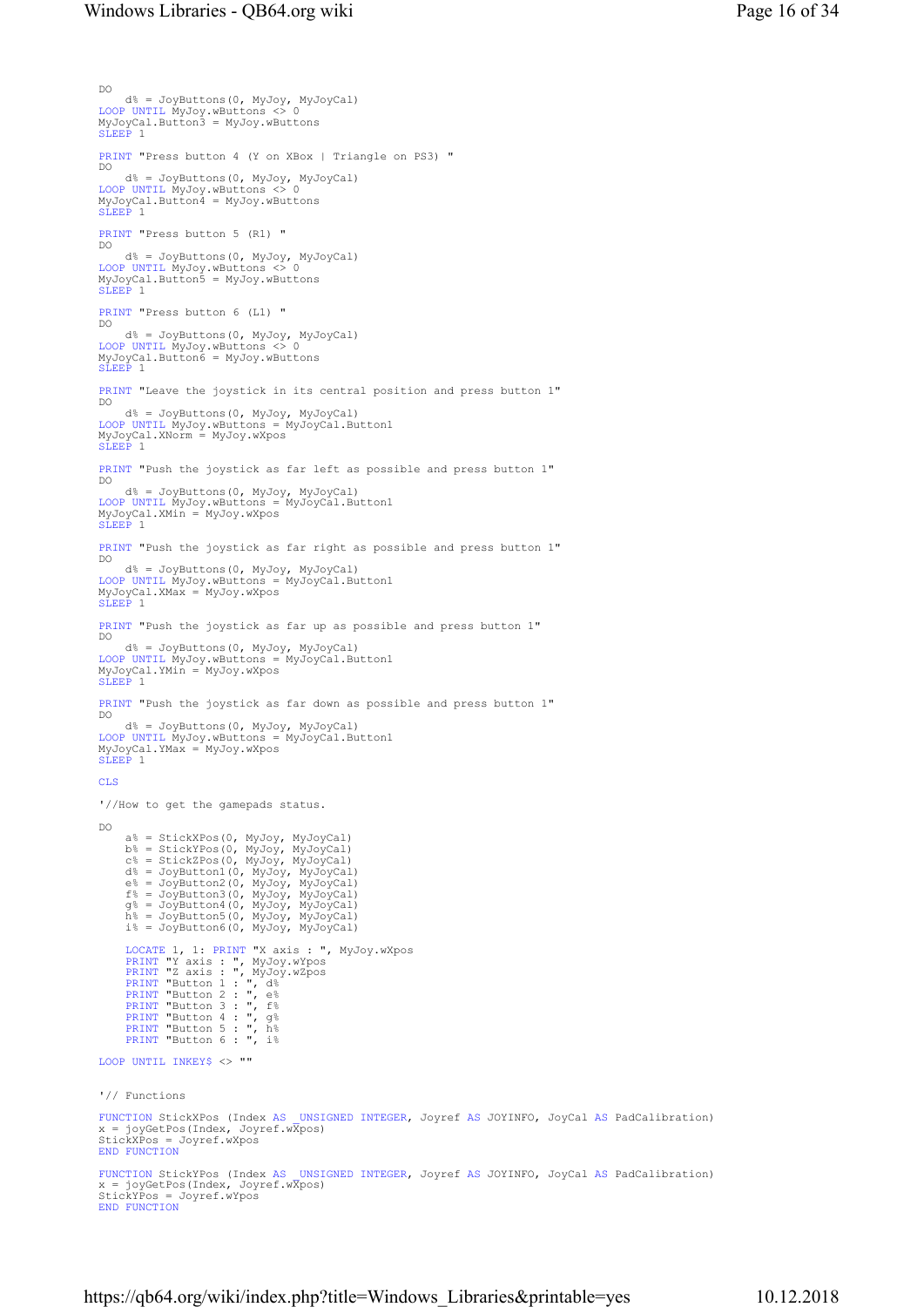```
DO 
       d% = JoyButtons(0, MyJoy, MyJoyCal) 
 LOOP UNTIL MyJoy.wButtons <> 0 
MyJoyCal.Button3 = MyJoy.wButtons 
SLEEP 1
PRINT "Press button 4 (Y on XBox | Triangle on PS3) " 
 DO 
 d% = JoyButtons(0, MyJoy, MyJoyCal) 
 LOOP UNTIL MyJoy.wButtons <> 0 
MyJoyCal.Button4 = MyJoy.wButtons 
SLEEP 1PRINT "Press button 5 (R1) " 
DO 
       d% = JoyButtons(0, MyJoy, MyJoyCal) 
 LOOP UNTIL MyJoy.wButtons <> 0 
MyJoyCal.Button5 = MyJoy.wButtons 
SLEEP 1
PRINT "Press button 6 (L1) " 
 DO 
 d% = JoyButtons(0, MyJoy, MyJoyCal) 
LOOP UNTIL MyJoy.wButtons <> 0 
MyJoyCal.Button6 = MyJoy.wButtons 
SLEEP 1 
PRINT "Leave the joystick in its central position and press button 1"<br>no
 DO 
 d% = JoyButtons(0, MyJoy, MyJoyCal) 
LOOP UNTIL MyJoy.wButtons = MyJoyCal.Button1 
MyJoyCal.XNorm = MyJoy.wXpos 
SLEEP 1
PRINT "Push the joystick as far left as possible and press button 1" 
\overline{DO} d% = JoyButtons(0, MyJoy, MyJoyCal) 
 LOOP UNTIL MyJoy.wButtons = MyJoyCal.Button1 
MyJoyCal.XMin = MyJoy.wXpos 
SLEEP 1
PRINT "Push the joystick as far right as possible and press button 1" 
DO 
       d% = JoyButtons(0, MyJoy, MyJoyCal) 
 LOOP UNTIL MyJoy.wButtons = MyJoyCal.Button1 
MyJoyCal.XMax = MyJoy.wXpos 
SLEEP 1
PRINT "Push the joystick as far up as possible and press button 1" 
DO 
       d% = JoyButtons(0, MyJoy, MyJoyCal) 
 LOOP UNTIL MyJoy.wButtons = MyJoyCal.Button1 
MyJoyCal.YMin = MyJoy.wXpos 
SLEEP 1 
PRINT "Push the joystick as far down as possible and press button 1"<br>DO
 DO 
 d% = JoyButtons(0, MyJoy, MyJoyCal) 
LOOP UNTIL MyJoy.wButtons = MyJoyCal.Button1 
MyJoyCal.YMax = MyJoy.wXpos 
SLEEP 1 
CLS
'//How to get the gamepads status. 
DO 
 a% = StickXPos(0, MyJoy, MyJoyCal)<br>b% = StickYPos(0, MyJoy, MyJoyCal)<br>c% = StickZPos(0, MyJoy, MyJoyCal)<br>d% = JoyButton1(0, MyJoy, MyJoyCal)
 e% = JoyButton2(0, MyJoy, MyJoyCal)<br>f% = JoyButton3(0, MyJoy, MyJoyCal)<br>g% = JoyButton5(0, MyJoy, MyJoyCal)<br>h% = JoyButton5(0, MyJoy, MyJoyCal)<br>i% = JoyButton6(0, MyJoy, MyJoyCal)
       LOCATE 1, 1: PRINT "X axis : ", MyJoy.wXpos<br>PRINT "Y axis : ", MyJoy.wYpos<br>PRINT "Z axis : ", MyJoy.wZpos<br>PRINT "Button 1 : ", d%<br>PRINT "Button 2 : ", e%
       PRINT "Button 3 : ", f%<br>PRINT "Button 4 : ", g%<br>PRINT "Button 5 : ", h%<br>PRINT "Button 6 : ", i%
LOOP UNTIL INKEY$ <> "" 
'// Functions 
 FUNCTION StickXPos (Index AS _UNSIGNED INTEGER, Joyref AS JOYINFO, JoyCal AS PadCalibration)<br>x = joyGetPos(Index, Joyref.wXpos)
 StickXPos = Joyref.wXpos 
END FUNCTION
 FUNCTION StickYPos (Index AS _UNSIGNED INTEGER, Joyref AS JOYINFO, JoyCal AS PadCalibration)<br>x = joyGetPos(Index, Joyref.wXpos)
 StickYPos = Joyref.wYpos 
END FUNCTION
```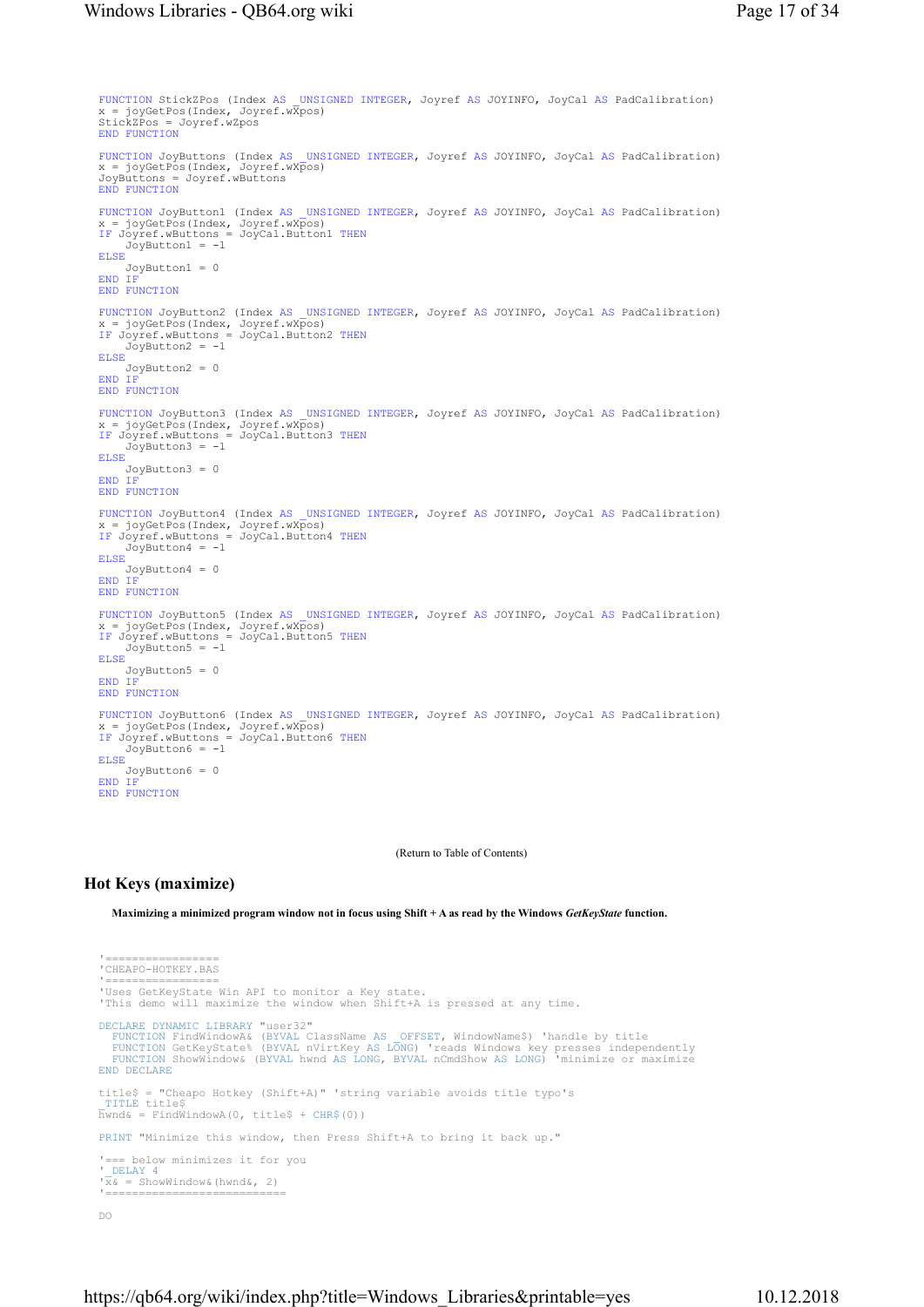```
FUNCTION StickZPos (Index AS _UNSIGNED INTEGER, Joyref AS JOYINFO, JoyCal AS PadCalibration) 
x = joyGetPos(Index, Joyref.wXpos) 
StickZPos = Joyref.wZpos 
END FUNCTION
FUNCTION JoyButtons (Index AS _UNSIGNED INTEGER, Joyref AS JOYINFO, JoyCal AS PadCalibration) 
x = joyGetPos(Index, Joyref.wXpos) 
JoyButtons = Joyref.wButtons 
END FUNCTION
FUNCTION JoyButton1 (Index AS _ UNSIGNED INTEGER, Joyref AS JOYINFO, JoyCal AS PadCalibration)
x = joyGetPos(Index, Joyref.wXpos) 
IF Joyref.wButtons = JoyCal.Button1 THEN
IF Joyref.wButtons<br>JoyPutton1 = -1
ELSE
     JoyButton1 = 0 
END IF
END FUNCTION
FUNCTION JoyButton2 (Index AS _ UNSIGNED INTEGER, Joyref AS JOYINFO, JoyCal AS PadCalibration)
x = joyGetPos(Index, Joyref.wXpos) 
IF Joyref.wButtons = JoyCal.Button2 THEN
 JoyButton2 = -1 
ELSE
     JoyButton2 = 0 
END IF
END FUNCTION
FUNCTION JoyButton3 (Index AS _UNSIGNED INTEGER, Joyref AS JOYINFO, JoyCal AS PadCalibration)<br>x = joyGetPos(Index, Joyref.wXpos)<br>IF Joyref.wButtons = JoyCal.Button3 THEN
     JoyButton3 = -1ELSE
 JoyButton3 = 0 
END IF
END FUNCTION
FUNCTION JoyButton4 (Index AS _ UNSIGNED INTEGER, Joyref AS JOYINFO, JoyCal AS PadCalibration)
x = joyGetPos(Index, Joyref.wXpos) 
IF Joyref.wButtons = JoyCal.Button4 THEN
     JoyButton4 = -1ELSE
 JoyButton4 = 0 
END IF
END FUNCTION
FUNCTION JoyButton5 (Index AS _ UNSIGNED INTEGER, Joyref AS JOYINFO, JoyCal AS PadCalibration)
x = joyGetPos(Index, Joyref.wXpos) 
IF Joyref.wButtons = JoyCal.Button5 THEN
 JoyButton5 = -1 
ELSE
 JoyButton5 = 0 
END IF
END FUNCTION
FUNCTION JoyButton6 (Index AS _ UNSIGNED INTEGER, Joyref AS JOYINFO, JoyCal AS PadCalibration)
x = joyGetPos(Index, Joyref.wXpos) 
IF Joyref.wButtons = JoyCal.Button6 THEN
 JoyButton6 = -1 
ELSE
     JoyButton6 = 0 
END IF
END FUNCTION
```
(Return to Table of Contents)

## Hot Keys (maximize)

Maximizing a minimized program window not in focus using Shift + A as read by the Windows GetKeyState function.

```
'================<br>'CHEAPO-HOTKEY.BAS
 '================= 
'Uses GetKeyState Win API to monitor a Key state. 
'This demo will maximize the window when Shift+A is pressed at any time. 
DECLARE DYNAMIC LIBRARY "user32"
   FUNCTION FindWindowA& (BYVAL ClassName AS _OFFSET, WindowName$) 'handle by title<br>FUNCTION GetKeyState% (BYVAL nVirtKey AS LONG) 'reads Windows key presses independently<br>FUNCTION ShowWindow& (BYVAL hwnd AS LONG, BYVAL nCmdS
END DECLARE
title$ = "Cheapo Hotkey (Shift+A)" 'string variable avoids title typo's 
_TITLE title$ 
hwnd& = FindWindowA(0, title$ + CHR$(0)) 
PRINT "Minimize this window, then Press Shift+A to bring it back up." 
'=== below minimizes it for you 
  DELAY 4
\overline{x_k} =ShowWindow&(hwnd&, 2)
 '===========================
```
DO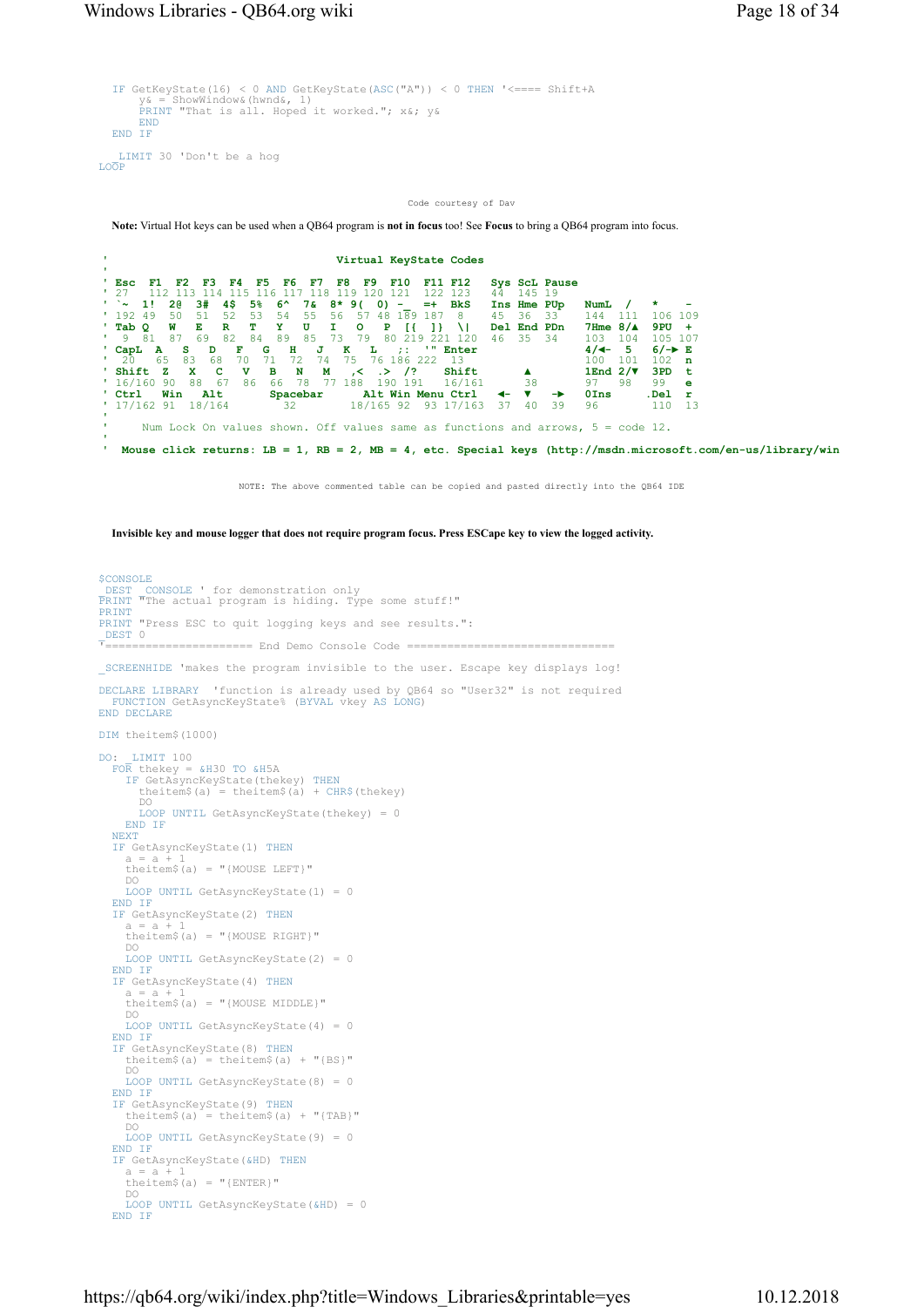```
IF GetKeyState(16) < 0 AND GetKeyState(ASC("A")) < 0 THEN '<==== Shift+A 
 y& = ShowWindow&(hwnd&, 1) 
PRINT "That is all. Hoped it worked."; x&; y& 
      END
 END IF
_LIMIT 30 'Don't be a hog 
LOOP
```
Code courtesy of Dav

Note: Virtual Hot keys can be used when a QB64 program is not in focus too! See Focus to bring a QB64 program into focus.

|             |                      |          |                           |     |     |     |          |      |      |     |           |      | Virtual KeyState Codes |     |          |        |              |                  |               |                                                                                                             |       |             |         |
|-------------|----------------------|----------|---------------------------|-----|-----|-----|----------|------|------|-----|-----------|------|------------------------|-----|----------|--------|--------------|------------------|---------------|-------------------------------------------------------------------------------------------------------------|-------|-------------|---------|
|             |                      |          |                           |     |     |     |          |      |      |     |           |      |                        |     |          |        |              |                  |               |                                                                                                             |       |             |         |
| $E_{SC}$    | F1 F                 |          | F2                        | F3. | F4. | F5. |          | F6.  | F7   | F8  | F9        |      | F10                    |     | F11 F12  |        |              |                  | Sys ScL Pause |                                                                                                             |       |             |         |
| 127         |                      | 112.     |                           |     |     |     |          |      |      |     |           |      | -121                   |     | 122 123  |        |              | 44 145 19        |               |                                                                                                             |       |             |         |
|             | $'$ $\sim$ 1! 20     |          | - 3#                      |     | 4 S | 5%  | -6^      |      | 78.  |     | 8* 9(0) – |      |                        |     | $=+$ BkS |        |              |                  | Ins Hme PUp   | NumL                                                                                                        |       |             |         |
| $'$ 192 49  |                      | -50      | -51                       |     | .52 | -53 | 54       |      | -55. | 56  | 57        |      | 48 189 187             |     | - 8      |        |              | 45 36 33         |               | 144                                                                                                         | - 111 |             | 106 109 |
| $'$ Tab $Q$ |                      | <b>W</b> | E                         |     | R   |     |          |      |      |     | $\circ$   | P    | - 13                   |     | - 84     |        |              |                  | Del End PDn   | $7Hme$ 8/ $\triangle$                                                                                       |       | $9PU +$     |         |
|             | $'$ 9 81             | 87       | - 69                      |     | -82 | -84 | -89      |      | -85. | -73 | -79       |      | 80 219                 |     | 221 120  |        |              | 46 35 34         |               | 103                                                                                                         | 104   |             | 105 107 |
|             | ' $CapL$ A           |          | s.                        | D   | F   | G   |          | н    | J    | к   |           |      | $\mathbf{L} = -7.1$    | -11 | Enter    |        |              |                  |               | $4/4 - 5$                                                                                                   |       |             | $6/-$ E |
| $\cdot$ 20  |                      | - 65     | - 83                      | 68  | 70. |     |          |      | 74   |     | - 75      |      | 76 186 222 13          |     |          |        |              |                  |               | 100                                                                                                         | - 101 |             | $102$ n |
|             | ' Shift Z            |          | $\mathbf{x}$ $\mathbf{c}$ |     |     | v   | в        | N    | м    |     | .<        | . >∴ | $\frac{1}{2}$          |     | Shift    |        |              | $\blacktriangle$ |               | 1End $2/\nabla$                                                                                             |       |             | 3PD t   |
|             | $'$ 16/160 90        |          | 88 67                     |     |     | 86  | 66       | - 78 |      |     | 77 188    |      | 190 191                |     |          | 16/161 |              | 38               |               | 97                                                                                                          | -98   | 99          | e       |
| ' Ctrl      |                      | Win      |                           | Alt |     |     | Spacebar |      |      |     |           |      | Alt Win Menu Ctrl      |     |          |        | $\leftarrow$ |                  | $\rightarrow$ | $0$ Ins                                                                                                     |       | $.$ Del $r$ |         |
|             | $'$ 17/162 91 18/164 |          |                           |     |     |     |          | 32   |      |     |           |      | 18/165 92 93 17/163    |     |          |        | -37          | -40              | -39           | 96                                                                                                          |       | 110         | 13      |
|             |                      |          |                           |     |     |     |          |      |      |     |           |      |                        |     |          |        |              |                  |               |                                                                                                             |       |             |         |
|             |                      |          |                           |     |     |     |          |      |      |     |           |      |                        |     |          |        |              |                  |               | Num Lock On values shown. Off values same as functions and arrows, $5 = \text{code } 12$ .                  |       |             |         |
|             |                      |          |                           |     |     |     |          |      |      |     |           |      |                        |     |          |        |              |                  |               |                                                                                                             |       |             |         |
|             |                      |          |                           |     |     |     |          |      |      |     |           |      |                        |     |          |        |              |                  |               | Mouse click returns: LB = 1, RB = 2, MB = 4, etc. Special keys (http://msdn.microsoft.com/en-us/library/win |       |             |         |

NOTE: The above commented table can be copied and pasted directly into the QB64 IDE

Invisible key and mouse logger that does not require program focus. Press ESCape key to view the logged activity.

```
$CONSOLE<br>|DEST | CONSOLE ' for demonstration only<br>|PRINT "The actual program is hiding. Type some stuff!"<br>PRINT
PRINT<br>PRINT "Press ESC to quit logging keys and see results.":
\frac{\text{DEST}}{\text{T}}=======
                '====================== End Demo Console Code =============================== 
_SCREENHIDE 'makes the program invisible to the user. Escape key displays log! 
DECLARE LIBRARY 'function is already used by QB64 so "User32" is not required 
FUNCTION GetAsyncKeyState% (BYVAL vkey AS LONG) 
END DECLARE
DIM theitem$(1000) 
DO: _LIMIT 100 
FOR thekey = &H30 TO &H5A 
IF GetAsyncKeyState(thekey) THEN
 theitem$(a) = theitem$(a) + CHR$(thekey) 
 DO 
        LOOP UNTIL GetAsyncKeyState(thekey) = 0 
     END IF
  NEXT
  IF GetAsyncKeyState(1) THEN
 a = a + 1 
 theitem$(a) = "{MOUSE LEFT}" 
 DO 
   LOOP UNTIL GetAsyncKeyState(1) = 0 
END IF
  IF GetAsyncKeyState(2) THEN
     a = a + theitem$(a) = "{MOUSE RIGHT}" 
      DO 
     LOOP UNTIL GetAsyncKeyState(2) = 0
   END IF
IF GetAsyncKeyState(4) THEN
     a = atheitem$(a) = "{MOUSE MIDDLE}"
 DO 
LOOP UNTIL GetAsyncKeyState(4) = 0 
END IF
IF GetAsyncKeyState(8) THEN
 theitem$(a) = theitem$(a) + "{BS}" 
      DO 
     LOOP UNTIL GetAsyncKeyState(8) = 0 
  END IF
  IF GetAsyncKeyState(9) THEN
     theitem$(a) = theitem$(a) + "{TAB}"<br>DO
 DO 
LOOP UNTIL GetAsyncKeyState(9) = 0 
  END TF
  IF GetAsyncKeyState(&HD) THEN
 a = a + 1 
 theitem$(a) = "{ENTER}" 
 DO 
LOOP UNTIL GetAsyncKeyState(&HD) = 0 
  END IF
```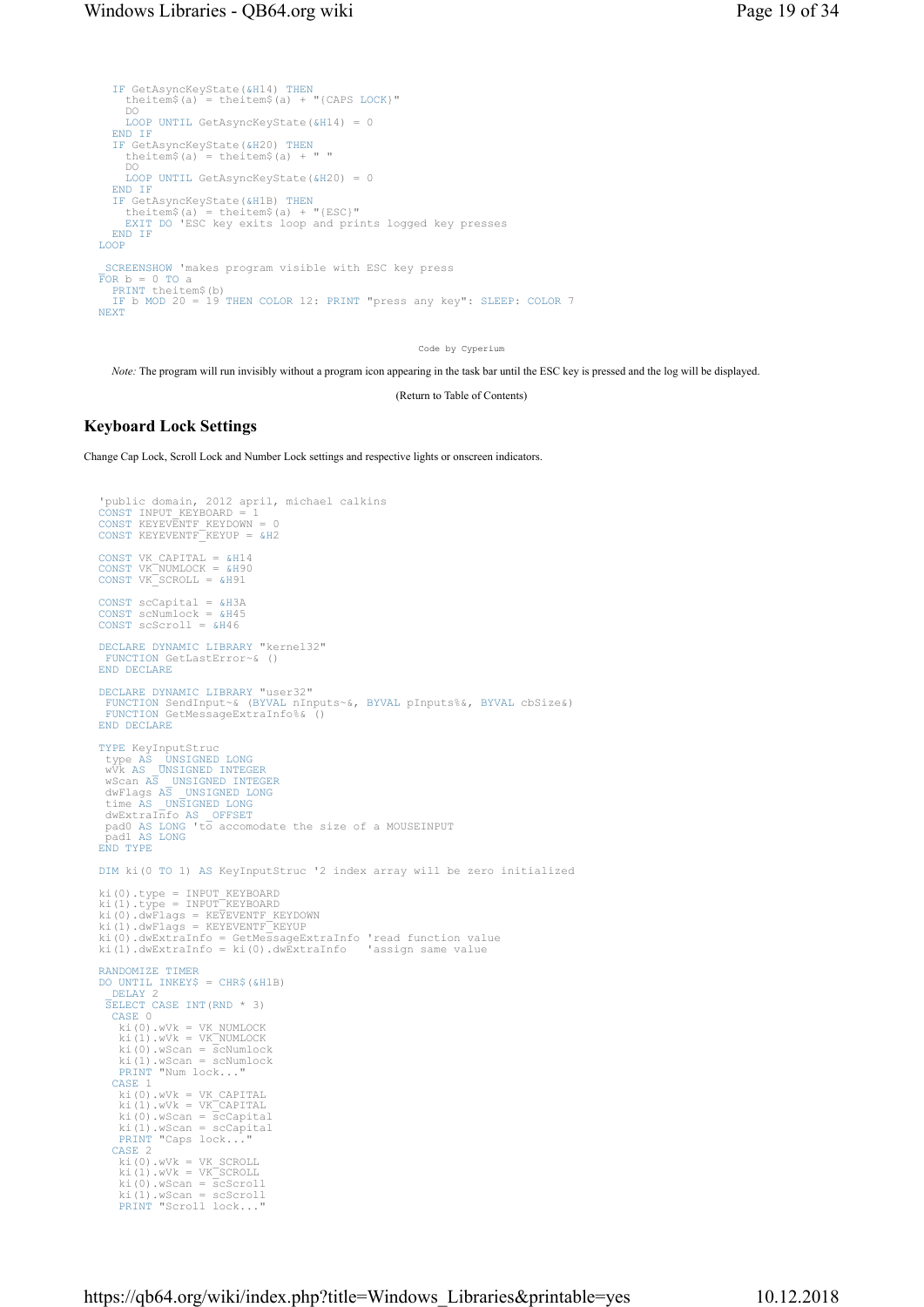```
IF GetAsyncKeyState(&H14) THEN
    theitem$(a) = theitem$(a) + "{CAPS LOCK}"<br>DO
 DO 
LOOP UNTIL GetAsyncKeyState(&H14) = 0 
  END IF
IF GetAsyncKeyState(&H20) THEN
    theitem$(a) = theitem$(a) + " "<br>DO
 DO 
LOOP UNTIL GetAsyncKeyState(&H20) = 0 
  END IF<br>IF Get
IF GetAsyncKeyState(&H1B) THEN
 theitem$(a) = theitem$(a) + "{ESC}" 
EXIT DO 'ESC key exits loop and prints logged key presses 
  END IF
LOOP
 _SCREENSHOW 'makes program visible with ESC key press 
FOR b = 0 TO a 
PRINT theitem$(b) 
  IF b MOD 20 = 19 THEN COLOR 12: PRINT "press any key": SLEEP: COLOR 7 
NEXT
```
Code by Cyperium

Note: The program will run invisibly without a program icon appearing in the task bar until the ESC key is pressed and the log will be displayed.

(Return to Table of Contents)

## Keyboard Lock Settings

Change Cap Lock, Scroll Lock and Number Lock settings and respective lights or onscreen indicators.

```
'public domain, 2012 april, michael calkins<br>CONST INPUT KEYBOARD = 1<br>CONST KEYEVENTF_KEYDOWN = 0<br>CONST KEYEVENTF_KEYUP = &H2
CONST VK_CAPITAL = &H14 
CONST VK_NUMLOCK = &H90 
CONST VK_SCROLL = &H91 
CONST scCapital = &H3A 
CONST scNumlock = &H45 
CONST scScroll = &H46 
DECLARE DYNAMIC LIBRARY "kernel32" 
FUNCTION GetLastError~& () 
END DECLARE
DECLARE DYNAMIC LIBRARY "user32" 
  FUNCTION SendInput~& (BYVAL nInputs~&, BYVAL pInputs%&, BYVAL cbSize&) 
FUNCTION GetMessageExtraInfo%& () 
END DECLARE
TYPE KeyInputStruc 
 type AS _UNSIGNED LONG
 wVk AS _UNSIGNED INTEGER
wScan AS _UNSIGNED INTEGER<br>dwFlags AS _UNSIGNED LONG<br>time AS _UNSIGNED LONG<br>dwExtraInfo AS _OFFSET<br>pad0 AS LONG 'to accomodate the size of a MOUSEINPUT<br>Pad1 AS LONG<br>END TYPE
DIM ki(0 TO 1) AS KeyInputStruc '2 index array will be zero initialized 
ki(0).type = INPUT_KEYBOARD 
ki(1).type = INPUT_KEYBOARD 
ki(0).dwFlags = KEYEVENTF_KEYDOWN<br>ki(1).dwFlags = KEYEVENTF_KEYUP<br>ki(0).dwExtraInfo = GetMessageExtraInfo 'read function value
ki(1).dwExtraInfo = ki(0).dwExtraInfo 'assign same value 
RANDOMIZE TIMER
DO UNTIL INKEY$ = CHR$(&H1B) 
_DELAY 2 
  SELECT CASE INT(RND * 3) 
CASE 0 
      ki(0).wVk = VK_NUMLOCK 
 ki(1).wVk = VK_NUMLOCK 
 ki(0).wScan = scNumlock 
 ki(1).wScan = scNumlock 
PRINT "Num lock..." 
   CASE 1 
 ki(0).wVk = VK_CAPITAL 
 ki(1).wVk = VK_CAPITAL 
 ki(0).wScan = scCapital 
 ki(1).wScan = scCapital 
PRINT "Caps lock..." 
   CASE 2 
ki(0).wVk = VK_SCROLL<br>ki(1).wVk = VK_SCROLL<br>ki(0).wScan = scScroll<br>ki(1).wScan = scScroll<br>PRINT "Scroll lock..."
```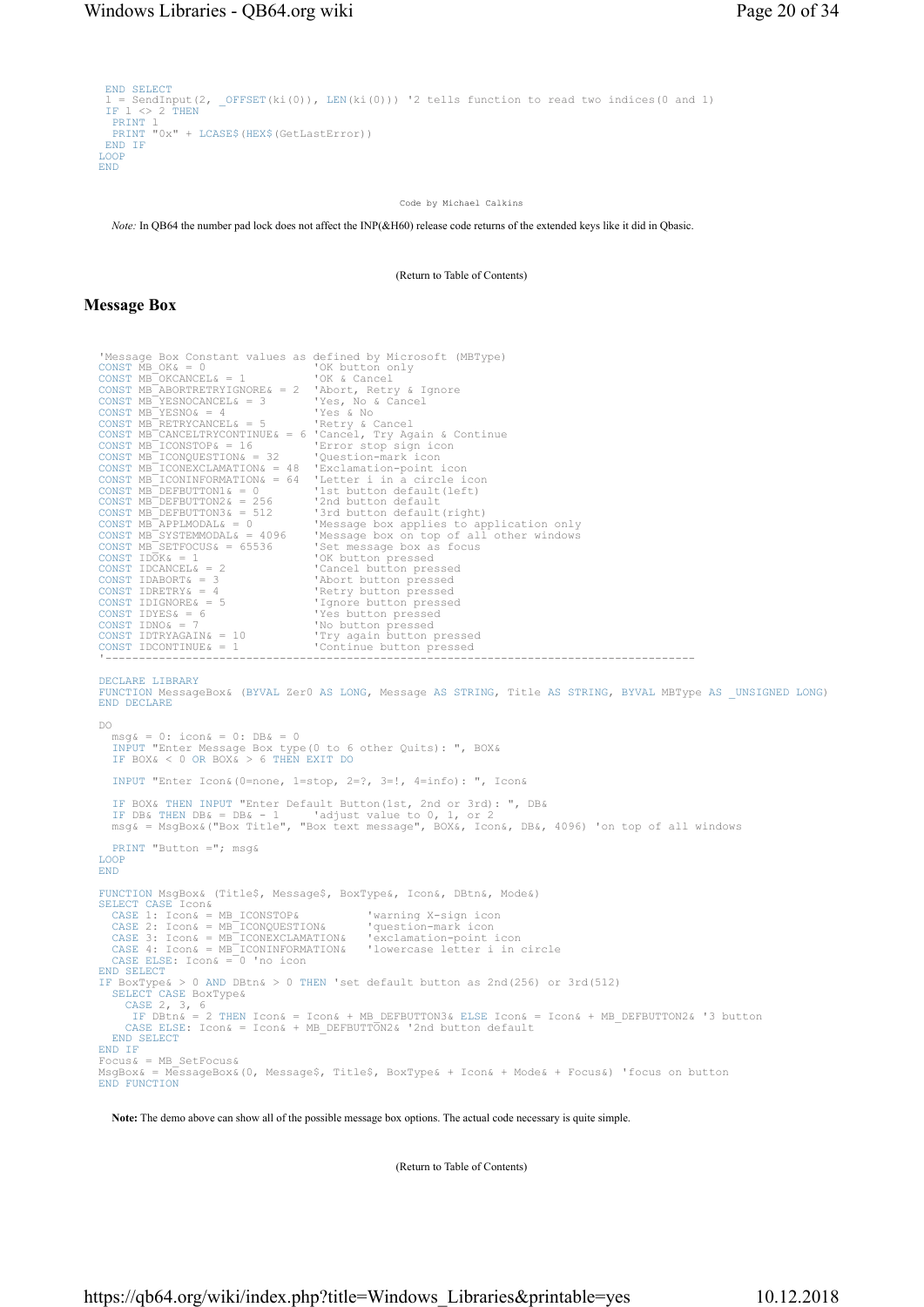```
END SELECT<br>1 = SendInput(2, _OFFSET(ki(0)), LEN(ki(0))) '2 tells function to read two indices(0 and 1)<br>IF l <> 2 THEN<br>PRINT 1
  PRINT "0x" + LCASE$ (HEX$ (GetLastError))
END IF
LOOP
END
```
Code by Michael Calkins

Note: In QB64 the number pad lock does not affect the INP(&H60) release code returns of the extended keys like it did in Qbasic.

(Return to Table of Contents)

## Message Box

| 'Message Box Constant values as defined by Microsoft (MBType)           |                                                                                                                |
|-------------------------------------------------------------------------|----------------------------------------------------------------------------------------------------------------|
| CONST MB $OK& = 0$                                                      | 'OK button only                                                                                                |
| CONST MB OKCANCEL $\& = 1$ 'OK & Cancel                                 |                                                                                                                |
| CONST MB ABORTRETRYIGNORE& = $2$ 'Abort, Retry & Ignore                 |                                                                                                                |
| CONST MB YESNOCANCEL $= 3$                                              | 'Yes, No & Cancel                                                                                              |
| CONST $MB$ <sup>-</sup> YESNO $\epsilon$ = 4                            | like the set of the set of the set of the set of the set of the set of the set of the set of the set of the se |
| CONST MB RETRYCANCEL& = $5$ 'Retry & Cancel                             |                                                                                                                |
| CONST MB CANCELTRYCONTINUE $\epsilon = 6$ 'Cancel, Try Again & Continue |                                                                                                                |
| CONST MB $ICONSTOP & = 16$                                              | 'Error stop sign icon                                                                                          |
| CONST MB ICONOUESTION $\& = 32$ 'Ouestion-mark icon                     |                                                                                                                |
| CONST $MB$ <sup>-</sup> ICONEXCLAMATION& = 48 'Exclamation-point icon   |                                                                                                                |
| CONST MB ICONINFORMATION& = $64$ 'Letter i in a circle icon             |                                                                                                                |
| CONST MB DEFBUTTON1& = $0$                                              | '1st button default(left)                                                                                      |
| CONST MB DEFBUTTON2& = $256$ '2nd button default                        |                                                                                                                |
| CONST MB DEFBUTTON3& = $512$                                            | '3rd button default(right)                                                                                     |
| CONST MB APPLMODAL $\delta = 0$                                         | 'Message box applies to application only                                                                       |
| CONST $MB$ SYSTEMMODAL& = 4096                                          | 'Message box on top of all other windows                                                                       |
| CONST MB SETFOCUS $\epsilon$ = 65536                                    | 'Set message box as focus                                                                                      |
| CONST $IDOK& = 1$                                                       | 'OK button pressed                                                                                             |
| CONST IDCANCEL $\delta = 2$                                             | 'Cancel button pressed                                                                                         |
| CONST IDABORT $\epsilon = 3$                                            | 'Abort button pressed                                                                                          |
| CONST IDRETRY $\& = 4$ 'Retry button pressed                            |                                                                                                                |
| CONST IDIGNORE $\& = 5$ 'Ignore button pressed                          |                                                                                                                |
| CONST IDYES& = $6$                                                      | 'Yes button pressed                                                                                            |
| CONST IDNO $\epsilon$ = 7                                               | 'No button pressed                                                                                             |
| CONST IDTRYAGAIN& = $10$                                                | 'Try again button pressed                                                                                      |
| CONST IDCONTINUE $\epsilon = 1$                                         | 'Continue button pressed                                                                                       |
|                                                                         |                                                                                                                |

'----------------------------------------------------------------------------------------

DECLARE LIBRARY

FUNCTION MessageBox& (BYVAL Zer0 AS LONG, Message AS STRING, Title AS STRING, BYVAL MBType AS \_UNSIGNED LONG) END DECLARE

DO msg& = 0: icon& = 0: DB& = 0 INPUT "Enter Message Box type(0 to 6 other Quits): ", BOX& IF BOX& < 0 OR BOX& > 6 THEN EXIT DO INPUT "Enter Icon&(0=none, 1=stop, 2=?, 3=!, 4=info): ", Icon& IF BOX& THEN INPUT "Enter Default Button(1st, 2nd or 3rd): ", DB& IF DB& THEN DB& = DB& - 1 'adjust value to 0, 1, or 2 msg& = MsgBox&("Box Title", "Box text message", BOX&, Icon&, DB&, 4096) 'on top of all windows PRINT "Button ="; msg& LOOP END FUNCTION MsgBox& (Title\$, Message\$, BoxType&, Icon&, DBtn&, Mode&) SELECT CASE Icon& CASE 1: Icon& = MB\_ICONSTOP& 'warning X-sign icon CASE 2: Icon& = MB\_ICONQUESTION& 'question-mark icon CASE 3: Icon& = MB\_ICONEXCLAMATION& 'exclamation-point icon CASE 4: Icon& = MB\_ICONINFORMATION& 'lowercase letter i in circle CASE ELSE: Icon& = 0 'no icon END SELECT IF BoxType& > 0 AND DBtn& > 0 THEN 'set default button as 2nd(256) or 3rd(512) SELECT CASE BoxType& CASE 2, 3, 6 IF DBtn& = 2 THEN Icon& = Icon& + MB\_DEFBUTTON3& ELSE Icon& = Icon& + MB\_DEFBUTTON2& '3 button CASE ELSE: Icon& = Icon& + MB\_DEFBUTTON2& '2nd button default END SELECT END IF  $Focus&=MBSetFocus&$ MsgBox& = MessageBox&(0, Message\$, Title\$, BoxType& + Icon& + Mode& + Focus&) 'focus on button END FUNCTION

Note: The demo above can show all of the possible message box options. The actual code necessary is quite simple.

(Return to Table of Contents)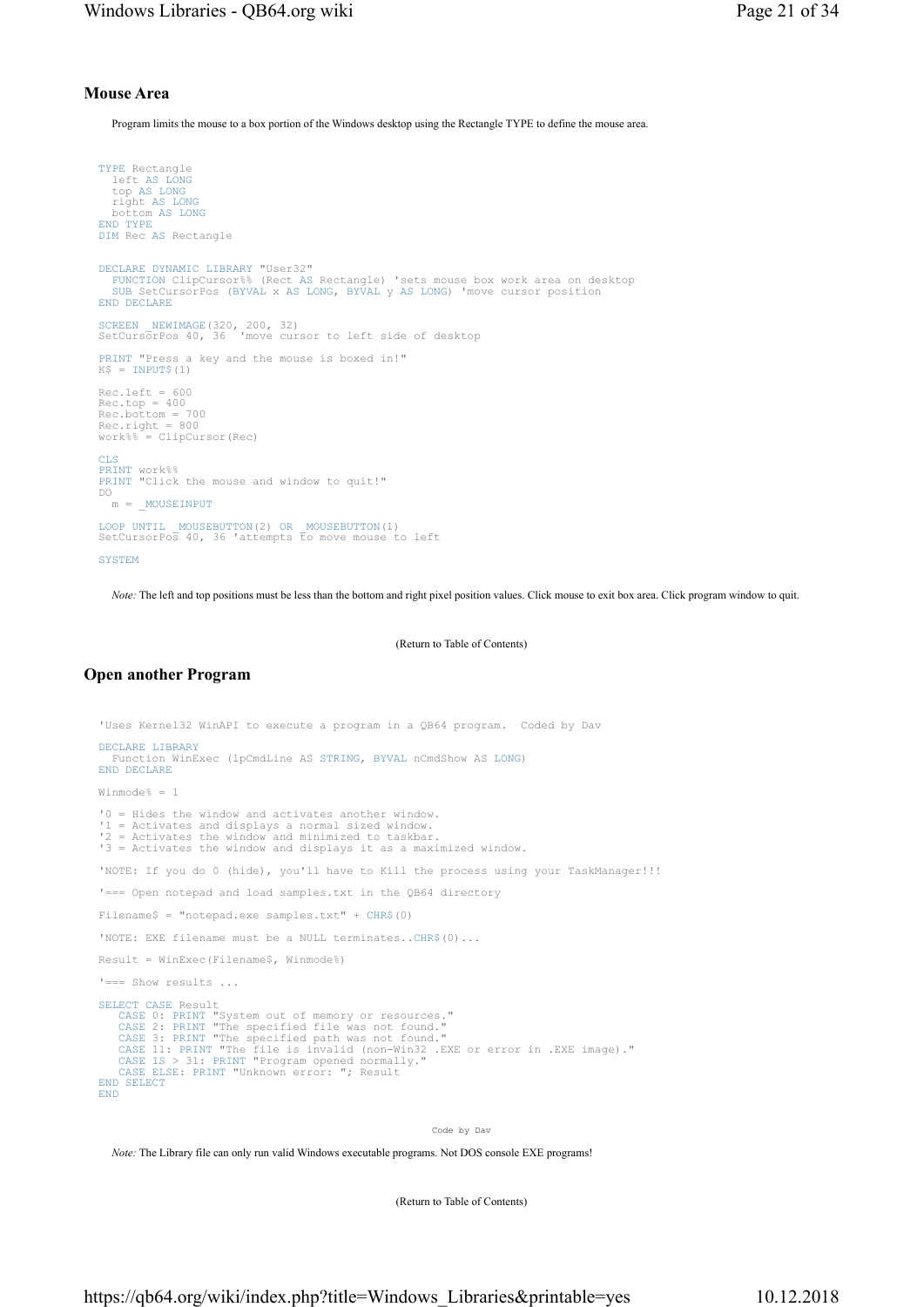## Mouse Area

Program limits the mouse to a box portion of the Windows desktop using the Rectangle TYPE to define the mouse area.

```
TYPE Rectangle 
 left AS LONG
    top AS LONG
 right AS LONG
 bottom AS LONG
END TYPE
DIM Rec AS Rectangle 
DECLARE DYNAMIC LIBRARY "User32" 
    FUNCTION ClipCursor%% (Rect AS Rectangle) 'sets mouse box work area on desktop 
SUB SetCursorPos (BYVAL x AS LONG, BYVAL y AS LONG) 'move cursor position 
END DECLARE
SCREEN _NEWIMAGE(320, 200, 32) 
SetCursorPos 40, 36 'move cursor to left side of desktop 
PRINT "Press a key and the mouse is boxed in!" 
K$ = INPUT$(1)Rec.left = 600<br>Rec.top = 400<br>Rec.bottom = 700<br>Rec.right = 800<br>work%% = ClipCursor(Rec)
CLS<br>PRINT work%%<br>PRINT "Click the mouse and window to quit!"<br>DO
  m = \text{MOUSEINPUT}LOOP UNTIL _MOUSEBUTTON(2) OR _MOUSEBUTTON(1) 
SetCursorPos 40, 36 'attempts to move mouse to left 
SYSTEM
```
Note: The left and top positions must be less than the bottom and right pixel position values. Click mouse to exit box area. Click program window to quit.

(Return to Table of Contents)

### Open another Program

```
'Uses Kernel32 WinAPI to execute a program in a QB64 program. Coded by Dav 
DECLARE LIBRARY
    Function WinExec (lpCmdLine AS STRING, BYVAL nCmdShow AS LONG) 
END DECLARE
Winmode% = 1 
'0 = Hides the window and activates another window. 
 '1 = Activates and displays a normal sized window. 
'2 = Activates the window and minimized to taskbar. 
'3 = Activates the window and displays it as a maximized window. 
'NOTE: If you do 0 (hide), you'll have to Kill the process using your TaskManager!!! 
'=== Open notepad and load samples.txt in the QB64 directory 
Filename$ = "notepad.exe samples.txt" + CHR$(0) 
'NOTE: EXE filename must be a NULL terminates..CHR$(0)...
Result = WinExec(Filename$, Winmode%) 
'=== Show results ... 
SELECT CASE Result<br>
CASE 0: PRINT "System out of memory or resources."<br>
CASE 2: PRINT "The specified file was not found."<br>
CASE 2: PRINT "The specified path was not found."<br>
CASE 3: PRINT "The file is invalid (non-Win32 .E
END
```
Code by Dav

Note: The Library file can only run valid Windows executable programs. Not DOS console EXE programs!

(Return to Table of Contents)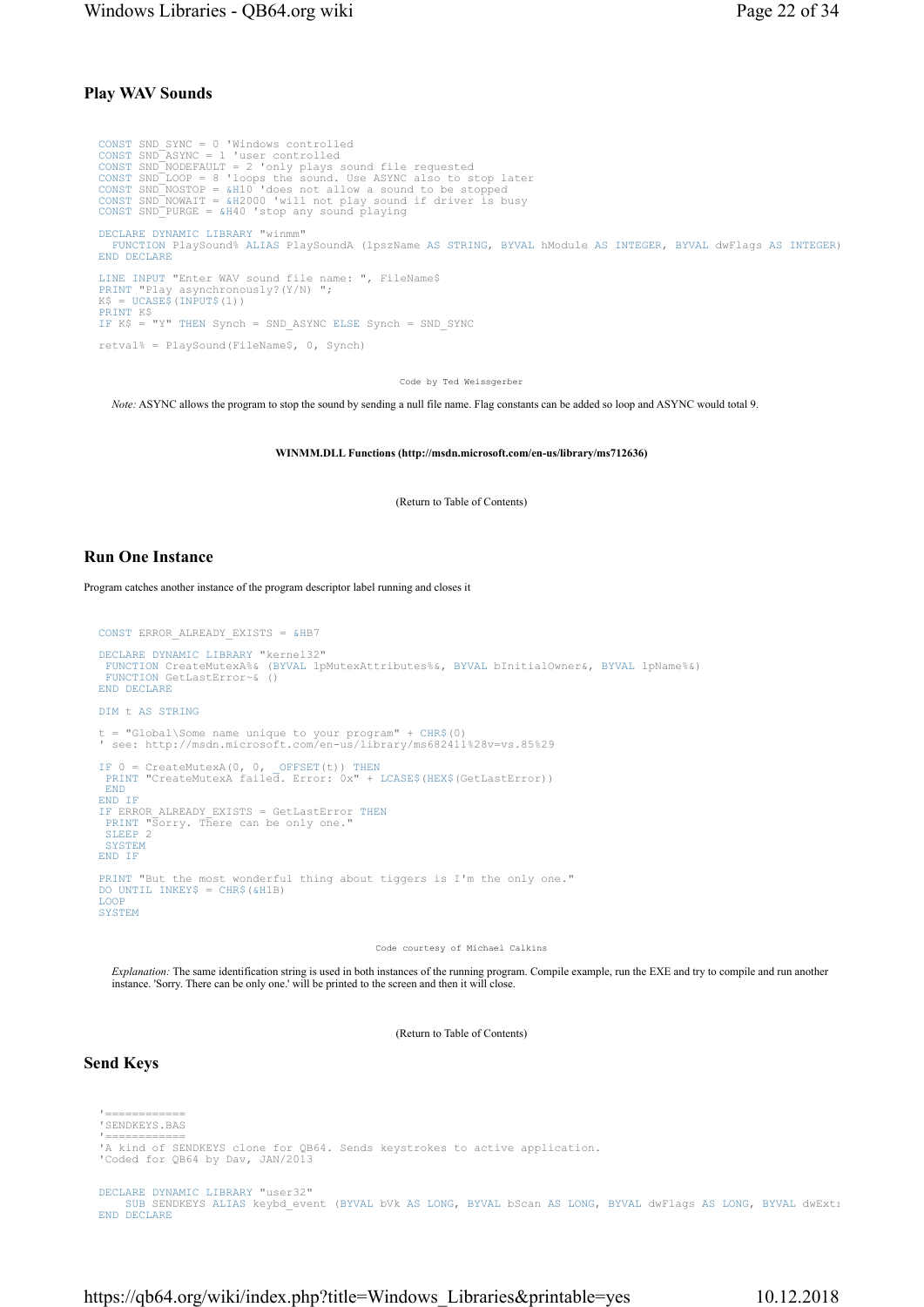## Play WAV Sounds

CONST SND\_SYNC = 0 'Windows controlled CONST SND\_ASYNC = 1 'user controlled<br>CONST SND\_NODEFAULT = 2 'only plays sound file requested<br>CONST SND\_LOOP = 8 'loops the sound. Use ASYNC also to stop later<br>CONST SND\_NOSTOP = &H10 'does not allow a sound to be stopped<br> CONST SND\_PURGE = &H40 'stop any sound playing DECLARE DYNAMIC LIBRARY "winmm" FUNCTION PlaySound% ALIAS PlaySoundA (lpszName AS STRING, BYVAL hModule AS INTEGER, BYVAL dwFlags AS INTEGER) END DECLARE LINE INPUT "Enter WAV sound file name: ", FileName\$ PRINT "Play asynchronously?(Y/N) "; K\$ = UCASE\$(INPUT\$(1)) PRINT K\$ IF K\$ = "Y" THEN Synch = SND\_ASYNC ELSE Synch = SND\_SYNC retval% = PlaySound(FileName\$, 0, Synch)

Code by Ted Weissgerber

Note: ASYNC allows the program to stop the sound by sending a null file name. Flag constants can be added so loop and ASYNC would total 9.

WINMM.DLL Functions (http://msdn.microsoft.com/en-us/library/ms712636)

(Return to Table of Contents)

#### Run One Instance

Program catches another instance of the program descriptor label running and closes it

```
CONST ERROR_ALREADY_EXISTS = &HB7 
DECLARE DYNAMIC LIBRARY "kernel32" 
 FUNCTION CreateMutexA%& (BYVAL lpMutexAttributes%&, BYVAL bInitialOwner&, BYVAL lpName%&) 
 FUNCTION GetLastError~& () 
END DECLARE
DIM t AS STRING
t = "Global\Some name unique to your program" + CHR$(0) 
' see: http://msdn.microsoft.com/en-us/library/ms682411%28v=vs.85%29
IF 0 = CreateMutexA(0, 0, _OFFSET(t)) THEN
PRINT "CreateMutexA failed. Error: 0x" + LCASE$(HEX$(GetLastError)) 
 END
END IF
IF ERROR_ALREADY_EXISTS = GetLastError THEN
PRINT "Sorry. There can be only one." 
SLEEP 2 
  SYSTEM
END IF
PRINT "But the most wonderful thing about tiggers is I'm the only one." 
DO UNTIL INKEY$ = CHR$(&H1B) 
LOOP
SYSTEM
```
Code courtesy of Michael Calkins

Explanation: The same identification string is used in both instances of the running program. Compile example, run the EXE and try to compile and run another instance. 'Sorry. There can be only one.' will be printed to the screen and then it will close.

(Return to Table of Contents)

### Send Keys

```
'============<br>'SENDKEYS.BAS
```
- 
- '============ 'A kind of SENDKEYS clone for QB64. Sends keystrokes to active application.
- 'Coded for QB64 by Dav, JAN/2013

DECLARE DYNAMIC LIBRARY "user32"<br>SUB SENDKEYS ALIAS keybd\_event (BYVAL bVk AS LONG, BYVAL bScan AS LONG, BYVAL dwFlags AS LONG, BYVAL dwExtı END DECLARE

https://qb64.org/wiki/index.php?title=Windows\_Libraries&printable=yes 10.12.2018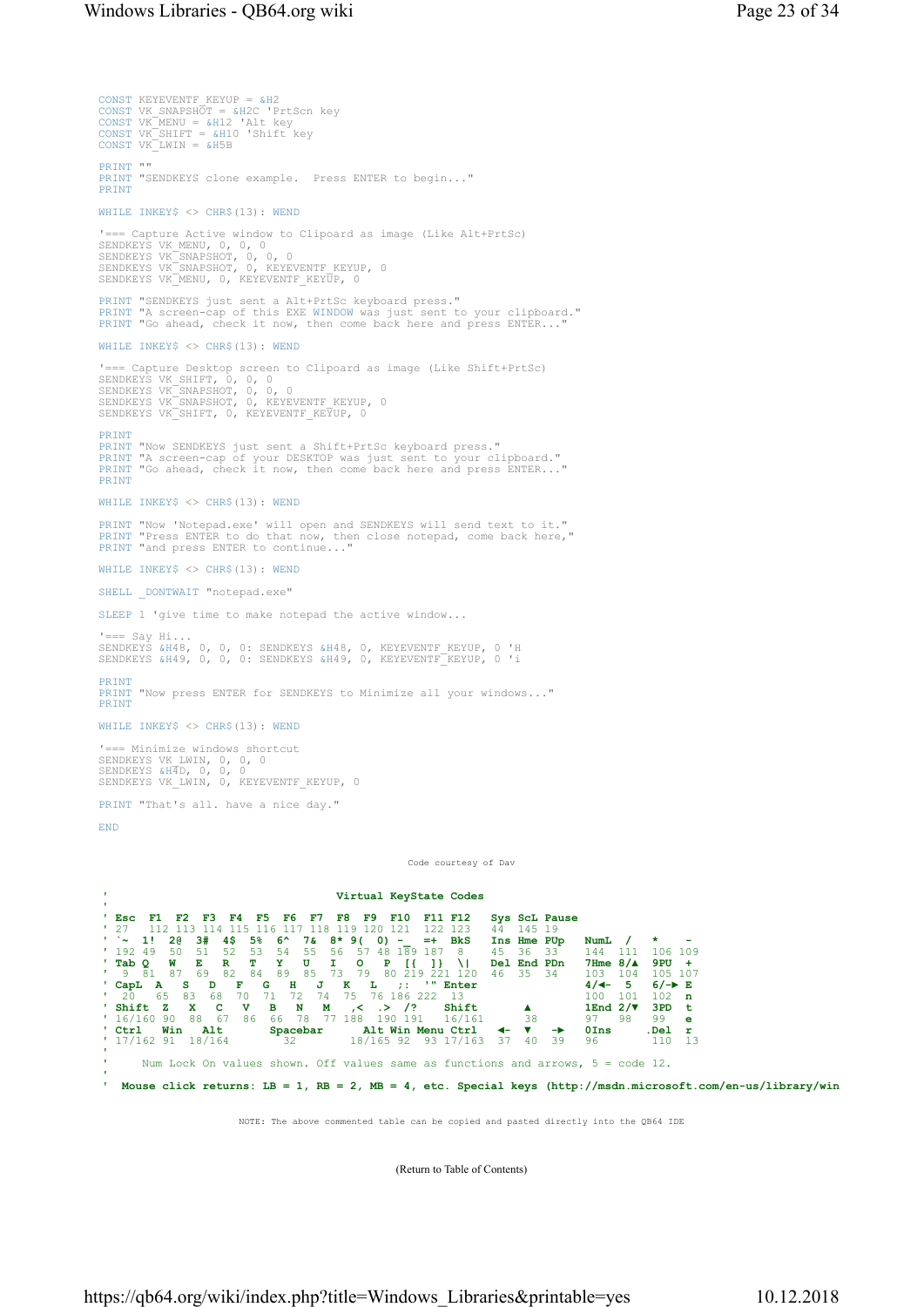```
CONST KEYEVENTF KEYUP = &H2
CONST VK_SNAPSHOT = &H2C 'PrtScn key<br>CONST VK_MENU = &H12 'Alt key<br>CONST VK_SHIFT = &H10 'Shift key<br>CONST VK_LWIN = &H5B
PRINT "" 
PRINT "SENDKEYS clone example. Press ENTER to begin..." 
PRINT
WHILE INKEY$ <> CHR$(13): WEND
'=== Capture Active window to Clipoard as image (Like Alt+PrtSc) 
SENDKEYS VK_MENU, 0, 0, 0<br>SENDKEYS VK_SNAPSHOT, 0, 0, 0<br>SENDKEYS VK_SNAPSHOT, 0, KEYEVENTF_KEYUP, 0<br>SENDKEYS VK_MENU, 0, KEYEVENTF_KEYUP, 0
PRINT "SENDKEYS just sent a Alt+PrtSc keyboard press." 
PRINT "A screen-cap of this EXE WINDOW was just sent to your clipboard." 
PRINT "Go ahead, check it now, then come back here and press ENTER...
WHILE INKEY$ <> CHR$(13): WEND
'=== Capture Desktop screen to Clipoard as image (Like Shift+PrtSc)<br>SENDKEYS VK_SHIFT, 0, 0, 0<br>SENDKEYS VK_SNAPSHOT, 0, 0,<br>SENDKEYS VK_SNAPSHOT, 0, KEYEVENTF_KEYUP, 0<br>SENDKEYS VK_SHIFT, 0, KEYEVENTF_KEYUP, 0
PRINT
PRINT "Now SENDKEYS just sent a Shift+PrtSc keyboard press." 
PRINT "A screen-cap of your DESKTOP was just sent to your clipboard." 
PRINT "Go ahead, check it now, then come back here and press ENTER..." 
PRINT
WHILE INKEYS <> CHR$(13): WEND
PRINT "Now 'Notepad.exe' will open and SENDKEYS will send text to it." 
PRINT "Press ENTER to do that now, then close notepad, come back here," 
PRINT "and press ENTER to continue..."
WHILE INKEY$ <> CHR$(13): WEND
SHELL DONTWAIT "notepad.exe"
SLEEP 1 'give time to make notepad the active window... 
'=== Say Hi...<br>SENDKEYS &H48, 0, 0, 0: SENDKEYS &H48, 0, KEYEVENTF_KEYUP, 0 'H<br>SENDKEYS &H49, 0, 0, 0: SENDKEYS &H49, 0, KEYEVENTF_KEYUP, 0 'i
PRINT
PRINT "Now press ENTER for SENDKEYS to Minimize all your windows..."
PRINT
WHILE INKEY$ <> CHR$(13): WEND
'=== Minimize windows shortcut<br>SENDKEYS VK_LWIN, 0, 0, 0<br>SENDKEYS &H4D, 0, 0, 0<br>SENDKEYS VK_LWIN, 0, KEYEVENTF_KEYUP, 0
PRINT "That's all. have a nice day." 
END
                                                                              Code courtesy of Dav
```


NOTE: The above commented table can be copied and pasted directly into the QB64 IDE

(Return to Table of Contents)

https://qb64.org/wiki/index.php?title=Windows\_Libraries&printable=yes 10.12.2018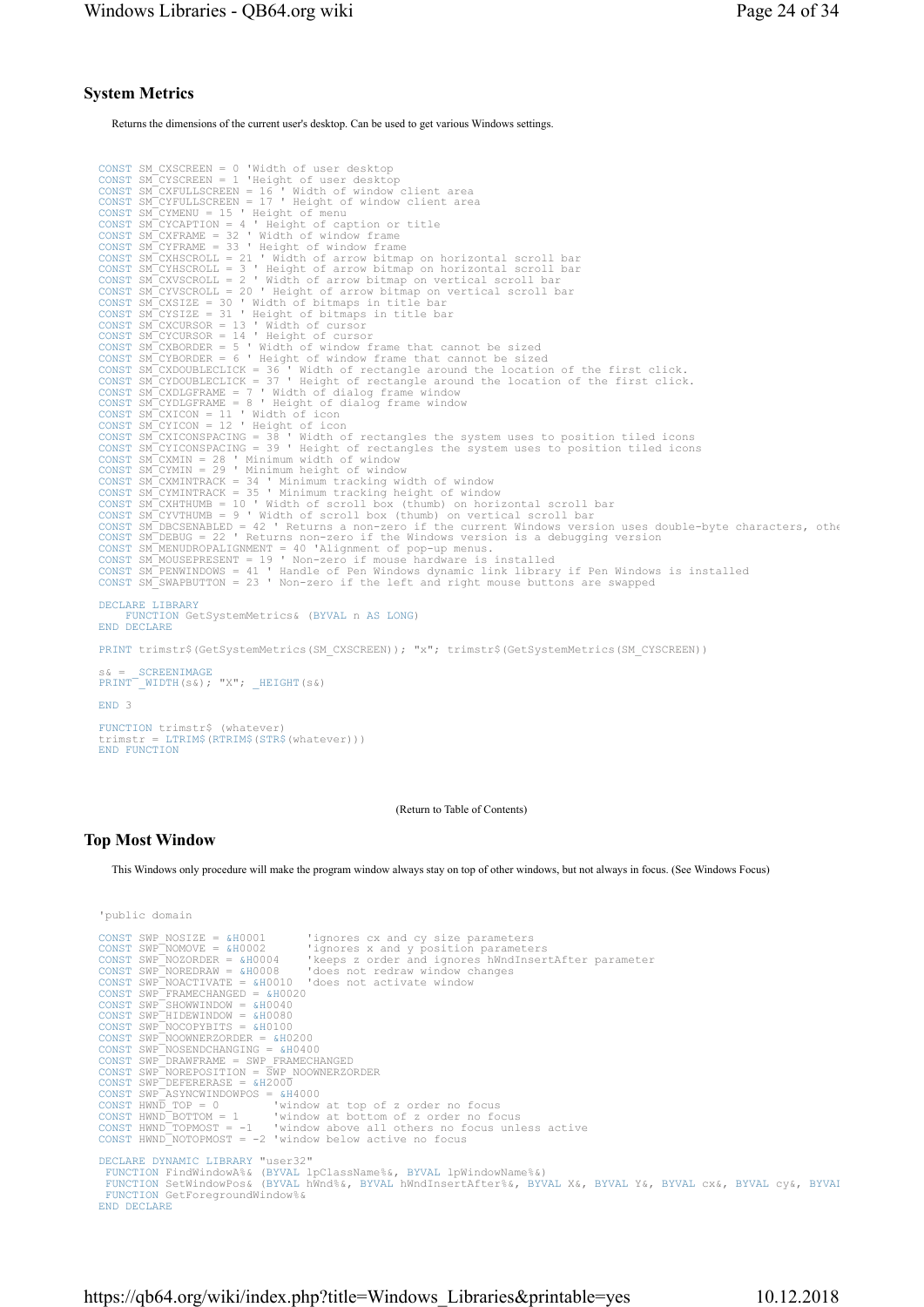## System Metrics

Returns the dimensions of the current user's desktop. Can be used to get various Windows settings.

```
CONST SM CXSCREEN = 0 "Width of user desktop<br>
CONST SM CXSCREEN = 0 "Height of user desktop<br>
CONST SM CXYCRULESCREEN = 16 "Width of window client area<br>
CONST SM CXYCRULESCREEN = 17 "Height of window client area<br>
CONST SM C
CONST SM_CYMINTRACK = 35 ' Minimum tracking height of window 
CONST SM_CXHTHUMB = 10 ' Width of scroll box (thumb) on horizontal scroll bar 
CONST SM_CYVTHUMB = 9 ' Width of scroll box (thumb) on vertical scroll bar 
CONST SM_DBCSENABLED = 42 ' Returns a non-zero if the current Windows version uses double-byte characters, othe<br>CONST SM_DEBUG = 22 ' Returns non-zero if the Windows version is a debugging version<br>CONST SM_MENUDROPALIGNMEN
CONST SM_SWAPBUTTON = 23 ' Non-zero if the left and right mouse buttons are swapped 
DECLARE LIBRARY
       FUNCTION GetSystemMetrics& (BYVAL n AS LONG) 
END DECLARE
PRINT trimstr$(GetSystemMetrics(SM_CXSCREEN)); "x"; trimstr$(GetSystemMetrics(SM_CYSCREEN))
s& = _SCREENIMAGE
PRINT _WIDTH(s&); "X"; _HEIGHT(s&) 
END 3 
FUNCTION trimstr$ (whatever) 
trimstr = LTRIM$(RTRIM$(STR$(whatever))) 
END FUNCTION
```
(Return to Table of Contents)

## Top Most Window

This Windows only procedure will make the program window always stay on top of other windows, but not always in focus. (See Windows Focus)

```
'public domain
```
CONST SWP NOSIZE = &H0001 'ignores cx and cy size parameters<br>
CONST SWP NOMOVE = &H0002 'ignores x and y position parameters<br>
CONST SWP NOZORDER = &H0004 'leeps z order and ignores hWndInsertAfter parameter<br>
CONST SWP NORE DECLARE DYNAMIC LIBRARY "user32" FUNCTION FindWindowA%& (BYVAL lpClassName%&, BYVAL lpWindowName%&) DECLARE DYNAMIC LIBRARY "user32"<br>FUNCTION FindWindowA%& (BYVAL lpClassName%&, BYVAL lpWindowName%&)<br>FUNCTION SetWindowPos& (BYVAL hWnd%&, BYVAL hWndInsertAfter%&, BYVAL X&, BYVAL Y&, BYVAL cx&, BYVAL cy&, BYVAI<br>FUNCTION Ge FUNCTION GetForegroundWindow%& END DECLARE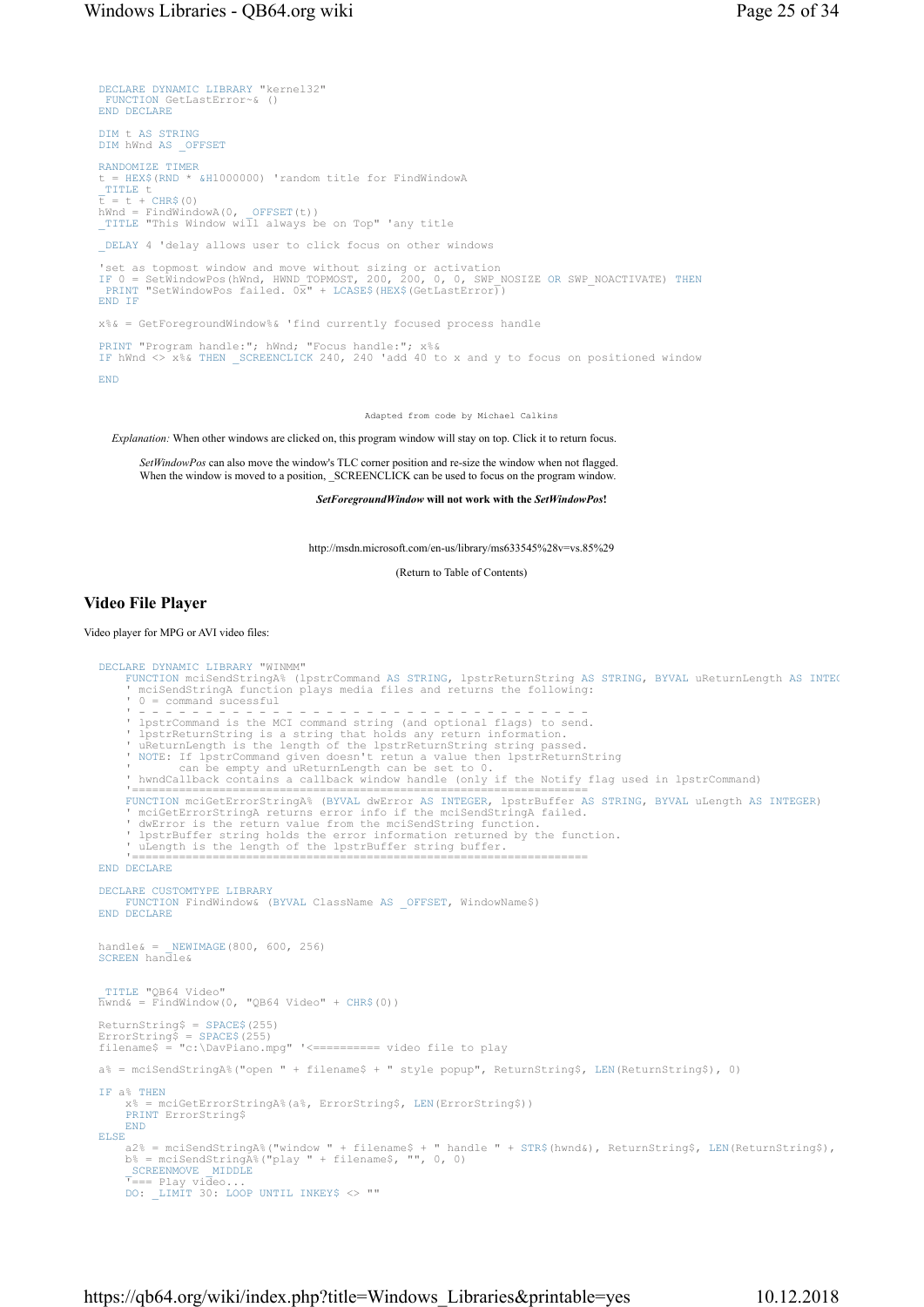```
DECLARE DYNAMIC LIBRARY "kernel32" 
  FUNCTION GetLastError~& () 
END DECLARE
DIM t AS STRING
DIM hWnd AS _OFFSET
RANDOMIZE TIMER
   = HEX$(RND * &H1000000) 'random title for FindWindowA
\frac{\texttt{TIME}}{\texttt{t}} = \texttt{t} + \texttt{CHR\$(0)}hWnd = FindWindowA(0, _OFFSET(t)) 
_TITLE "This Window will always be on Top" 'any title 
DELAY 4 'delay allows user to click focus on other windows
'set as topmost window and move without sizing or activation<br>IF 0 = SetWindowPos(hWnd, HWND_TOPMOST, 200, 200, 0, 0, SWP_NOSIZE OR SWP_NOACTIVATE) THEN<br>PRINT "SetWindowPos failed. 0x" + LCASE$(HEX$(GetLastError))
END IF
x%& = GetForegroundWindow%& 'find currently focused process handle 
PRINT "Program handle:"; hWnd; "Focus handle:"; x%& 
IF hWnd <> x%& THEN _SCREENCLICK 240, 240 'add 40 to x and y to focus on positioned window 
END
```
Adapted from code by Michael Calkins

Explanation: When other windows are clicked on, this program window will stay on top. Click it to return focus.

SetWindowPos can also move the window's TLC corner position and re-size the window when not flagged. When the window is moved to a position, SCREENCLICK can be used to focus on the program window.

SetForegroundWindow will not work with the SetWindowPos!

http://msdn.microsoft.com/en-us/library/ms633545%28v=vs.85%29

(Return to Table of Contents)

#### Video File Player

Video player for MPG or AVI video files:

```
DECLARE DYNAMIC LIBRARY "WINMM" 
      FUNCTION mciSendStringA% (lpstrCommand AS STRING, lpstrReturnString AS STRING, BYVAL uReturnLength AS INTEG
         ' mciSendStringA function plays media files and returns the following: 
      ' 0 = command sucessful<br>' - - - - - - - - - - -
 ' - - - - - - - - - - - - - - - - - - - - - - - - - - - - - - - - - - 
 ' lpstrCommand is the MCI command string (and optional flags) to send. 
 ' lpstrReturnString is a string that holds any return information. 
 ' uReturnLength is the length of the lpstrReturnString string passed. 
 ' NOTE: If lpstrCommand given doesn't retun a value then lpstrReturnString 
 ' can be empty and uReturnLength can be set to 0. 
 ' hwndCallback contains a callback window handle (only if the Notify flag used in lpstrCommand) 
 '==================================================================== 
FUNCTION mciGetErrorStringA% (BYVAL dwError AS INTEGER, lpstrBuffer AS STRING, BYVAL uLength AS INTEGER) 
 ' mciGetErrorStringA returns error info if the mciSendStringA failed. 
 ' dwError is the return value from the mciSendString function. 
 ' lpstrBuffer string holds the error information returned by the function. 
 ' uLength is the length of the lpstrBuffer string buffer. 
 '==================================================================== 
END DECLARE
DECLARE CUSTOMTYPE LIBRARY
FUNCTION FindWindow& (BYVAL ClassName AS _OFFSET, WindowName$) 
END DECLARE
handle\& = NEWIMAGE(800, 600, 256)
SCREEN handle& 
 _TITLE "QB64 Video" 
\bar{h}wnd& = \bar{F}indWindow(0, "QB64 Video" + CHR$(0))
ReturnString$ = SPACE$(255) 
ErrorString$ = SPACE$(255) 
filename$ = "c:\DavPiano.mpg" '<========== video file to play 
a% = mciSendStringA%("open " + filename$ + " style popup", ReturnString$, LEN(ReturnString$), 0) 
IF a^* THEN<br>x^* = m-----<br>= mciGetErrorStringA%(a%, ErrorString$, LEN(ErrorString$))
      PRINT ErrorString$
      END
ELSE
a2% = mciSendStringA%("window " + filename$ + " handle " + STR$(hwnd&), ReturnString$, LEN(ReturnString$),<br>b% = mciSendStringA%("play " + filename$, "", 0, 0)
SCREENMOVE MIDDLE<br><sup>T</sup>=== Play video...<br>DO: _LIMIT 30: LOOP UNTIL INKEY$ <> ""
```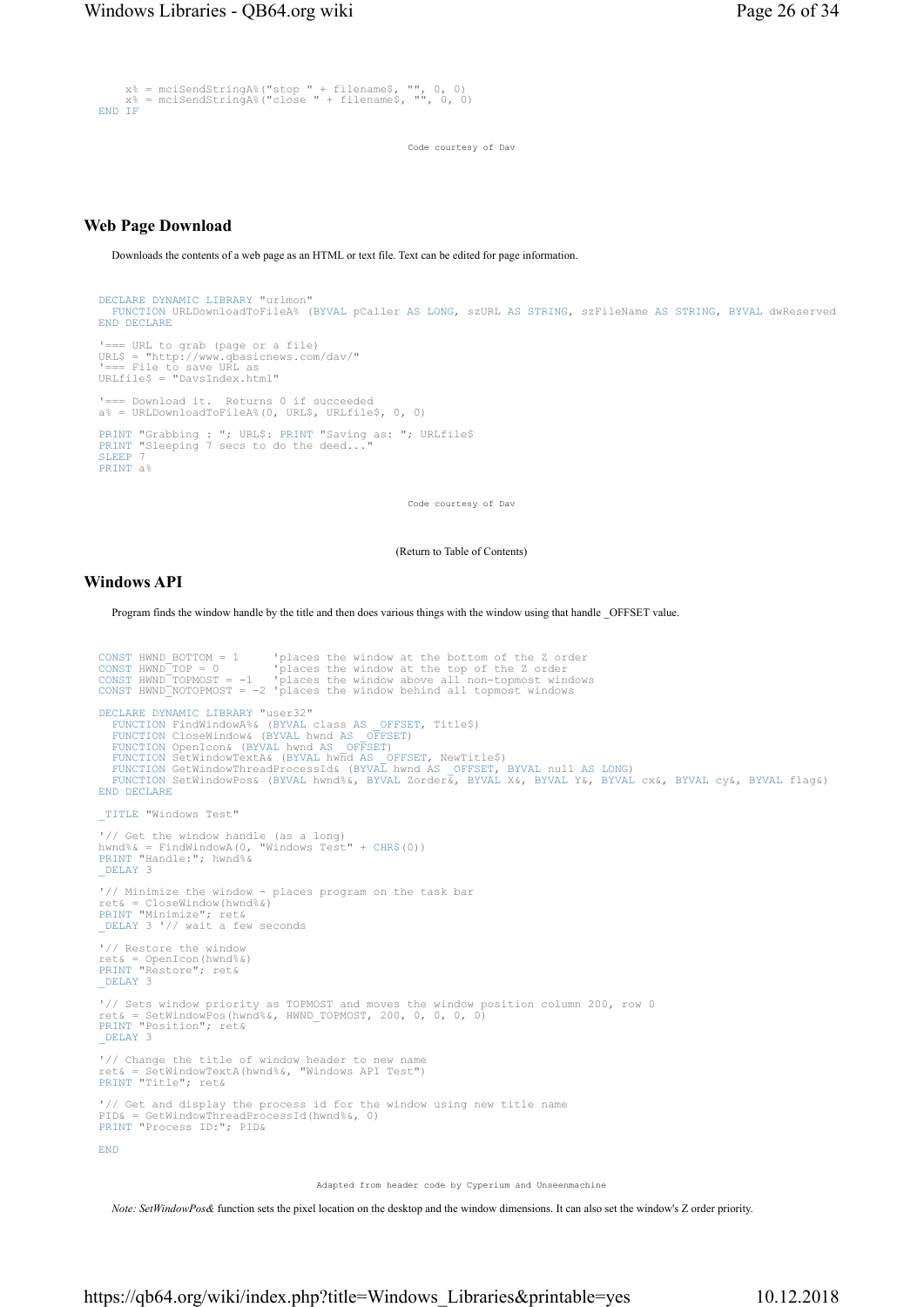```
 x% = mciSendStringA%("stop " + filename$, "", 0, 0) 
 x% = mciSendStringA%("close " + filename$, "", 0, 0) 
END IF
```
Code courtesy of Dav

## Web Page Download

Downloads the contents of a web page as an HTML or text file. Text can be edited for page information.

```
DECLARE DYNAMIC LIBRARY "urlmon" 
FUNCTION URLDownloadToFileA% (BYVAL pCaller AS LONG, szURL AS STRING, szFileName AS STRING, BYVAL dwReserved 
END DECLARE
'=== URL to grab (page or a file) 
URL$ = "http://www.qbasicnews.com/dav/" 
'=== File to save URL as 
URLfile$ = "DavsIndex.html" 
'=== Download it. Returns 0 if succeeded 
a% = URLDownloadToFileA%(0, URL$, URLfile$, 0, 0) 
PRINT "Grabbing : "; URL$: PRINT "Saving as: "; URLfile$ 
PRINT "Sleeping 7 secs to do the deed..." 
SLEEP 7 
PRINT a%
```
Code courtesy of Dav

(Return to Table of Contents)

### Windows API

Program finds the window handle by the title and then does various things with the window using that handle \_OFFSET value.

```
CONST HWND BOTTOM = 1 Uplaces the window at the bottom of the Z order<br>CONST HWND TOP = 0 Uplaces the window at the top of the Z order<br>CONST HWND TOPMOST = -1 Uplaces the window above all non-topmost windows<br>CONST HWND NOTO
DECLARE DYNAMIC LIBRARY "user32"<br>FUNCTION FindWindowA%& (BYVAL class AS
    FUNCTION FindWindowA%& (BYVAL class AS OFFSET, Title$)<br>FUNCTION CloseWindow& (BYVAL hwnd AS OFFSET)<br>FUNCTION OpenICON& (BYVAL hwnd AS OFFSET)<br>FUNCTION SetWindowTextA& (BYVAL hwnd AS OFFSET, NewTitle$)<br>FUNCTION GetWindowThr
END DECLARE
_TITLE "Windows Test" 
'// Get the window handle (as a long) 
hwnd%& = FindWindowA(0, "Windows Test" + CHR$(0)) 
PRINT "Handle:"; hwnd%& 
_DELAY 3 
'// Minimize the window - places program on the task bar 
ret& = CloseWindow(hwnd%&) 
PRINT "Minimize"; ret& 
_DELAY 3 '// wait a few seconds 
'// Restore the window 
ret& = OpenIcon(hwnd%&) 
PRINT "Restore"; ret& 
DELAY 3
'// Sets window priority as TOPMOST and moves the window position column 200, row 0 
ret& = SetWindowPos(hwnd%&, HWND_TOPMOST, 200, 0, 0, 0, 0) 
PRINT "Position"; ret& 
DELAY 3
'// Change the title of window header to new name 
ret& = SetWindowTextA(hwnd%&, "Windows API Test") 
PRINT "Title"; ret& 
'// Get and display the process id for the window using new title name 
PID& = GetWindowThreadProcessId(hwnd%&, 0) 
PRINT "Process ID:"; PID& 
END
```
Adapted from header code by Cyperium and Unseenmachine

Note: SetWindowPos& function sets the pixel location on the desktop and the window dimensions. It can also set the window's Z order priority.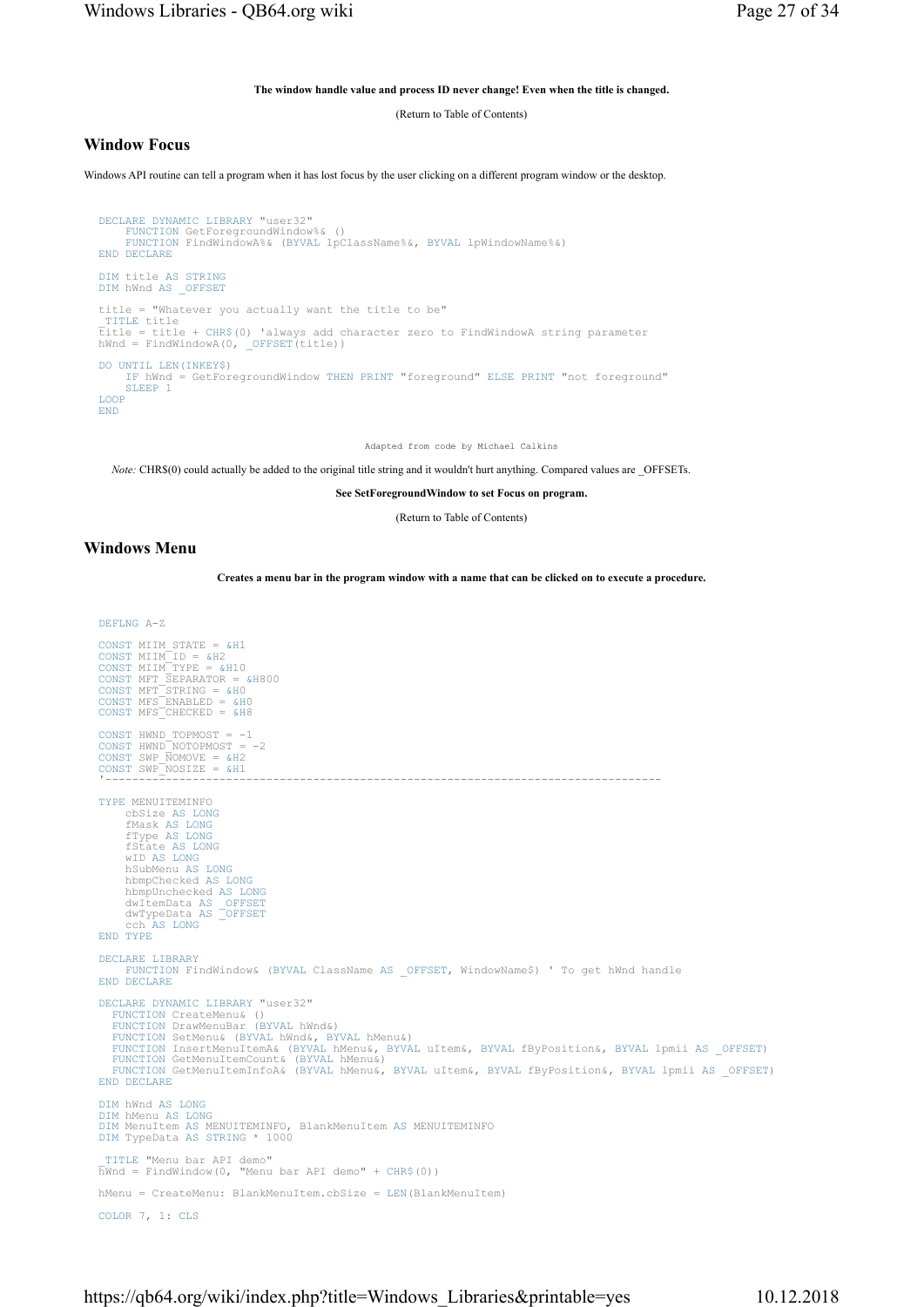#### The window handle value and process ID never change! Even when the title is changed.

(Return to Table of Contents)

### Window Focus

Windows API routine can tell a program when it has lost focus by the user clicking on a different program window or the desktop.

```
DECLARE DYNAMIC LIBRARY "user32" 
    FUNCTION GetForegroundWindow%& () 
    FUNCTION FindWindowA%& (BYVAL lpClassName%&, BYVAL lpWindowName%&) 
END DECLARE
DIM title AS STRING
DIM hWnd AS OFFSET
title = "Whatever you actually want the title to be" 
_TITLE title 
title = title + CHR$(0) 'always add character zero to FindWindowA string parameter 
hWnd = FindWindowA(0, _OFFSET(title))
DO UNTIL LEN(INKEY$) 
    IF hWnd = GetForegroundWindow THEN PRINT "foreground" ELSE PRINT "not foreground" 
    SLEEP 1
LOOP
END
```
Adapted from code by Michael Calkins

Note: CHR\$(0) could actually be added to the original title string and it wouldn't hurt anything. Compared values are OFFSETs.

See SetForegroundWindow to set Focus on program.

(Return to Table of Contents)

#### Windows Menu

Creates a menu bar in the program window with a name that can be clicked on to execute a procedure.

```
DEFLNG A-Z 
CONST MIIM STATE = &H1
CONST MIIM ID = \&H2<br>CONST MIIM TYPE = &H10
CONST MIIM_TYPE = &H10<br>CONST MFT_SEPARATOR = &H800<br>CONST MFT_STRING = &H0<br>CONST MFS_ENABLED = &H0<br>CONST MFS_CHECKED = &H8
CONST HWND_TOPMOST = -1<br>CONST HWND_NOTOPMOST = -2<br>CONST SWP_NOMOVE = &H2<br>CONST SWP_NOSIZE = &H1
 '----------------------------------------------------------------------------------- 
TYPE MENUITEMINFO 
 cbSize AS LONG
 fMask AS LONG
 fType AS LONG
 fState AS LONG
 wID AS LONG
 hSubMenu AS LONG
       hbmpChecked AS LONG
       hbmpUnchecked AS LONG
 dwItemData AS _OFFSET
 dwTypeData AS _OFFSET
 cch AS LONG
END TYPE
DECLARE LIBRARY
      FUNCTION FindWindow& (BYVAL ClassName AS _OFFSET, WindowName$) ' To get hWnd handle 
END DECLARE
DECLARE DYNAMIC LIBRARY "user32" 
   FUNCTION CreateMenu& ()
   FUNCTION DrawMenuBar (BYVAL hWnd&) 
   FUNCTION SetMenu& (BYVAL hWnd&, BYVAL hMenu&)<br>FUNCTION InsertMenuItemA& (BYVAL hMenu&, BYVAL uItem&, BYVAL fByPosition&, BYVAL lpmii AS _OFFSET)<br>FUNCTION GetMenuItemCount& (BYVAL hMenu&)
   FUNCTION GetMenuItemInfoA& (BYVAL hMenu&, BYVAL uItem&, BYVAL fByPosition&, BYVAL lpmii AS _OFFSET) 
END DECLARE
DIM hWnd AS LONG
DIM hMenu AS LONG
DIM MenuItem AS MENUITEMINFO, BlankMenuItem AS MENUITEMINFO 
DIM TypeData AS STRING * 1000 
_TITLE "Menu bar API demo" 
hWnd = FindWindow(0, "Menu bar API demo" + CHR$(0)) 
hMenu = CreateMenu: BlankMenuItem.cbSize = LEN(BlankMenuItem) 
COLOR 7, 1: CLS
```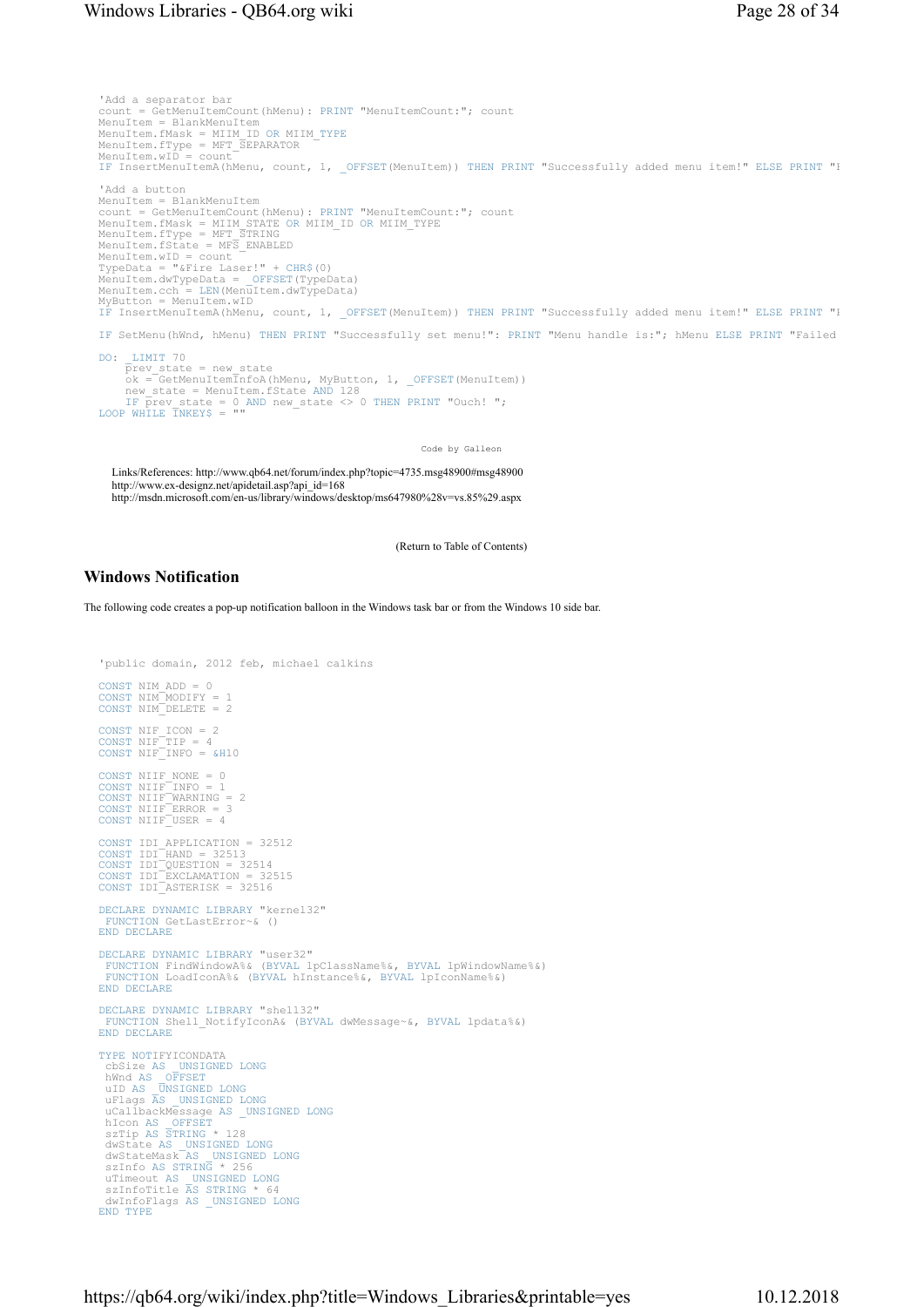## Windows Libraries - QB64.org wiki Page 28 of 34

'Add a separator bar count = GetMenuItemCount(hMenu): PRINT "MenuItemCount:"; count MenuItem = BlankMenuItem MenuItem.fMask = MIIM\_ID OR MIIM\_TYPE<br>MenuItem.fType = MFT\_SEPARATOR<br>MenuItem.wID = count IF InsertMenuItemA(hMenu, count, 1, \_OFFSET(MenuItem)) THEN PRINT "Successfully added menu item!" ELSE PRINT "I 'Add a button<br>MenuItem = BlankMenuItem MenuItem = BlankMenuItem<br>count = GetMenuItemCount(hMenu): PRINT "MenuItemCount:"; count<br>MenuItem.fMask = MIIM STATE OR MIIM\_ID OR MIIM\_TYPE<br>MenuItem.fType = MFT\_STRING<br>MenuItem.fState = MFS\_ENABLED<br>MenuItem.wID = count<br>Typ MenuItem.dwTypeData = \_OFFSET(TypeData)<br>MenuItem.cch = LEN(MenuItem.dwTypeData)<br>MyButton = MenuItem.wID<br>IF InsertMenuItemA(hMenu, count, 1, \_OFFSET(MenuItem)) THEN PRINT "Successfully added menu item!" ELSE PRINT "I IF SetMenu(hWnd, hMenu) THEN PRINT "Successfully set menu!": PRINT "Menu handle is:"; hMenu ELSE PRINT "Failed to set menu!": DO: \_LIMIT 70<br>
prev\_state = new\_state<br>
ok = GetMenuItemInfoA(hMenu, MyButton, 1, \_OFFSET(MenuItem))<br>
new\_state = MenuItem.fState AND 128<br>
IF prev\_state = 0 AND new\_state <> 0 THEN PRINT "Ouch! ";<br>
LOOP WHILE TNKEY\$ = "" Code by Galleon Links/References: http://www.qb64.net/forum/index.php?topic=4735.msg48900#msg48900

http://www.ex-designz.net/apidetail.asp?api\_id=168 http://msdn.microsoft.com/en-us/library/windows/desktop/ms647980%28v=vs.85%29.aspx

(Return to Table of Contents)

## Windows Notification

The following code creates a pop-up notification balloon in the Windows task bar or from the Windows 10 side bar.

```
'public domain, 2012 feb, michael calkins 
CONST NIM_ADD = 0 
CONST NIM_MODIFY = 1 
CONST NIM_DELETE = 2 
CONST NIF_ICON = 2 
CONST NIF_TIP = 4 
CONST NIF_INFO = &H10 
CONST NIIF_NONE = 0<br>CONST NIIF_INFO = 1<br>CONST NIIF_WARNING = 2<br>CONST NIIF_ERROR = 3<br>CONST NIIF_USER = 4
CONST IDI APPLICATION = 32512<br>CONST IDI_HAND = 32513<br>CONST IDI_QUESTION = 32514<br>CONST IDI_EXCLAMATION = 32515
CONST IDI_ASTERISK = 32516 
DECLARE DYNAMIC LIBRARY "kernel32" 
  FUNCTION GetLastError~& () 
END DECLARE
DECLARE DYNAMIC LIBRARY "user32" 
  FUNCTION FindWindowA%& (BYVAL lpClassName%&, BYVAL lpWindowName%&) 
FUNCTION LoadIconA%& (BYVAL hInstance%&, BYVAL lpIconName%&) 
END DECLARE
DECLARE DYNAMIC LIBRARY "shell32" 
  FUNCTION Shell_NotifyIconA& (BYVAL dwMessage~&, BYVAL lpdata%&) 
END DECLARE
TYPE NOTIFYICONDATA<br>
cbSize AS _UNSIGNED LONG<br>
hWnd AS _OFFSET<br>
uFlags AS _UNSIGNED LONG<br>
uFlags AS _UNSIGNED LONG<br>
uCallbackMessage AS _UNSIGNED LONG
 hIcon AS _OFFSET
 szTip AS STRING * 128 
 dwState AS _UNSIGNED LONG
 dwStateMask AS _UNSIGNED LONG
 szInfo AS STRING * 256 
 uTimeout AS _UNSIGNED LONG
 szInfoTitle AS STRING * 64 
 dwInfoFlags AS _UNSIGNED LONG
END TYPE
```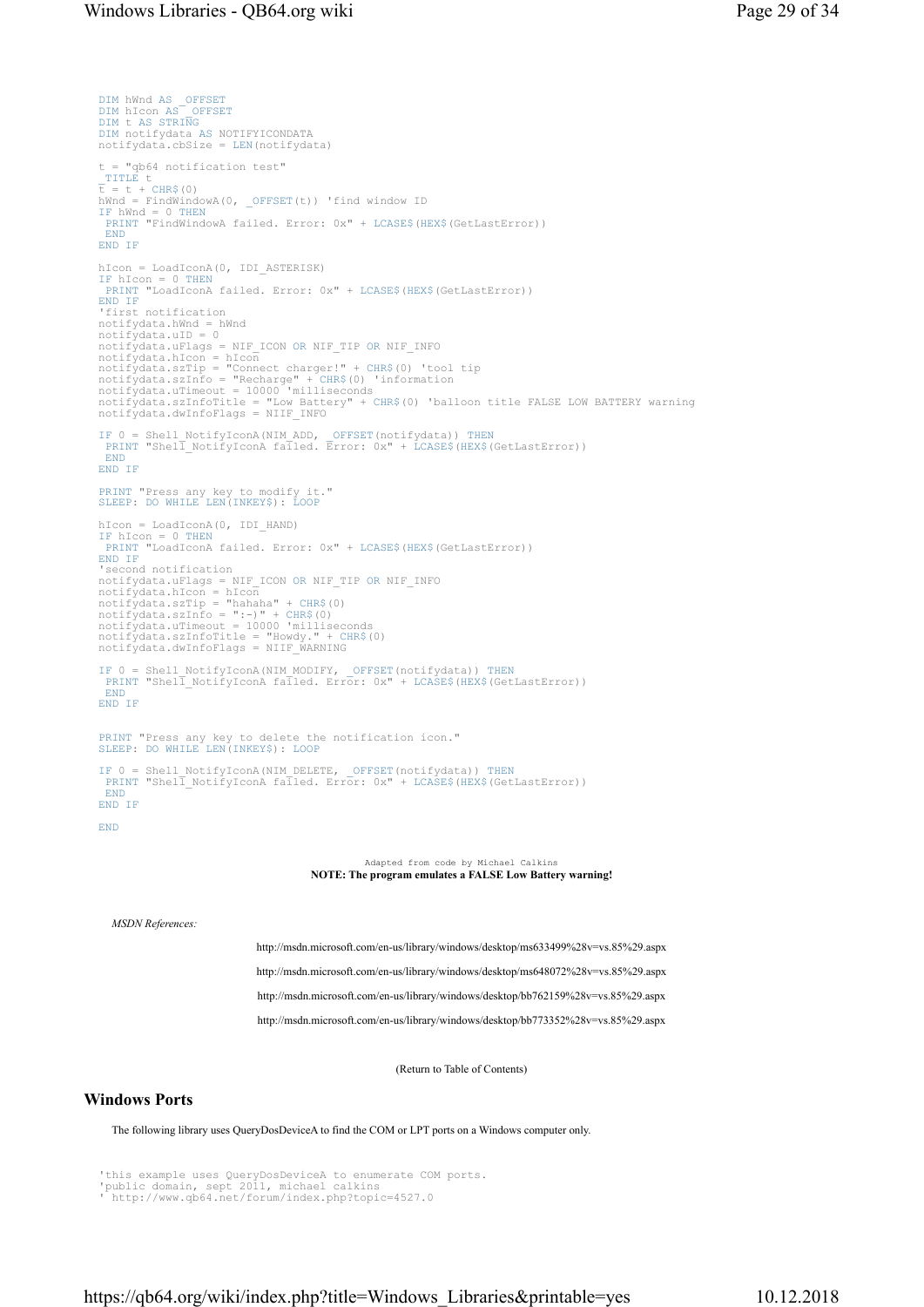```
DIM hWnd AS _OFFSET
DIM hIcon AS _OFFSET
DIM t AS STRING
DIM notifydata AS NOTIFYICONDATA 
notifydata.cbSize = LEN(notifydata) 
t = "qb64 notification test" 
_TITLE t 
t = t + CHR$(0) 
hWnd = FindWindowA(0, _OFFSET(t)) 'find window ID 
IF hWnd = 0 THEN
 PRINT "FindWindowA failed. Error: 0x" + LCASE$(HEX$(GetLastError)) 
  END
END IF
hIcon = LoadIconA(0, IDI_ASTERISK)<br>IF hIcon = 0 THEN<br>PRINT "LoadIconA failed. Error: 0x" + LCASE$(HEX$(GetLastError))
END IF
'first notification 
notifydata.hWnd = hWnd<br>notifydata.uID = 0
notifydata.uID = 0<br>notifydata.uFlags = NIF_ICON OR NIF_TIP OR NIF_INFO<br>notifydata.hIcon = hIcon<br>notifydata.szTip = "Connect charger!" + CHR$(0) 'tool tip<br>notifydata.szInfo = "Recharge" + CHR$(0) 'information<br>notifydata.uTi
notifydata.dwInfoFlags = NIIF_INFO
IF 0 = Shell_NotifyIconA(NIM_ADD, _OFFSET(notifydata)) THEN
PRINT "Shell_NotifyIconA failed. Error: 0x" + LCASE$(HEX$(GetLastError)) 
END
END IF
PRINT "Press any key to modify it." 
SLEEP: DO WHILE LEN(INKEY$): LOOP
hIcon = LoadIconA(0, IDI_HAND) 
IF hIcon = 0 THEN
 PRINT "LoadIconA failed. Error: 0x" + LCASE$ (HEX$ (GetLastError))
END IF<br>'second notification
'second notification 
notifydata.uFlags = NIF_ICON OR NIF_TIP OR NIF_INFO 
notifydata.hIcon = hIcon 
notifydata.szTip = "hahaha" + CHR$(0)<br>notifydata.szInfo = ":-)" + CHR$(0)<br>notifydata.uTimeout = 10000 'milliseconds<br>notifydata.szInfoTitle = "Howdy." + CHR$(0)<br>notifydata.dwInfoFlags = NIIF_WARNING
IF 0 = Shell_NotifyIconA(NIM_MODIFY, _OFFSET(notifydata)) THEN
PRINT "Shell_NotifyIconA failed. Error: 0x" + LCASE$(HEX$(GetLastError)) 
  END
END IF
PRINT "Press any key to delete the notification icon." 
SLEEP: DO WHILE LEN(INKEY$): LOOP
IF 0 = Shell_NotifyIconA(NIM_DELETE, _OFFSET(notifydata)) THEN
PRINT "Shell_NotifyIconA failed. Error: 0x" + LCASE$(HEX$(GetLastError)) 
 END
END IF
END
                                                                     Adapted from code by Michael Calkins
                                                      NOTE: The program emulates a FALSE Low Battery warning!
   MSDN References:
                                         http://msdn.microsoft.com/en-us/library/windows/desktop/ms633499%28v=vs.85%29.aspx
```
http://msdn.microsoft.com/en-us/library/windows/desktop/ms648072%28v=vs.85%29.aspx http://msdn.microsoft.com/en-us/library/windows/desktop/bb762159%28v=vs.85%29.aspx http://msdn.microsoft.com/en-us/library/windows/desktop/bb773352%28v=vs.85%29.aspx

(Return to Table of Contents)

### Windows Ports

The following library uses QueryDosDeviceA to find the COM or LPT ports on a Windows computer only.

```
'this example uses QueryDosDeviceA to enumerate COM ports. 
'public domain, sept 2011, michael calkins 
' http://www.qb64.net/forum/index.php?topic=4527.0
```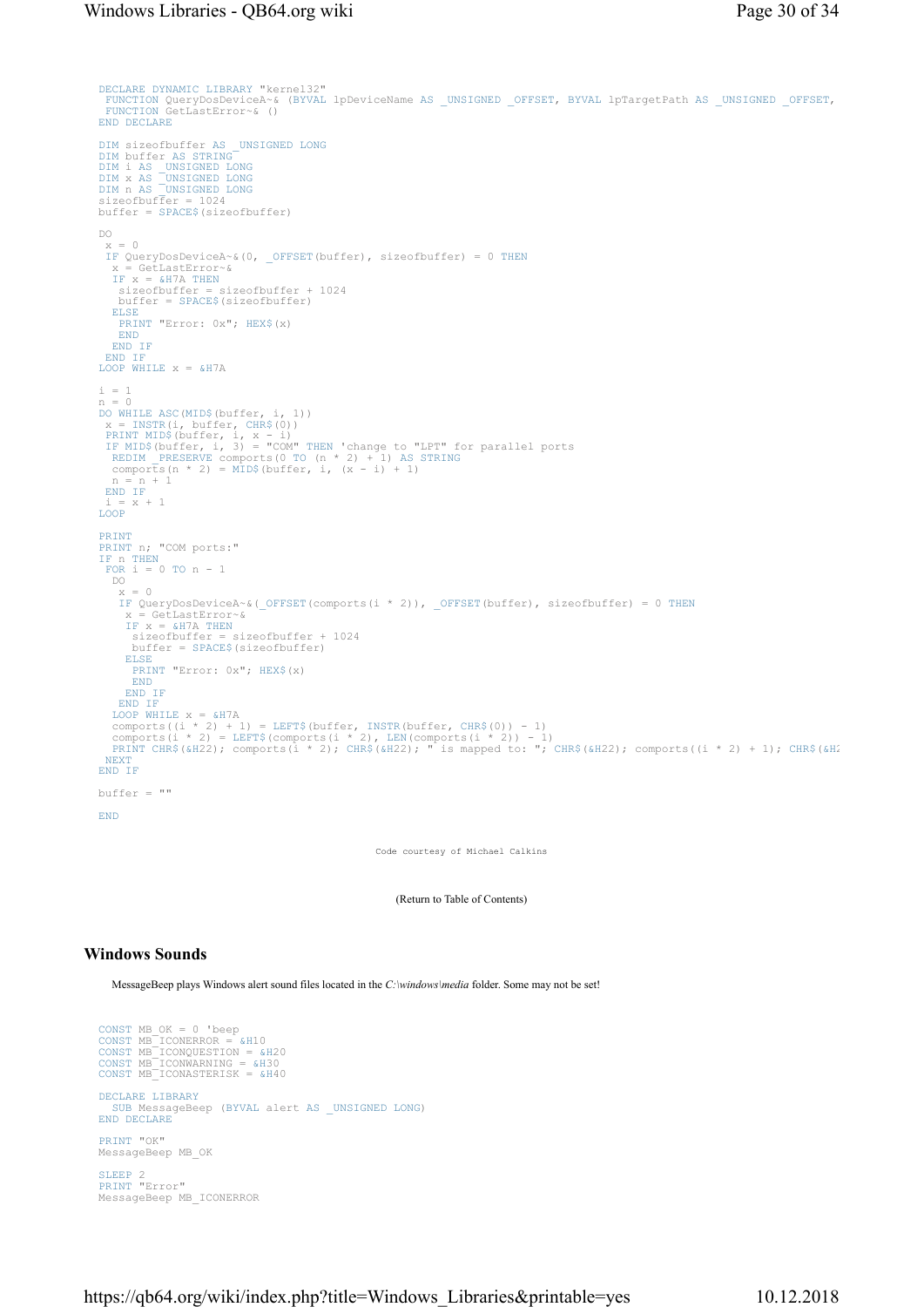```
DECLARE DYNAMIC LIBRARY "kernel32" 
  FUNCTION QueryDosDeviceA~& (BYVAL lpDeviceName AS _UNSIGNED _OFFSET, BYVAL lpTargetPath AS _UNSIGNED _OFFSET, 
FUNCTION GetLastError~& () 
END DECLARE
 DIM sizeofbuffer AS _UNSIGNED LONG<br>DIM buffer AS STRING<br>DIM i AS _UNSIGNED LONG<br>DIM x AS _UNSIGNED LONG<br>DIM n AS _UNSIGNED LONG<br>sizeofbuffer = 1024
buffer = SPACE$(sizeofbuffer) 
DO 
  x = 0IF QueryDosDeviceA~&(0, _OFFSET(buffer), sizeofbuffer) = 0 THEN
    x = GetLastError~& 
 IF x = &H7A THEN
 sizeofbuffer = sizeofbuffer + 1024 
      buffer = SPACE$(sizeofbuffer) 
   ELSE
    PRINT "Error: 0x"; HEX$(x)
    END
END IF
  END IF
LOOP WHILE x = \alpha H7A\begin{array}{rcl} \text{i} & = & 1 \\ \text{n} & = & 0 \end{array}n = 0<br>
x = INSTR(i, buffer, CHR$(0))<br>
x = INSTR(i, buffer, CHR$(0))<br>
PRINT MID$(buffer, i, x - i)<br>
IF MID$(buffer, i, 3) = "COM" THEN 'change to "LPT" for parallel ports<br>
REDIM _PRESERVE comports(0 TO (n * 2) + 1) AS STRIN
  END IF
  i = x + 1 
LOOP
PRINT
PRINT n; "COM ports:" 
IF n THEN
  FOR i = 0 TO n - 1 DO 
     x = 0IF QueryDosDeviceA~&(_OFFSET(comports(i * 2)), _OFFSET(buffer), sizeofbuffer) = 0 THEN
  x = GetLastError~& 
IF x = &H7A THEN
 sizeofbuffer = sizeofbuffer + 1024 
 buffer = SPACE$(sizeofbuffer) 
      ELSE
        PRINT "Error: 0x"; HEX$(x)
        END
      END IF
     END IF
   LOOP WHILE x = \alpha H7Acomports((i * 2) + 1) = LEFT$(buffer, INSTR(buffer, CHR$(0)) - 1)<br>comports(i * 2) = LEFT$(comports(i * 2), LEN(comports(i * 2)) - 1)<br>PRINT CHR$(&H22); comports(i * 2); CHR$(&H22); " is mapped to: "; CHR$(&H22); comports((i
  NEXT
END IF
buffer = "" 
END
```
Code courtesy of Michael Calkins

(Return to Table of Contents)

## Windows Sounds

MessageBeep plays Windows alert sound files located in the C:\windows\media folder. Some may not be set!

```
CONST MB_OK = 0 'beep<br>CONST MB_ICONERROR = &H10<br>CONST MB_ICONQUESTION = &H20<br>CONST MB_ICONWARNING = &H30<br>CONST MB_ICONASTERISK = &H40
DECLARE LIBRARY
   SUB MessageBeep (BYVAL alert AS _UNSIGNED LONG) 
END DECLARE
PRINT "OK" 
MessageBeep MB_OK 
 SLEEP 2 
PRINT "Error" 
MessageBeep MB_ICONERROR
```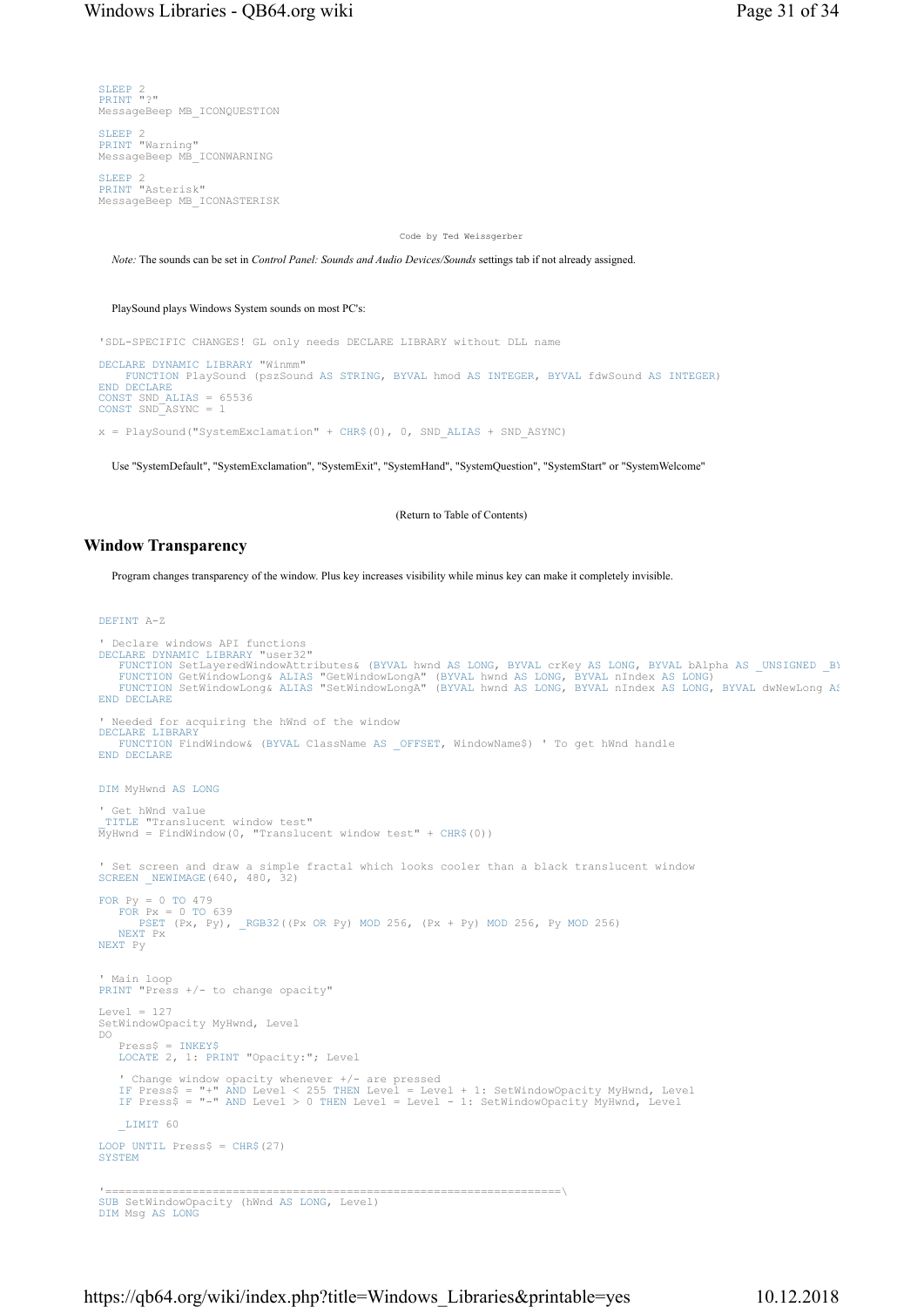SLEEP 2 PRINT "?" MessageBeep MB\_ICONQUESTION

SLEEP 2<br>PRINT "Warning" MessageBeep MB\_ICONWARNING

SLEEP 2 PRINT "Asterisk" MessageBeep MB\_ICONASTERISK

Code by Ted Weissgerber

Note: The sounds can be set in Control Panel: Sounds and Audio Devices/Sounds settings tab if not already assigned.

PlaySound plays Windows System sounds on most PC's:

'SDL-SPECIFIC CHANGES! GL only needs DECLARE LIBRARY without DLL name

DECLARE DYNAMIC LIBRARY "Winmm" FUNCTION PlaySound (pszSound AS STRING, BYVAL hmod AS INTEGER, BYVAL fdwSound AS INTEGER) END DECLARE CONST SND\_ALIAS = 65536 CONST SND\_ASYNC = 1

 $x =$  PlaySound ("SystemExclamation" + CHR\$(0), 0, SND ALIAS + SND ASYNC)

Use "SystemDefault", "SystemExclamation", "SystemExit", "SystemHand", "SystemQuestion", "SystemStart" or "SystemWelcome"

(Return to Table of Contents)

## Window Transparency

Program changes transparency of the window. Plus key increases visibility while minus key can make it completely invisible.

#### DEFINT A-Z

```
' Declare windows API functions 
DECLARE DYNAMIC LIBRARY "user32"<br>FUNCTION SetLayeredWindowAttributes& (BYVAL hwnd AS LONG, BYVAL crKey AS LONG, BYVAL bAlpha AS _UNSIGNED _B)<br>FUNCTION GetWindowLong& ALIAS "GetWindowLongA" (BYVAL hwnd AS LONG, BYVAL nIndex
END DECLARE
' Needed for acquiring the hWnd of the window 
DECLARE LIBRARY
FUNCTION FindWindow& (BYVAL ClassName AS _OFFSET, WindowName$) ' To get hWnd handle 
END DECLARE
DIM MyHwnd AS LONG
' Get hWnd value 
_TITLE "Translucent window test" 
MyHwnd = FindWindow(0, "Translucent window test" + CHR$(0)) 
' Set screen and draw a simple fractal which looks cooler than a black translucent window 
SCREEN _NEWIMAGE(640, 480, 32) 
FOR Py = 0 TO 479 
FOR Px = 0 TO 639 
PSET (Px, Py), _RGB32((Px OR Py) MOD 256, (Px + Py) MOD 256, Py MOD 256) 
    NEXT Px 
NEXT Py 
' Main loop 
PRINT "Press +/- to change opacity" 
Level = 127SetWindowOpacity MyHwnd, Level 
DO 
 Press$ = INKEY$
LOCATE 2, 1: PRINT "Opacity:"; Level 
' Change window opacity whenever +/- are pressed<br>IF Press$ = "+" AND Level < 255 THEN Level = Level + 1: SetWindowOpacity MyHwnd, Level<br>IF Press$ = "-" AND Level > 0 THEN Level = Level - 1: SetWindowOpacity MyHwnd, Level
    _LIMIT 60 
LOOP UNTIL Press$ = CHR$(27)SYSTEM
'====================================================================\ 
SUB SetWindowOpacity (hWnd AS LONG, Level) 
DIM Msg AS LONG
```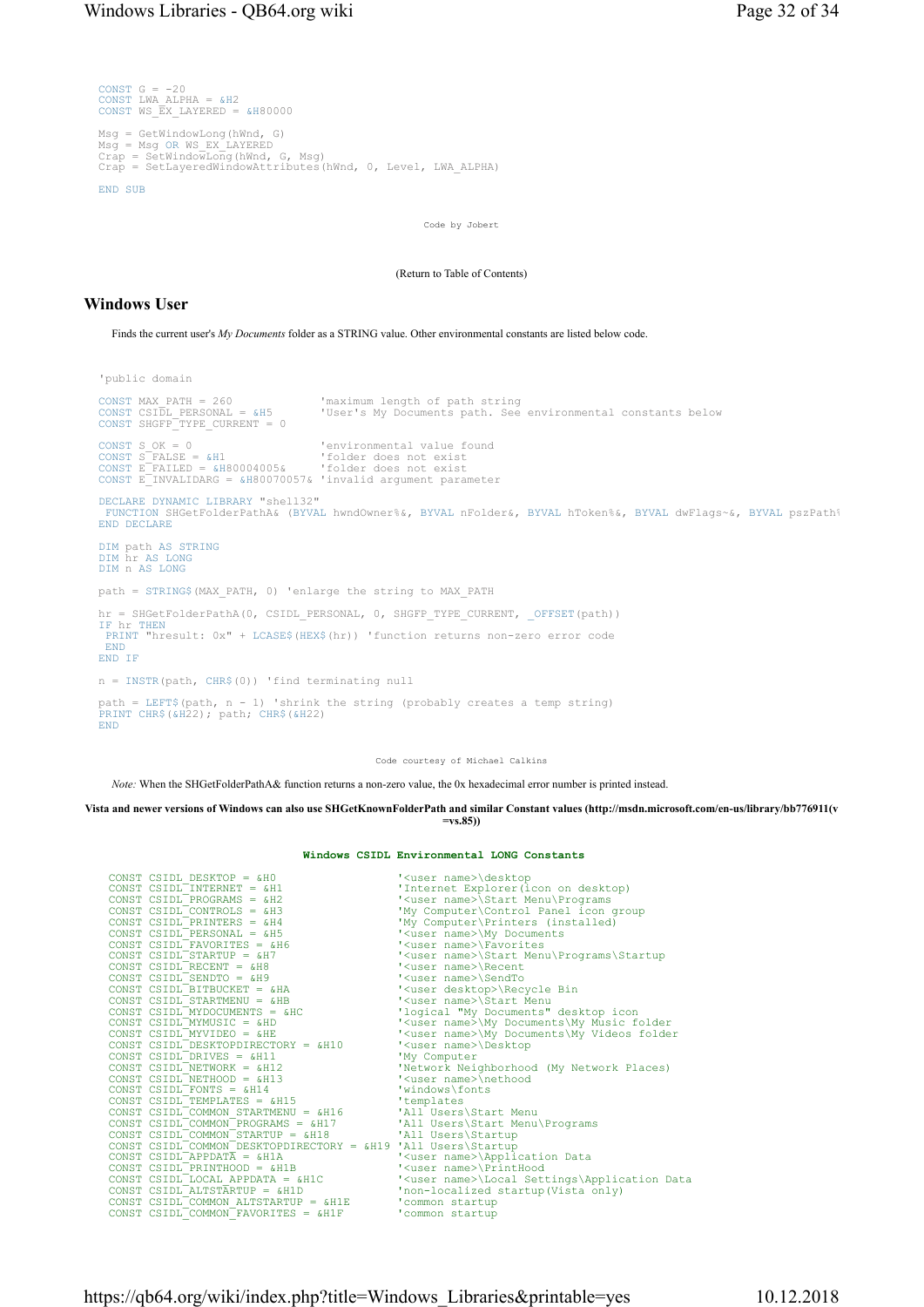```
CONST G = -20CONST LWA_ALPHA = &H2 
CONST WS_EX_LAYERED = &H80000 
Msg = GetWindowLong(hWnd, G) 
Msg = Msg OR WS_EX_LAYERED 
Crap = SetWindowLong(hWnd, G, Msg) 
Crap = SetLayeredWindowAttributes(hWnd, 0, Level, LWA_ALPHA) 
END SUB
```
Code by Jobert

(Return to Table of Contents)

#### Windows User

Finds the current user's My Documents folder as a STRING value. Other environmental constants are listed below code.

'public domain

```
CONST MAX_PATH = 260 'maximum length of path string 
                                          'User's My Documents path. See environmental constants below
CONST SHGFP_TYPE_CURRENT = 0 
CONST S_OK = 0 'environmental value found 
CONST S_FALSE = &H1 'folder does not exist 
CONST E_FAILED = &H80004005& 'folder does not exist 
CONST E_INVALIDARG = &H80070057& 'invalid argument parameter 
DECLARE DYNAMIC LIBRARY "shell32" 
 FUNCTION SHGetFolderPathA& (BYVAL hwndOwner%&, BYVAL nFolder&, BYVAL hToken%&, BYVAL dwFlags~&, BYVAL pszPath&
END DECLARE
DIM path AS STRING
DIM hr AS LONG
DIM n AS LONG
path = STRING$(MAX_PATH, 0) 'enlarge the string to MAX_PATH 
hr = SHGetFolderPathA(0, CSIDL_PERSONAL, 0, SHGFP_TYPE_CURRENT, _OFFSET(path))<br>IF hr THEN
 PRINT "hresult: 0x" + LCASE$(HEX$(hr)) 'function returns non-zero error code 
 END
END IF
n = \text{INSTR}(\text{path}, \text{CHR$(0))} 'find terminating null
path = LEFT$(path, n - 1) 'shrink the string (probably creates a temp string) 
PRINT CHR$(&H22); path; CHR$(&H22) 
END
```
Code courtesy of Michael Calkins

Note: When the SHGetFolderPathA& function returns a non-zero value, the 0x hexadecimal error number is printed instead.

### Vista and newer versions of Windows can also use SHGetKnownFolderPath and similar Constant values (http://msdn.microsoft.com/en-us/library/bb776911(v

 $=vs.85)$ 

#### Windows CSIDL Environmental LONG Constants

| CONST CSIDL DESKTOP = $\&H0$                                  | ' <user name="">\desktop</user>                         |
|---------------------------------------------------------------|---------------------------------------------------------|
| CONST $CSIDL$ INTERNET = $6H1$                                | 'Internet Explorer (icon on desktop)                    |
| CONST CSIDL PROGRAMS = $6H2$                                  | ' <user name="">\Start Menu\Programs</user>             |
| CONST CSIDL CONTROLS = $\alpha$ H3                            | 'My Computer\Control Panel icon group                   |
| CONST CSIDL PRINTERS = $\alpha$ H4                            | 'My Computer\Printers (installed)                       |
| CONST $CSIDL$ PERSONAL = &H5                                  | ' <user name="">\My Documents</user>                    |
| CONST CSIDL FAVORITES = $\alpha$ H6                           | ' <user name="">\Favorites</user>                       |
| CONST CSIDL STARTUP = $\alpha$ H7                             | ' <user name="">\Start Menu\Programs\Startup</user>     |
| CONST CSIDL RECENT = $\&$ H8                                  | ' <user name="">\Recent</user>                          |
| CONST CSIDL SENDTO = $\&H9$                                   | ' <user name="">\SendTo</user>                          |
| CONST CSIDL BITBUCKET = $\alpha$ HA                           | ' <user desktop="">\Recycle Bin</user>                  |
| CONST $CSIDL$ STARTMENU = &HB                                 | ' <user name="">\Start Menu</user>                      |
| CONST CSIDL MYDOCUMENTS = $&HC$                               | 'logical "My Documents" desktop icon                    |
| CONST CSIDL MYMUSIC = &HD                                     | ' <user name="">\My Documents\My Music folder</user>    |
| CONST CSIDL MYVIDEO = $\&$ HE                                 | ' <user name="">\My Documents\My Videos folder</user>   |
| CONST CSIDL DESKTOPDIRECTORY = &H10                           | ' <user name="">\Desktop</user>                         |
| CONST CSIDL DRIVES = $\alpha$ H11                             | 'My Computer                                            |
| CONST CSIDI NETWORK = $6H12$                                  | 'Network Neighborhood (My Network Places)               |
| CONST CSIDL NETHOOD = $&H13$                                  | ' <user name="">\nethood</user>                         |
| CONST CSIDL FONTS = $\kappa H14$                              | 'windows\fonts                                          |
| CONST CSIDL TEMPLATES = $\alpha$ H15                          | 'templates                                              |
| CONST CSIDL COMMON STARTMENU = &H16                           | 'All Users\Start Menu                                   |
| CONST CSIDL COMMON PROGRAMS = &H17                            | 'All Users\Start Menu\Programs                          |
| CONST CSIDL COMMON STARTUP = $\alpha H18$                     | 'All Users\Startup                                      |
| CONST CSIDL COMMON DESKTOPDIRECTORY = &H19 'All Users\Startup |                                                         |
| CONST CSIDL APPDATA = $\kappa$ H1A                            | ' <user name="">\Application Data</user>                |
| CONST CSIDL PRINTHOOD = $\alpha$ H1B                          | ' <user name="">\PrintHood</user>                       |
| CONST CSIDL LOCAL APPDATA = $\alpha$ H1C                      | ' <user name="">\Local Settings\Application Data</user> |
| CONST CSIDL ALTSTARTUP = $\alpha$ H1D                         | 'non-localized startup(Vista only)                      |
| CONST CSIDL COMMON ALTSTARTUP = &H1E                          | 'common startup                                         |
| CONST CSIDL COMMON FAVORITES = &H1F                           | 'common startup                                         |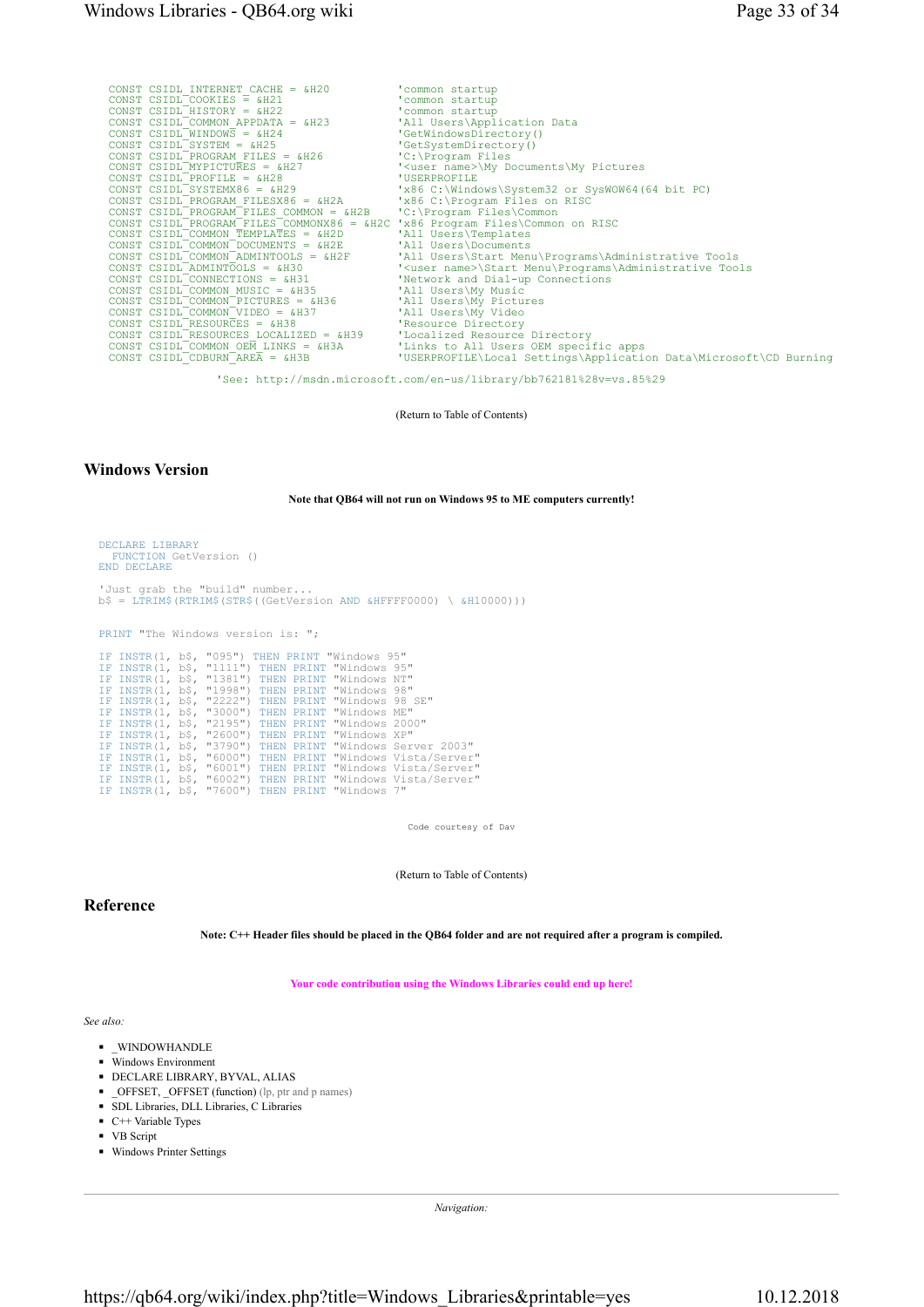| CONST CSIDL INTERNET CACHE = $&H20$<br>CONST CSIDL COOKIES $\equiv$ &H21<br>CONST CSIDL HISTORY = $\alpha$ H22<br>CONST CSIDL COMMON APPDATA = $\alpha$ H23 | 'common startup<br>'common startup<br>'common startup<br>'All Users\Application Data |
|-------------------------------------------------------------------------------------------------------------------------------------------------------------|--------------------------------------------------------------------------------------|
| CONST CSIDL WINDOWS = $\& H24$<br>CONST CSIDL SYSTEM = $\alpha$ H25                                                                                         | 'GetWindowsDirectory()<br>'GetSystemDirectory()                                      |
| CONST CSIDL PROGRAM FILES = $\&$ H26                                                                                                                        | $'C$ : Program Files                                                                 |
| CONST CSIDL MYPICTURES = &H27                                                                                                                               | ' <user name="">\My Documents\My Pictures</user>                                     |
| CONST CSIDL PROFILE = $\alpha$ H28                                                                                                                          | 'USERPROFILE                                                                         |
| CONST CSIDL SYSTEMX86 = $\&$ H29                                                                                                                            | 'x86 C:\Windows\System32 or SysWOW64(64 bit PC)                                      |
| CONST CSIDL PROGRAM FILESX86 = &H2A                                                                                                                         | 'x86 C:\Program Files on RISC                                                        |
| CONST CSIDL PROGRAM FILES COMMON = &H2B                                                                                                                     | 'C:\Program Files\Common                                                             |
| CONST CSIDL PROGRAM FILES COMMONX86 = &H2C 'x86 Program Files\Common on RISC                                                                                |                                                                                      |
| CONST CSIDL COMMON TEMPLATES = $\alpha$ H2D                                                                                                                 | 'All Users\Templates                                                                 |
| CONST CSIDL COMMON DOCUMENTS = &H2E                                                                                                                         | 'All Users\Documents                                                                 |
| CONST $CSIDL$ <sup>-</sup> COMMON <sup>-</sup> ADMINTOOLS = $\&H2F$                                                                                         | 'All Users\Start Menu\Programs\Administrative Tools                                  |
| CONST CSIDL ADMINTOOLS = $\&H30$                                                                                                                            | ' <user name="">\Start Menu\Programs\Administrative Tools</user>                     |
| CONST CSIDL CONNECTIONS = $\&$ H31                                                                                                                          | 'Network and Dial-up Connections                                                     |
| CONST CSIDL COMMON MUSIC = &H35                                                                                                                             | 'All Users\My Music                                                                  |
| CONST CSIDL COMMON PICTURES = $\alpha$ H36                                                                                                                  | 'All Users\My Pictures                                                               |
| CONST CSIDL COMMON VIDEO = $\alpha$ H37                                                                                                                     | 'All Users\My Video                                                                  |
| CONST CSIDL RESOURCES = $&H38$                                                                                                                              | 'Resource Directory                                                                  |
| CONST CSIDL RESOURCES LOCALIZED = &H39                                                                                                                      | 'Localized Resource Directory                                                        |
| CONST CSIDL COMMON OEM LINKS = $\&$ H3A                                                                                                                     | 'Links to All Users OEM specific apps                                                |
| CONST CSIDL CDBURN AREA = &H3B                                                                                                                              | 'USERPROFILE\Local Settings\Application Data\Microsoft\CD Burning                    |

'See: http://msdn.microsoft.com/en-us/library/bb762181%28v=vs.85%29

(Return to Table of Contents)

## Windows Version

#### Note that QB64 will not run on Windows 95 to ME computers currently!

| DECLARE LIBRARY<br>FUNCTION GetVersion ()<br>END DECLARE |  |  |                                                     |                                                                          |  |
|----------------------------------------------------------|--|--|-----------------------------------------------------|--------------------------------------------------------------------------|--|
| 'Just grab the "build" number                            |  |  |                                                     | $b\$ = LTRIM\$ (RTRIM\$ (STR\$ ((GetVersion AND &HFFFF0000) \ &H10000))) |  |
| PRINT "The Windows version is: ";                        |  |  |                                                     |                                                                          |  |
|                                                          |  |  | IF INSTR(1, b\$, "095") THEN PRINT "Windows 95"     |                                                                          |  |
|                                                          |  |  | IF INSTR(1, b\$, "1111") THEN PRINT "Windows 95"    |                                                                          |  |
|                                                          |  |  | IF INSTR(1, b\$, "1381") THEN PRINT "Windows NT"    |                                                                          |  |
|                                                          |  |  | IF INSTR(1, b\$, "1998") THEN PRINT "Windows 98"    |                                                                          |  |
|                                                          |  |  | IF INSTR(1, b\$, "2222") THEN PRINT "Windows 98 SE" |                                                                          |  |
|                                                          |  |  | IF INSTR(1, b\$, "3000") THEN PRINT "Windows ME"    |                                                                          |  |
|                                                          |  |  | IF INSTR(1, b\$, "2195") THEN PRINT "Windows 2000"  |                                                                          |  |
|                                                          |  |  | IF INSTR(1, b\$, "2600") THEN PRINT "Windows XP"    |                                                                          |  |
|                                                          |  |  |                                                     | IF INSTR(1, b\$, "3790") THEN PRINT "Windows Server 2003"                |  |
|                                                          |  |  |                                                     | IF INSTR(1, b\$, "6000") THEN PRINT "Windows Vista/Server"               |  |
|                                                          |  |  |                                                     | IF INSTR(1, b\$, "6001") THEN PRINT "Windows Vista/Server"               |  |
|                                                          |  |  |                                                     | IF INSTR(1, b\$, "6002") THEN PRINT "Windows Vista/Server"               |  |
|                                                          |  |  | IF INSTR(1, b\$, "7600") THEN PRINT "Windows 7"     |                                                                          |  |

Code courtesy of Dav

(Return to Table of Contents)

### Reference

Note: C++ Header files should be placed in the QB64 folder and are not required after a program is compiled.

Your code contribution using the Windows Libraries could end up here!

### See also:

- WINDOWHANDLE
- Windows Environment
- ◾ DECLARE LIBRARY, BYVAL, ALIAS
- \_OFFSET, \_OFFSET (function) (lp, ptr and p names)
- ◾ SDL Libraries, DLL Libraries, C Libraries
- $C++$  Variable Types
- VB Script
- Windows Printer Settings

Navigation: